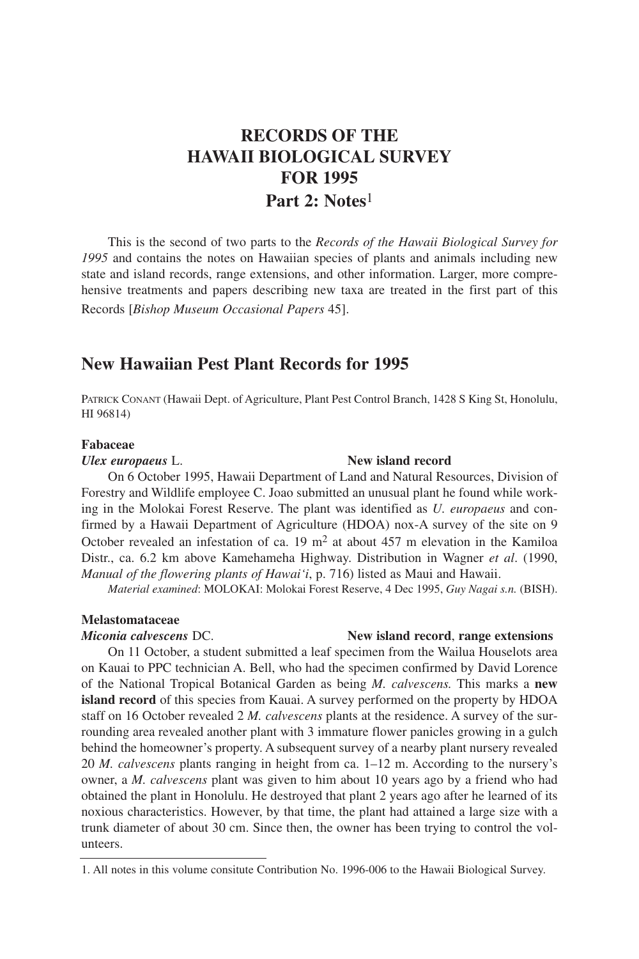# **RECORDS OF THE HAWAII BIOLOGICAL SURVEY FOR 1995 Part 2: Notes**1

This is the second of two parts to the *Records of the Hawaii Biological Survey for 1995* and contains the notes on Hawaiian species of plants and animals including new state and island records, range extensions, and other information. Larger, more comprehensive treatments and papers describing new taxa are treated in the first part of this Records [*Bishop Museum Occasional Papers* 45].

## **New Hawaiian Pest Plant Records for 1995**

PATRICK CONANT (Hawaii Dept. of Agriculture, Plant Pest Control Branch, 1428 S King St, Honolulu, HI 96814)

#### **Fabaceae**

#### *Ulex europaeus* L. **New island record**

On 6 October 1995, Hawaii Department of Land and Natural Resources, Division of Forestry and Wildlife employee C. Joao submitted an unusual plant he found while working in the Molokai Forest Reserve. The plant was identified as *U. europaeus* and confirmed by a Hawaii Department of Agriculture (HDOA) nox-A survey of the site on 9 October revealed an infestation of ca.  $19 \text{ m}^2$  at about 457 m elevation in the Kamiloa Distr., ca. 6.2 km above Kamehameha Highway. Distribution in Wagner *et al*. (1990, *Manual of the flowering plants of Hawai'i*, p. 716) listed as Maui and Hawaii.

*Material examined*: MOLOKAI: Molokai Forest Reserve, 4 Dec 1995, *Guy Nagai s.n.* (BISH).

### **Melastomataceae**

*Miconia calvescens* DC. **New island record**, **range extensions**

On 11 October, a student submitted a leaf specimen from the Wailua Houselots area on Kauai to PPC technician A. Bell, who had the specimen confirmed by David Lorence of the National Tropical Botanical Garden as being *M. calvescens.* This marks a **new island record** of this species from Kauai. A survey performed on the property by HDOA staff on 16 October revealed 2 *M. calvescens* plants at the residence. A survey of the surrounding area revealed another plant with 3 immature flower panicles growing in a gulch behind the homeowner's property. A subsequent survey of a nearby plant nursery revealed 20 *M. calvescens* plants ranging in height from ca. 1–12 m. According to the nursery's owner, a *M. calvescens* plant was given to him about 10 years ago by a friend who had obtained the plant in Honolulu. He destroyed that plant 2 years ago after he learned of its noxious characteristics. However, by that time, the plant had attained a large size with a trunk diameter of about 30 cm. Since then, the owner has been trying to control the volunteers.

<sup>1.</sup> All notes in this volume consitute Contribution No. 1996-006 to the Hawaii Biological Survey.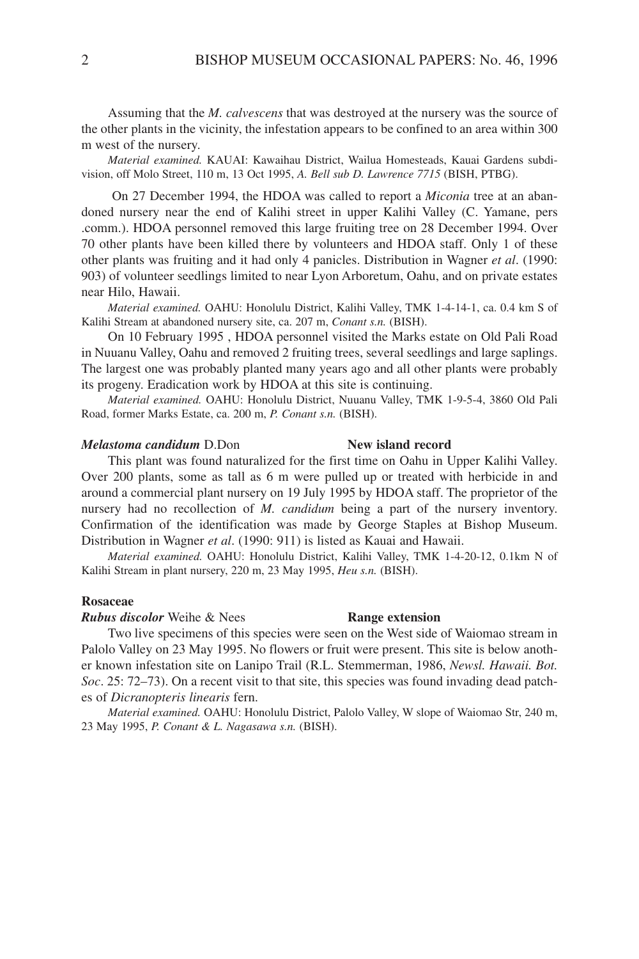Assuming that the *M. calvescens* that was destroyed at the nursery was the source of the other plants in the vicinity, the infestation appears to be confined to an area within 300 m west of the nursery.

*Material examined.* KAUAI: Kawaihau District, Wailua Homesteads, Kauai Gardens subdivision, off Molo Street, 110 m, 13 Oct 1995, *A. Bell sub D. Lawrence 7715* (BISH, PTBG).

On 27 December 1994, the HDOA was called to report a *Miconia* tree at an abandoned nursery near the end of Kalihi street in upper Kalihi Valley (C. Yamane, pers .comm.). HDOA personnel removed this large fruiting tree on 28 December 1994. Over 70 other plants have been killed there by volunteers and HDOA staff. Only 1 of these other plants was fruiting and it had only 4 panicles. Distribution in Wagner *et al*. (1990: 903) of volunteer seedlings limited to near Lyon Arboretum, Oahu, and on private estates near Hilo, Hawaii.

*Material examined.* OAHU: Honolulu District, Kalihi Valley, TMK 1-4-14-1, ca. 0.4 km S of Kalihi Stream at abandoned nursery site, ca. 207 m, *Conant s.n.* (BISH).

On 10 February 1995 , HDOA personnel visited the Marks estate on Old Pali Road in Nuuanu Valley, Oahu and removed 2 fruiting trees, several seedlings and large saplings. The largest one was probably planted many years ago and all other plants were probably its progeny. Eradication work by HDOA at this site is continuing.

*Material examined.* OAHU: Honolulu District, Nuuanu Valley, TMK 1-9-5-4, 3860 Old Pali Road, former Marks Estate, ca. 200 m, *P. Conant s.n.* (BISH).

## *Melastoma candidum* D.Don **New island record**

## This plant was found naturalized for the first time on Oahu in Upper Kalihi Valley. Over 200 plants, some as tall as 6 m were pulled up or treated with herbicide in and around a commercial plant nursery on 19 July 1995 by HDOA staff. The proprietor of the nursery had no recollection of *M. candidum* being a part of the nursery inventory. Confirmation of the identification was made by George Staples at Bishop Museum. Distribution in Wagner *et al*. (1990: 911) is listed as Kauai and Hawaii.

*Material examined.* OAHU: Honolulu District, Kalihi Valley, TMK 1-4-20-12, 0.1km N of Kalihi Stream in plant nursery, 220 m, 23 May 1995, *Heu s.n.* (BISH).

#### **Rosaceae**

*Rubus discolor* Weihe & Nees **Range extension**

Two live specimens of this species were seen on the West side of Waiomao stream in Palolo Valley on 23 May 1995. No flowers or fruit were present. This site is below another known infestation site on Lanipo Trail (R.L. Stemmerman, 1986, *Newsl. Hawaii. Bot. Soc*. 25: 72–73). On a recent visit to that site, this species was found invading dead patches of *Dicranopteris linearis* fern.

*Material examined.* OAHU: Honolulu District, Palolo Valley, W slope of Waiomao Str, 240 m, 23 May 1995, *P. Conant & L. Nagasawa s.n.* (BISH).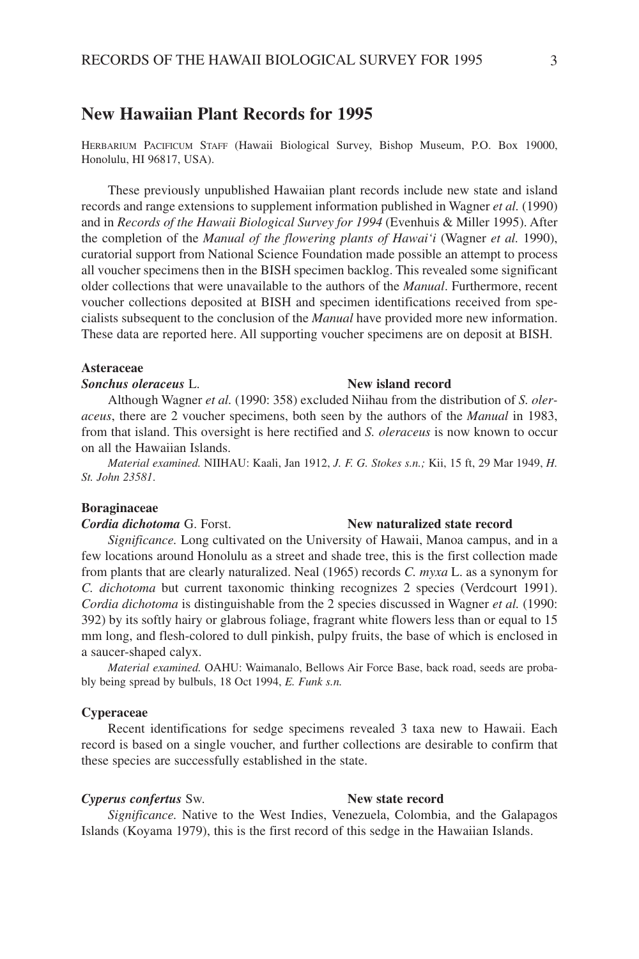# **New Hawaiian Plant Records for 1995**

HERBARIUM PACIFICUM STAFF (Hawaii Biological Survey, Bishop Museum, P.O. Box 19000, Honolulu, HI 96817, USA).

These previously unpublished Hawaiian plant records include new state and island records and range extensions to supplement information published in Wagner *et al.* (1990) and in *Records of the Hawaii Biological Survey for 1994* (Evenhuis & Miller 1995). After the completion of the *Manual of the flowering plants of Hawai'i* (Wagner *et al.* 1990), curatorial support from National Science Foundation made possible an attempt to process all voucher specimens then in the BISH specimen backlog. This revealed some significant older collections that were unavailable to the authors of the *Manual*. Furthermore, recent voucher collections deposited at BISH and specimen identifications received from specialists subsequent to the conclusion of the *Manual* have provided more new information. These data are reported here. All supporting voucher specimens are on deposit at BISH.

### **Asteraceae**

### *Sonchus oleraceus* L. **New island record**

Although Wagner *et al.* (1990: 358) excluded Niihau from the distribution of *S. oleraceus*, there are 2 voucher specimens, both seen by the authors of the *Manual* in 1983, from that island. This oversight is here rectified and *S. oleraceus* is now known to occur on all the Hawaiian Islands.

*Material examined.* NIIHAU: Kaali, Jan 1912, *J. F. G. Stokes s.n.;* Kii, 15 ft, 29 Mar 1949, *H. St. John 23581*.

#### **Boraginaceae**

#### *Cordia dichotoma* G. Forst. **New naturalized state record**

*Significance.* Long cultivated on the University of Hawaii, Manoa campus, and in a few locations around Honolulu as a street and shade tree, this is the first collection made from plants that are clearly naturalized. Neal (1965) records *C. myxa* L. as a synonym for *C. dichotoma* but current taxonomic thinking recognizes 2 species (Verdcourt 1991). *Cordia dichotoma* is distinguishable from the 2 species discussed in Wagner *et al.* (1990: 392) by its softly hairy or glabrous foliage, fragrant white flowers less than or equal to 15 mm long, and flesh-colored to dull pinkish, pulpy fruits, the base of which is enclosed in a saucer-shaped calyx.

*Material examined.* OAHU: Waimanalo, Bellows Air Force Base, back road, seeds are probably being spread by bulbuls, 18 Oct 1994, *E. Funk s.n.*

#### **Cyperaceae**

Recent identifications for sedge specimens revealed 3 taxa new to Hawaii. Each record is based on a single voucher, and further collections are desirable to confirm that these species are successfully established in the state.

#### *Cyperus confertus* Sw. **New state record**

*Significance.* Native to the West Indies, Venezuela, Colombia, and the Galapagos Islands (Koyama 1979), this is the first record of this sedge in the Hawaiian Islands.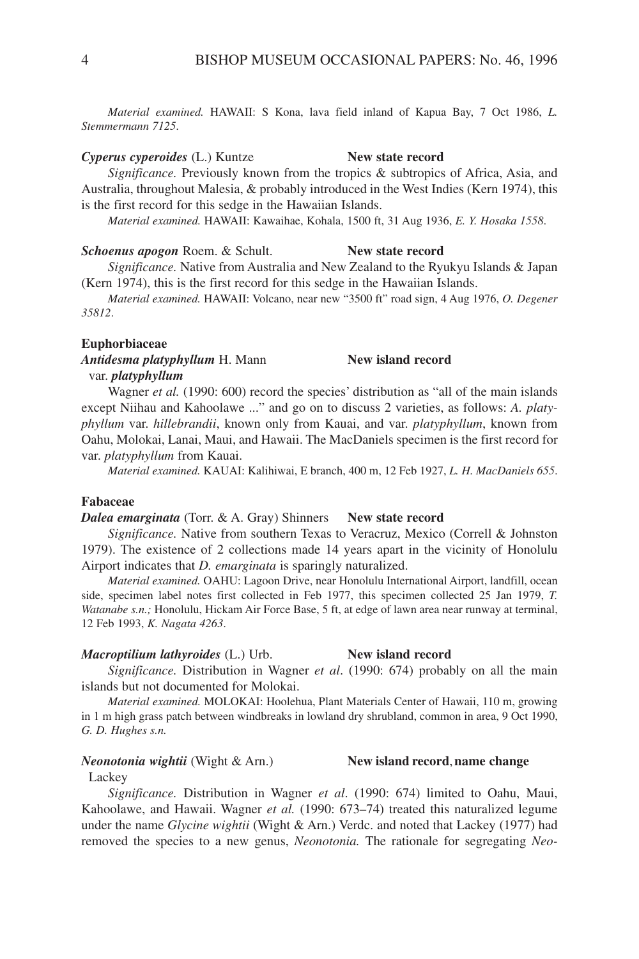*Material examined.* HAWAII: S Kona, lava field inland of Kapua Bay, 7 Oct 1986, *L. Stemmermann 7125*.

#### *Cyperus cyperoides* (L.) Kuntze **New state record**

*Significance.* Previously known from the tropics & subtropics of Africa, Asia, and Australia, throughout Malesia, & probably introduced in the West Indies (Kern 1974), this is the first record for this sedge in the Hawaiian Islands.

*Material examined.* HAWAII: Kawaihae, Kohala, 1500 ft, 31 Aug 1936, *E. Y. Hosaka 1558*.

#### *Schoenus apogon* Roem. & Schult. **New state record**

*Significance.* Native from Australia and New Zealand to the Ryukyu Islands & Japan (Kern 1974), this is the first record for this sedge in the Hawaiian Islands.

*Material examined.* HAWAII: Volcano, near new "3500 ft" road sign, 4 Aug 1976, *O. Degener 35812*.

#### **Euphorbiaceae**

*Antidesma platyphyllum* H. Mann **New island record** var. *platyphyllum*

Wagner *et al.* (1990: 600) record the species' distribution as "all of the main islands except Niihau and Kahoolawe ..." and go on to discuss 2 varieties, as follows: *A. platyphyllum* var. *hillebrandii*, known only from Kauai, and var. *platyphyllum*, known from Oahu, Molokai, Lanai, Maui, and Hawaii. The MacDaniels specimen is the first record for var. *platyphyllum* from Kauai.

*Material examined.* KAUAI: Kalihiwai, E branch, 400 m, 12 Feb 1927, *L. H. MacDaniels 655*.

### **Fabaceae**

#### *Dalea emarginata* (Torr. & A. Gray) Shinners **New state record**

*Significance.* Native from southern Texas to Veracruz, Mexico (Correll & Johnston 1979). The existence of 2 collections made 14 years apart in the vicinity of Honolulu Airport indicates that *D. emarginata* is sparingly naturalized.

*Material examined.* OAHU: Lagoon Drive, near Honolulu International Airport, landfill, ocean side, specimen label notes first collected in Feb 1977, this specimen collected 25 Jan 1979, *T. Watanabe s.n.;* Honolulu, Hickam Air Force Base, 5 ft, at edge of lawn area near runway at terminal, 12 Feb 1993, *K. Nagata 4263*.

#### *Macroptilium lathyroides* (L.) Urb. **New island record**

*Significance.* Distribution in Wagner *et al*. (1990: 674) probably on all the main islands but not documented for Molokai.

*Material examined.* MOLOKAI: Hoolehua, Plant Materials Center of Hawaii, 110 m, growing in 1 m high grass patch between windbreaks in lowland dry shrubland, common in area, 9 Oct 1990, *G. D. Hughes s.n.*

### *Neonotonia wightii* (Wight & Arn.) **New island record**,**name change**

**Lackey** 

*Significance.* Distribution in Wagner *et al*. (1990: 674) limited to Oahu, Maui, Kahoolawe, and Hawaii. Wagner *et al.* (1990: 673–74) treated this naturalized legume under the name *Glycine wightii* (Wight & Arn.) Verdc. and noted that Lackey (1977) had removed the species to a new genus, *Neonotonia.* The rationale for segregating *Neo-*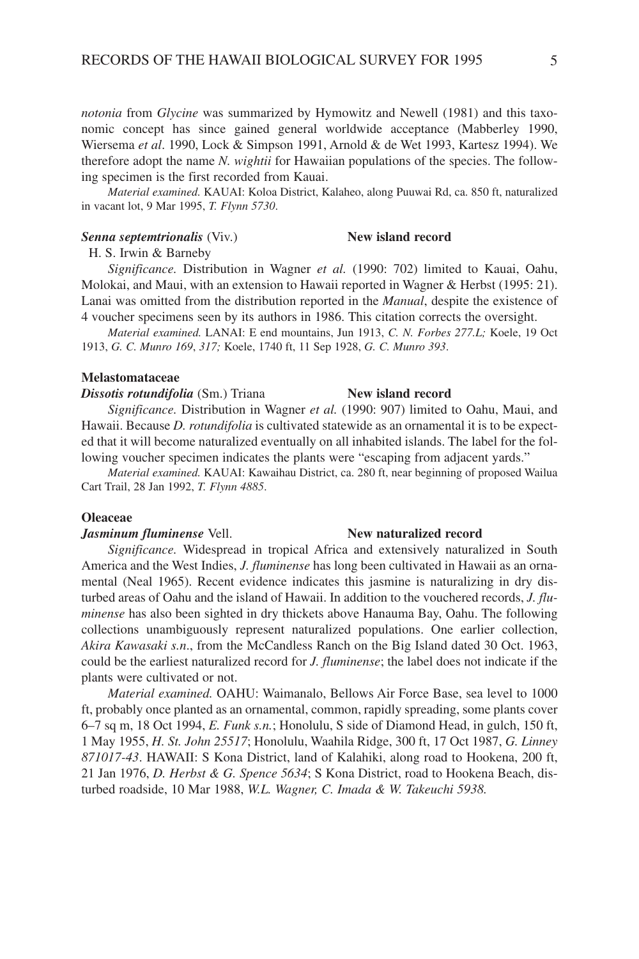*notonia* from *Glycine* was summarized by Hymowitz and Newell (1981) and this taxonomic concept has since gained general worldwide acceptance (Mabberley 1990, Wiersema *et al*. 1990, Lock & Simpson 1991, Arnold & de Wet 1993, Kartesz 1994). We therefore adopt the name *N. wightii* for Hawaiian populations of the species. The following specimen is the first recorded from Kauai.

*Material examined.* KAUAI: Koloa District, Kalaheo, along Puuwai Rd, ca. 850 ft, naturalized in vacant lot, 9 Mar 1995, *T. Flynn 5730*.

### **Senna septemtrionalis** (Viv.) **New island record**

H. S. Irwin & Barneby

*Significance.* Distribution in Wagner *et al.* (1990: 702) limited to Kauai, Oahu, Molokai, and Maui, with an extension to Hawaii reported in Wagner & Herbst (1995: 21). Lanai was omitted from the distribution reported in the *Manual*, despite the existence of 4 voucher specimens seen by its authors in 1986. This citation corrects the oversight.

*Material examined.* LANAI: E end mountains, Jun 1913, *C. N. Forbes 277.L;* Koele, 19 Oct 1913, *G. C. Munro 169*, *317;* Koele, 1740 ft, 11 Sep 1928, *G. C. Munro 393*.

#### **Melastomataceae**

#### **Dissotis rotundifolia** (Sm.) Triana **New island record**

*Significance.* Distribution in Wagner *et al.* (1990: 907) limited to Oahu, Maui, and Hawaii. Because *D. rotundifolia* is cultivated statewide as an ornamental it is to be expected that it will become naturalized eventually on all inhabited islands. The label for the following voucher specimen indicates the plants were "escaping from adjacent yards."

*Material examined.* KAUAI: Kawaihau District, ca. 280 ft, near beginning of proposed Wailua Cart Trail, 28 Jan 1992, *T. Flynn 4885*.

#### **Oleaceae**

#### *Jasminum fluminense* Vell. **New naturalized record**

*Significance.* Widespread in tropical Africa and extensively naturalized in South America and the West Indies, *J. fluminense* has long been cultivated in Hawaii as an ornamental (Neal 1965). Recent evidence indicates this jasmine is naturalizing in dry disturbed areas of Oahu and the island of Hawaii. In addition to the vouchered records, *J. fluminense* has also been sighted in dry thickets above Hanauma Bay, Oahu. The following collections unambiguously represent naturalized populations. One earlier collection, *Akira Kawasaki s.n*., from the McCandless Ranch on the Big Island dated 30 Oct. 1963, could be the earliest naturalized record for *J. fluminense*; the label does not indicate if the plants were cultivated or not.

*Material examined.* OAHU: Waimanalo, Bellows Air Force Base, sea level to 1000 ft, probably once planted as an ornamental, common, rapidly spreading, some plants cover 6–7 sq m, 18 Oct 1994, *E. Funk s.n.*; Honolulu, S side of Diamond Head, in gulch, 150 ft, 1 May 1955, *H. St. John 25517*; Honolulu, Waahila Ridge, 300 ft, 17 Oct 1987, *G. Linney 871017-43*. HAWAII: S Kona District, land of Kalahiki, along road to Hookena, 200 ft, 21 Jan 1976, *D. Herbst & G. Spence 5634*; S Kona District, road to Hookena Beach, disturbed roadside, 10 Mar 1988, *W.L. Wagner, C. Imada & W. Takeuchi 5938.*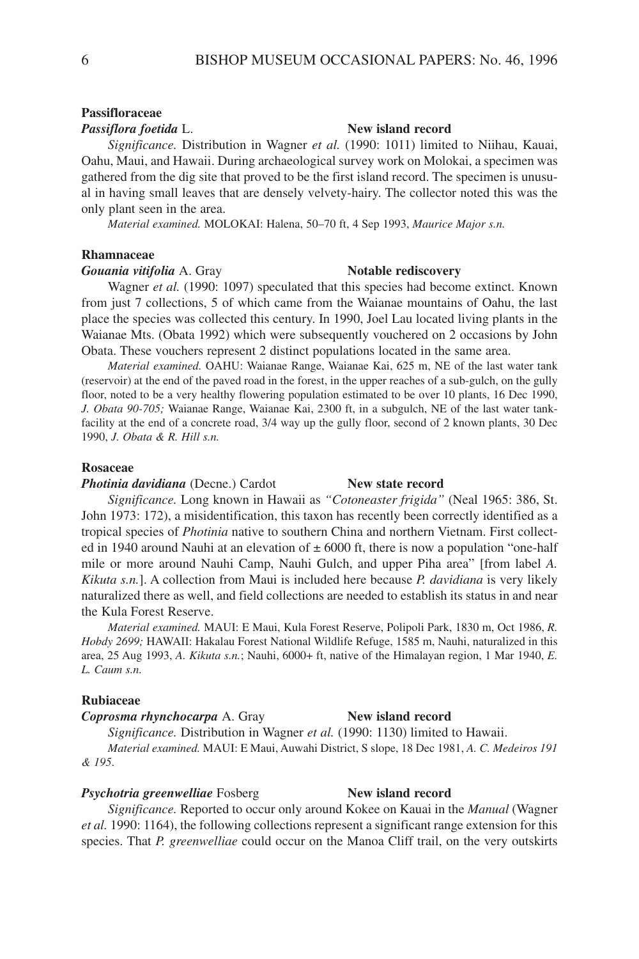### **Passifloraceae**

#### *Passiflora foetida* L. **New island record**

*Significance.* Distribution in Wagner *et al.* (1990: 1011) limited to Niihau, Kauai, Oahu, Maui, and Hawaii. During archaeological survey work on Molokai, a specimen was gathered from the dig site that proved to be the first island record. The specimen is unusual in having small leaves that are densely velvety-hairy. The collector noted this was the only plant seen in the area.

*Material examined.* MOLOKAI: Halena, 50–70 ft, 4 Sep 1993, *Maurice Major s.n.*

#### **Rhamnaceae**

### **Gouania vitifolia** A. Gray **Notable rediscovery**

Wagner *et al.* (1990: 1097) speculated that this species had become extinct. Known from just 7 collections, 5 of which came from the Waianae mountains of Oahu, the last place the species was collected this century. In 1990, Joel Lau located living plants in the Waianae Mts. (Obata 1992) which were subsequently vouchered on 2 occasions by John Obata. These vouchers represent 2 distinct populations located in the same area.

*Material examined.* OAHU: Waianae Range, Waianae Kai, 625 m, NE of the last water tank (reservoir) at the end of the paved road in the forest, in the upper reaches of a sub-gulch, on the gully floor, noted to be a very healthy flowering population estimated to be over 10 plants, 16 Dec 1990, *J. Obata 90-705;* Waianae Range, Waianae Kai, 2300 ft, in a subgulch, NE of the last water tankfacility at the end of a concrete road, 3/4 way up the gully floor, second of 2 known plants, 30 Dec 1990, *J. Obata & R. Hill s.n.*

### **Rosaceae**

**Photinia davidiana** (Decne.) Cardot **New state record** 

*Significance.* Long known in Hawaii as *"Cotoneaster frigida"* (Neal 1965: 386, St. John 1973: 172), a misidentification, this taxon has recently been correctly identified as a tropical species of *Photinia* native to southern China and northern Vietnam. First collected in 1940 around Nauhi at an elevation of  $\pm$  6000 ft, there is now a population "one-half" mile or more around Nauhi Camp, Nauhi Gulch, and upper Piha area" [from label *A. Kikuta s.n.*]. A collection from Maui is included here because *P. davidiana* is very likely naturalized there as well, and field collections are needed to establish its status in and near the Kula Forest Reserve.

*Material examined.* MAUI: E Maui, Kula Forest Reserve, Polipoli Park, 1830 m, Oct 1986, *R. Hobdy 2699;* HAWAII: Hakalau Forest National Wildlife Refuge, 1585 m, Nauhi, naturalized in this area, 25 Aug 1993, A. Kikuta s.n.; Nauhi, 6000+ ft, native of the Himalayan region, 1 Mar 1940, *E. L. Caum s.n.*

### **Rubiaceae**

### *Coprosma rhynchocarpa* A. Gray **New island record**

*Significance.* Distribution in Wagner *et al.* (1990: 1130) limited to Hawaii. *Material examined.* MAUI: E Maui, Auwahi District, S slope, 18 Dec 1981, *A. C. Medeiros 191*

*& 195*.

#### **Psychotria greenwelliae** Fosberg **New island record**

*Significance.* Reported to occur only around Kokee on Kauai in the *Manual* (Wagner *et al.* 1990: 1164), the following collections represent a significant range extension for this species. That *P. greenwelliae* could occur on the Manoa Cliff trail, on the very outskirts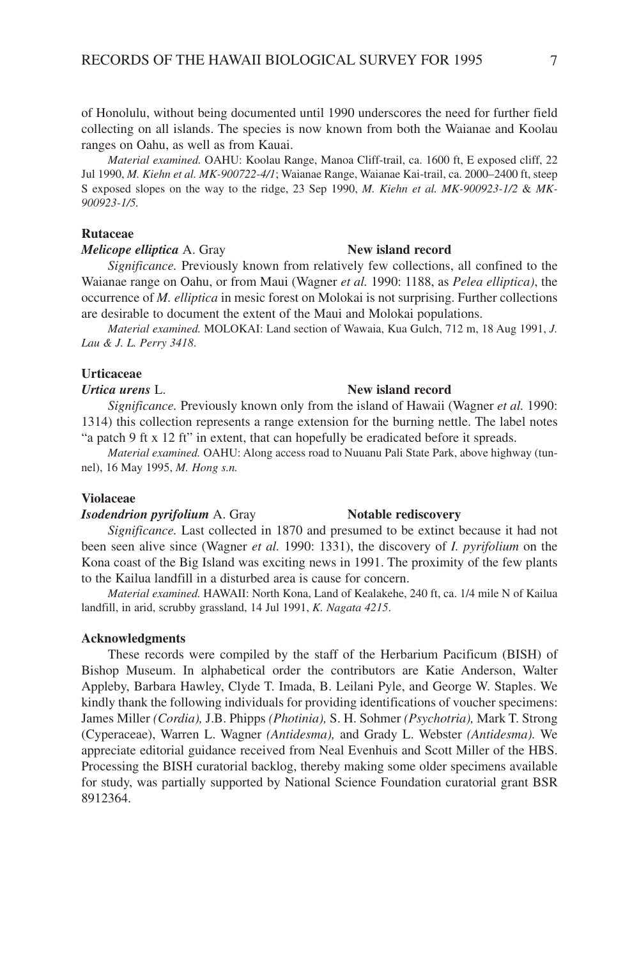of Honolulu, without being documented until 1990 underscores the need for further field collecting on all islands. The species is now known from both the Waianae and Koolau ranges on Oahu, as well as from Kauai.

*Material examined.* OAHU: Koolau Range, Manoa Cliff-trail, ca. 1600 ft, E exposed cliff, 22 Jul 1990, *M. Kiehn et al. MK-900722-4/1*; Waianae Range, Waianae Kai-trail, ca. 2000–2400 ft, steep S exposed slopes on the way to the ridge, 23 Sep 1990, *M. Kiehn et al. MK-900923-1/2* & *MK-900923-1/5.*

### **Rutaceae**

#### *Melicope elliptica* A. Gray **New island record**

*Significance.* Previously known from relatively few collections, all confined to the Waianae range on Oahu, or from Maui (Wagner *et al.* 1990: 1188, as *Pelea elliptica)*, the occurrence of *M. elliptica* in mesic forest on Molokai is not surprising. Further collections are desirable to document the extent of the Maui and Molokai populations.

*Material examined.* MOLOKAI: Land section of Wawaia, Kua Gulch, 712 m, 18 Aug 1991, *J. Lau & J. L. Perry 3418*.

### **Urticaceae**

#### *Urtica urens* L. **New island record**

*Significance.* Previously known only from the island of Hawaii (Wagner *et al.* 1990: 1314) this collection represents a range extension for the burning nettle. The label notes

"a patch 9 ft x 12 ft" in extent, that can hopefully be eradicated before it spreads. *Material examined.* OAHU: Along access road to Nuuanu Pali State Park, above highway (tun-

nel), 16 May 1995, *M. Hong s.n.*

### **Violaceae**

#### *Isodendrion pyrifolium* A. Gray **Notable rediscovery**

*Significance.* Last collected in 1870 and presumed to be extinct because it had not been seen alive since (Wagner *et al.* 1990: 1331), the discovery of *I. pyrifolium* on the Kona coast of the Big Island was exciting news in 1991. The proximity of the few plants to the Kailua landfill in a disturbed area is cause for concern.

*Material examined.* HAWAII: North Kona, Land of Kealakehe, 240 ft, ca. 1/4 mile N of Kailua landfill, in arid, scrubby grassland, 14 Jul 1991, *K. Nagata 4215*.

#### **Acknowledgments**

These records were compiled by the staff of the Herbarium Pacificum (BISH) of Bishop Museum. In alphabetical order the contributors are Katie Anderson, Walter Appleby, Barbara Hawley, Clyde T. Imada, B. Leilani Pyle, and George W. Staples. We kindly thank the following individuals for providing identifications of voucher specimens: James Miller *(Cordia),* J.B. Phipps *(Photinia),* S. H. Sohmer *(Psychotria),* Mark T. Strong (Cyperaceae), Warren L. Wagner *(Antidesma),* and Grady L. Webster *(Antidesma).* We appreciate editorial guidance received from Neal Evenhuis and Scott Miller of the HBS. Processing the BISH curatorial backlog, thereby making some older specimens available for study, was partially supported by National Science Foundation curatorial grant BSR 8912364.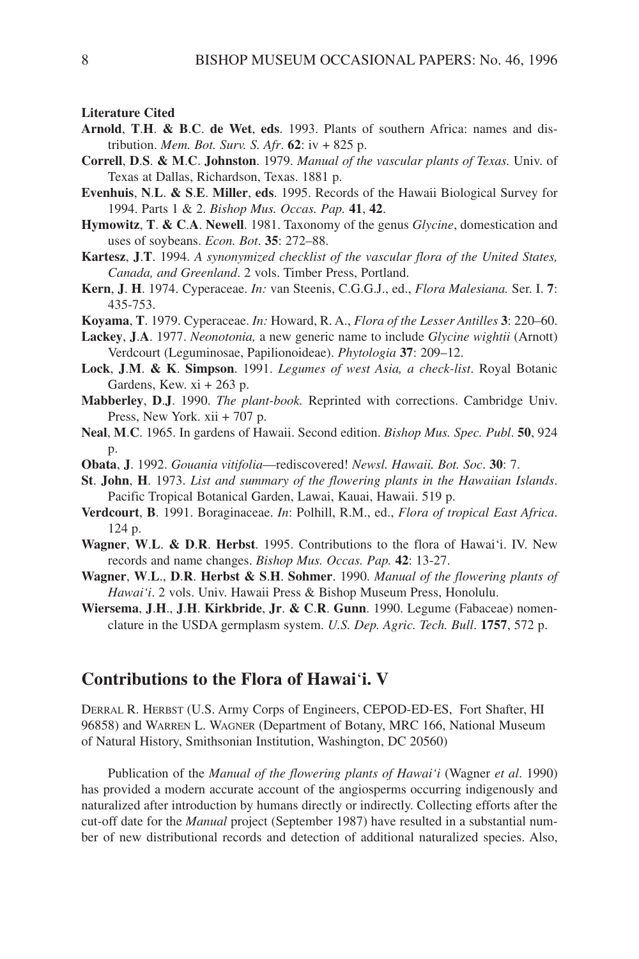**Literature Cited**

- **Arnold**, **T**.**H**. **& B**.**C**. **de Wet**, **eds**. 1993. Plants of southern Africa: names and distribution. *Mem. Bot. Surv. S. Afr*. **62**: iv + 825 p.
- **Correll**, **D**.**S**. **& M**.**C**. **Johnston**. 1979. *Manual of the vascular plants of Texas.* Univ. of Texas at Dallas, Richardson, Texas. 1881 p.
- **Evenhuis**, **N**.**L**. **& S**.**E**. **Miller**, **eds**. 1995. Records of the Hawaii Biological Survey for 1994. Parts 1 & 2. *Bishop Mus. Occas. Pap.* **41**, **42**.
- **Hymowitz**, **T**. **& C**.**A**. **Newell**. 1981. Taxonomy of the genus *Glycine*, domestication and uses of soybeans. *Econ. Bot*. **35**: 272–88.
- **Kartesz**, **J**.**T**. 1994. *A synonymized checklist of the vascular flora of the United States, Canada, and Greenland*. 2 vols. Timber Press, Portland.
- **Kern**, **J**. **H**. 1974. Cyperaceae. *In:* van Steenis, C.G.G.J., ed., *Flora Malesiana.* Ser. I. **7**: 435-753.
- **Koyama**, **T**. 1979. Cyperaceae. *In:* Howard, R. A., *Flora of the Lesser Antilles* **3**: 220–60.
- **Lackey**, **J**.**A**. 1977. *Neonotonia,* a new generic name to include *Glycine wightii* (Arnott) Verdcourt (Leguminosae, Papilionoideae). *Phytologia* **37**: 209–12.
- **Lock**, **J**.**M**. **& K**. **Simpson**. 1991. *Legumes of west Asia, a check-list*. Royal Botanic Gardens, Kew.  $xi + 263$  p.
- **Mabberley**, **D**.**J**. 1990. *The plant-book.* Reprinted with corrections. Cambridge Univ. Press, New York. xii + 707 p.
- **Neal**, **M**.**C**. 1965. In gardens of Hawaii. Second edition. *Bishop Mus. Spec. Publ*. **50**, 924 p.
- **Obata**, **J**. 1992. *Gouania vitifolia*—rediscovered! *Newsl. Hawaii. Bot. Soc*. **30**: 7.
- **St**. **John**, **H**. 1973. *List and summary of the flowering plants in the Hawaiian Islands*. Pacific Tropical Botanical Garden, Lawai, Kauai, Hawaii. 519 p.
- **Verdcourt**, **B**. 1991. Boraginaceae. *In*: Polhill, R.M., ed., *Flora of tropical East Africa*. 124 p.
- **Wagner**, **W**.**L**. **& D**.**R**. **Herbst**. 1995. Contributions to the flora of Hawai'i. IV. New records and name changes. *Bishop Mus. Occas. Pap.* **42**: 13-27.
- **Wagner**, **W**.**L**., **D**.**R**. **Herbst & S**.**H**. **Sohmer**. 1990. *Manual of the flowering plants of Hawai'i*. 2 vols. Univ. Hawaii Press & Bishop Museum Press, Honolulu.
- **Wiersema**, **J**.**H**., **J**.**H**. **Kirkbride**, **Jr**. **& C**.**R**. **Gunn**. 1990. Legume (Fabaceae) nomenclature in the USDA germplasm system. *U.S. Dep. Agric. Tech. Bull*. **1757**, 572 p.

## **Contributions to the Flora of Hawai**'**i. V**

DERRAL R. HERBST (U.S. Army Corps of Engineers, CEPOD-ED-ES, Fort Shafter, HI 96858) and WARREN L. WAGNER (Department of Botany, MRC 166, National Museum of Natural History, Smithsonian Institution, Washington, DC 20560)

Publication of the *Manual of the flowering plants of Hawai'i* (Wagner *et al*. 1990) has provided a modern accurate account of the angiosperms occurring indigenously and naturalized after introduction by humans directly or indirectly. Collecting efforts after the cut-off date for the *Manual* project (September 1987) have resulted in a substantial number of new distributional records and detection of additional naturalized species. Also,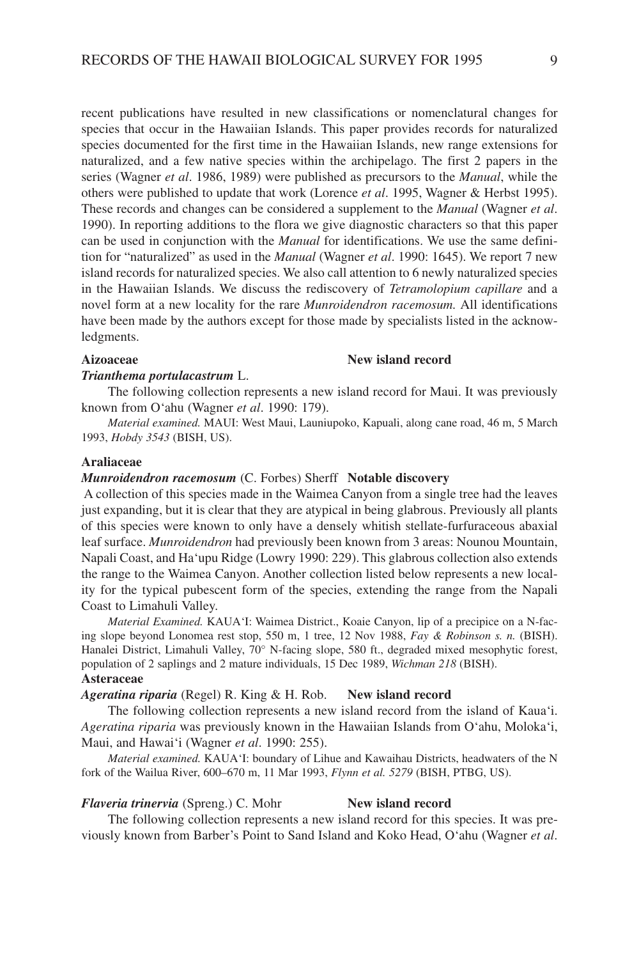recent publications have resulted in new classifications or nomenclatural changes for species that occur in the Hawaiian Islands. This paper provides records for naturalized species documented for the first time in the Hawaiian Islands, new range extensions for naturalized, and a few native species within the archipelago. The first 2 papers in the series (Wagner *et al*. 1986, 1989) were published as precursors to the *Manual*, while the others were published to update that work (Lorence *et al*. 1995, Wagner & Herbst 1995). These records and changes can be considered a supplement to the *Manual* (Wagner *et al*. 1990). In reporting additions to the flora we give diagnostic characters so that this paper can be used in conjunction with the *Manual* for identifications. We use the same definition for "naturalized" as used in the *Manual* (Wagner *et al*. 1990: 1645). We report 7 new island records for naturalized species. We also call attention to 6 newly naturalized species in the Hawaiian Islands. We discuss the rediscovery of *Tetramolopium capillare* and a novel form at a new locality for the rare *Munroidendron racemosum.* All identifications have been made by the authors except for those made by specialists listed in the acknowledgments.

### Aizoaceae New island record

#### *Trianthema portulacastrum* L.

The following collection represents a new island record for Maui. It was previously known from O'ahu (Wagner *et al*. 1990: 179).

*Material examined.* MAUI: West Maui, Launiupoko, Kapuali, along cane road, 46 m, 5 March 1993, *Hobdy 3543* (BISH, US).

#### **Araliaceae**

### *Munroidendron racemosum* (C. Forbes) Sherff **Notable discovery**

A collection of this species made in the Waimea Canyon from a single tree had the leaves just expanding, but it is clear that they are atypical in being glabrous. Previously all plants of this species were known to only have a densely whitish stellate-furfuraceous abaxial leaf surface. *Munroidendron* had previously been known from 3 areas: Nounou Mountain, Napali Coast, and Ha'upu Ridge (Lowry 1990: 229). This glabrous collection also extends the range to the Waimea Canyon. Another collection listed below represents a new locality for the typical pubescent form of the species, extending the range from the Napali Coast to Limahuli Valley.

*Material Examined.* KAUA'I: Waimea District., Koaie Canyon, lip of a precipice on a N-facing slope beyond Lonomea rest stop, 550 m, 1 tree, 12 Nov 1988, *Fay & Robinson s. n.* (BISH). Hanalei District, Limahuli Valley, 70° N-facing slope, 580 ft., degraded mixed mesophytic forest, population of 2 saplings and 2 mature individuals, 15 Dec 1989, *Wichman 218* (BISH). **Asteraceae**

### *Ageratina riparia* (Regel) R. King & H. Rob. **New island record**

The following collection represents a new island record from the island of Kaua'i. *Ageratina riparia* was previously known in the Hawaiian Islands from O'ahu, Moloka'i, Maui, and Hawai'i (Wagner *et al*. 1990: 255).

*Material examined.* KAUA'I: boundary of Lihue and Kawaihau Districts, headwaters of the N fork of the Wailua River, 600–670 m, 11 Mar 1993, *Flynn et al. 5279* (BISH, PTBG, US).

## *Flaveria trinervia* (Spreng.) C. Mohr **New island record**

The following collection represents a new island record for this species. It was previously known from Barber's Point to Sand Island and Koko Head, O'ahu (Wagner *et al*.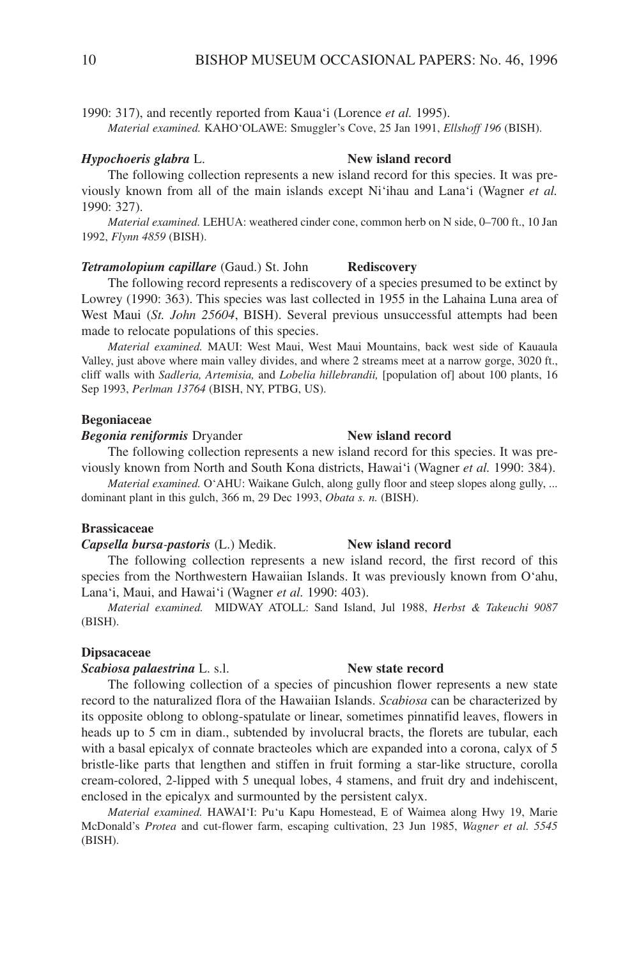1990: 317), and recently reported from Kaua'i (Lorence *et al.* 1995). *Material examined.* KAHO'OLAWE: Smuggler's Cove, 25 Jan 1991, *Ellshoff 196* (BISH).

### *Hypochoeris glabra* L. **New island record**

The following collection represents a new island record for this species. It was previously known from all of the main islands except Ni'ihau and Lana'i (Wagner *et al.* 1990: 327).

*Material examined.* LEHUA: weathered cinder cone, common herb on N side, 0–700 ft., 10 Jan 1992, *Flynn 4859* (BISH).

### *Tetramolopium capillare* (Gaud.) St. John **Rediscovery**

The following record represents a rediscovery of a species presumed to be extinct by Lowrey (1990: 363). This species was last collected in 1955 in the Lahaina Luna area of West Maui (*St. John 25604*, BISH). Several previous unsuccessful attempts had been made to relocate populations of this species.

*Material examined.* MAUI: West Maui, West Maui Mountains, back west side of Kauaula Valley, just above where main valley divides, and where 2 streams meet at a narrow gorge, 3020 ft., cliff walls with *Sadleria, Artemisia,* and *Lobelia hillebrandii,* [population of] about 100 plants, 16 Sep 1993, *Perlman 13764* (BISH, NY, PTBG, US).

### **Begoniaceae**

#### *Begonia reniformis* Dryander **New island record**

The following collection represents a new island record for this species. It was previously known from North and South Kona districts, Hawai'i (Wagner *et al.* 1990: 384).

*Material examined.* O'AHU: Waikane Gulch, along gully floor and steep slopes along gully, ... dominant plant in this gulch, 366 m, 29 Dec 1993, *Obata s. n.* (BISH).

#### **Brassicaceae**

### *Capsella bursa-pastoris* (L.) Medik. **New island record**

The following collection represents a new island record, the first record of this species from the Northwestern Hawaiian Islands. It was previously known from O'ahu, Lana'i, Maui, and Hawai'i (Wagner *et al.* 1990: 403).

*Material examined.* MIDWAY ATOLL: Sand Island, Jul 1988, *Herbst & Takeuchi 9087* (BISH).

### **Dipsacaceae**

*Scabiosa palaestrina* L. s.l. **New state record**

The following collection of a species of pincushion flower represents a new state record to the naturalized flora of the Hawaiian Islands. *Scabiosa* can be characterized by its opposite oblong to oblong-spatulate or linear, sometimes pinnatifid leaves, flowers in heads up to 5 cm in diam., subtended by involucral bracts, the florets are tubular, each with a basal epicalyx of connate bracteoles which are expanded into a corona, calyx of 5 bristle-like parts that lengthen and stiffen in fruit forming a star-like structure, corolla cream-colored, 2-lipped with 5 unequal lobes, 4 stamens, and fruit dry and indehiscent, enclosed in the epicalyx and surmounted by the persistent calyx.

*Material examined.* HAWAI'I: Pu'u Kapu Homestead, E of Waimea along Hwy 19, Marie McDonald's *Protea* and cut-flower farm, escaping cultivation, 23 Jun 1985, *Wagner et al. 5545* (BISH).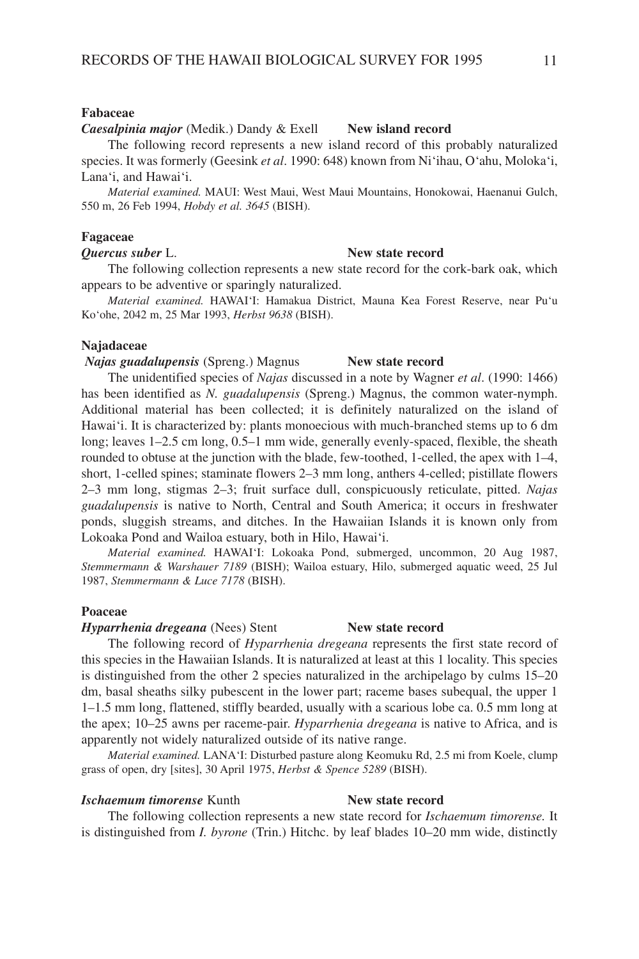#### **Fabaceae**

#### *Caesalpinia major* (Medik.) Dandy & Exell **New island record**

The following record represents a new island record of this probably naturalized species. It was formerly (Geesink *et al*. 1990: 648) known from Ni'ihau, O'ahu, Moloka'i, Lana'i, and Hawai'i.

*Material examined.* MAUI: West Maui, West Maui Mountains, Honokowai, Haenanui Gulch, 550 m, 26 Feb 1994, *Hobdy et al. 3645* (BISH).

#### **Fagaceae**

#### *Quercus suber* L. **New state record**

The following collection represents a new state record for the cork-bark oak, which appears to be adventive or sparingly naturalized.

*Material examined.* HAWAI'I: Hamakua District, Mauna Kea Forest Reserve, near Pu'u Ko'ohe, 2042 m, 25 Mar 1993, *Herbst 9638* (BISH).

#### **Najadaceae**

*Najas guadalupensis* (Spreng.) Magnus **New state record**

The unidentified species of *Najas* discussed in a note by Wagner *et al*. (1990: 1466) has been identified as *N. guadalupensis* (Spreng.) Magnus, the common water-nymph. Additional material has been collected; it is definitely naturalized on the island of Hawai'i. It is characterized by: plants monoecious with much-branched stems up to 6 dm long; leaves 1–2.5 cm long, 0.5–1 mm wide, generally evenly-spaced, flexible, the sheath rounded to obtuse at the junction with the blade, few-toothed, 1-celled, the apex with 1–4, short, 1-celled spines; staminate flowers 2–3 mm long, anthers 4-celled; pistillate flowers 2–3 mm long, stigmas 2–3; fruit surface dull, conspicuously reticulate, pitted. *Najas guadalupensis* is native to North, Central and South America; it occurs in freshwater ponds, sluggish streams, and ditches. In the Hawaiian Islands it is known only from Lokoaka Pond and Wailoa estuary, both in Hilo, Hawai'i.

*Material examined.* HAWAI'I: Lokoaka Pond, submerged, uncommon, 20 Aug 1987, *Stemmermann & Warshauer 7189* (BISH); Wailoa estuary, Hilo, submerged aquatic weed, 25 Jul 1987, *Stemmermann & Luce 7178* (BISH).

#### **Poaceae**

#### *Hyparrhenia dregeana* (Nees) Stent **New state record**

The following record of *Hyparrhenia dregeana* represents the first state record of this species in the Hawaiian Islands. It is naturalized at least at this 1 locality. This species is distinguished from the other 2 species naturalized in the archipelago by culms 15–20 dm, basal sheaths silky pubescent in the lower part; raceme bases subequal, the upper 1 1–1.5 mm long, flattened, stiffly bearded, usually with a scarious lobe ca. 0.5 mm long at the apex; 10–25 awns per raceme-pair. *Hyparrhenia dregeana* is native to Africa, and is apparently not widely naturalized outside of its native range.

*Material examined.* LANA'I: Disturbed pasture along Keomuku Rd, 2.5 mi from Koele, clump grass of open, dry [sites], 30 April 1975, *Herbst & Spence 5289* (BISH).

#### **Ischaemum timorense** Kunth **New state record**

The following collection represents a new state record for *Ischaemum timorense.* It is distinguished from *I. byrone* (Trin.) Hitchc. by leaf blades 10–20 mm wide, distinctly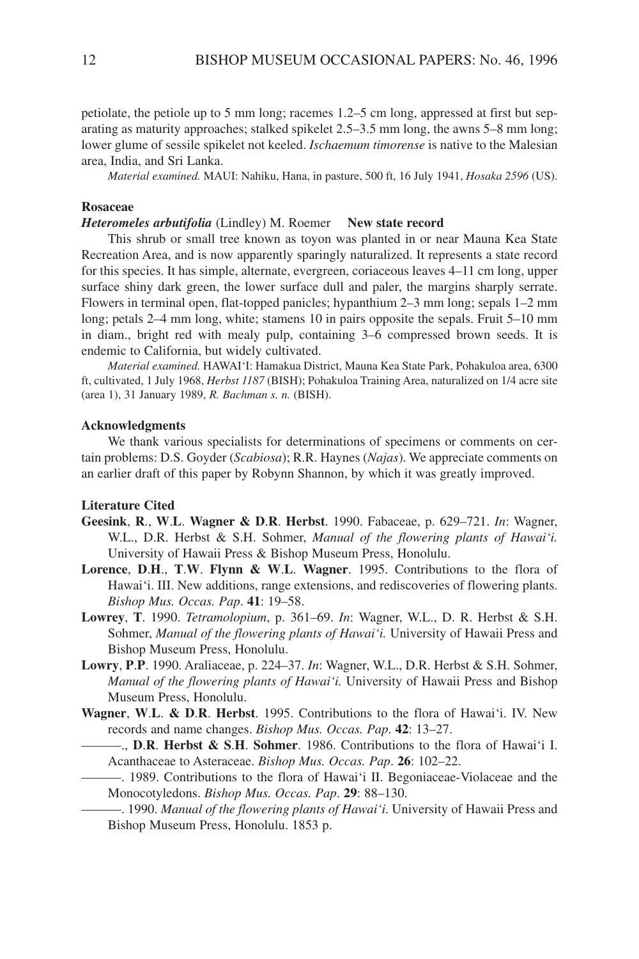petiolate, the petiole up to 5 mm long; racemes 1.2–5 cm long, appressed at first but separating as maturity approaches; stalked spikelet 2.5–3.5 mm long, the awns 5–8 mm long; lower glume of sessile spikelet not keeled. *Ischaemum timorense* is native to the Malesian area, India, and Sri Lanka.

*Material examined.* MAUI: Nahiku, Hana, in pasture, 500 ft, 16 July 1941, *Hosaka 2596* (US).

#### **Rosaceae**

### *Heteromeles arbutifolia* (Lindley) M. Roemer **New state record**

This shrub or small tree known as toyon was planted in or near Mauna Kea State Recreation Area, and is now apparently sparingly naturalized. It represents a state record for this species. It has simple, alternate, evergreen, coriaceous leaves 4–11 cm long, upper surface shiny dark green, the lower surface dull and paler, the margins sharply serrate. Flowers in terminal open, flat-topped panicles; hypanthium 2–3 mm long; sepals 1–2 mm long; petals 2–4 mm long, white; stamens 10 in pairs opposite the sepals. Fruit 5–10 mm in diam., bright red with mealy pulp, containing 3–6 compressed brown seeds. It is endemic to California, but widely cultivated.

*Material examined.* HAWAI'I: Hamakua District, Mauna Kea State Park, Pohakuloa area, 6300 ft, cultivated, 1 July 1968, *Herbst 1187* (BISH); Pohakuloa Training Area, naturalized on 1/4 acre site (area 1), 31 January 1989, *R. Bachman s. n.* (BISH).

#### **Acknowledgments**

We thank various specialists for determinations of specimens or comments on certain problems: D.S. Goyder (*Scabiosa*); R.R. Haynes (*Najas*). We appreciate comments on an earlier draft of this paper by Robynn Shannon, by which it was greatly improved.

### **Literature Cited**

- **Geesink**, **R**., **W**.**L**. **Wagner & D**.**R**. **Herbst**. 1990. Fabaceae, p. 629–721. *In*: Wagner, W.L., D.R. Herbst & S.H. Sohmer, *Manual of the flowering plants of Hawai'i.* University of Hawaii Press & Bishop Museum Press, Honolulu.
- **Lorence**, **D**.**H**., **T**.**W**. **Flynn & W**.**L**. **Wagner**. 1995. Contributions to the flora of Hawai'i. III. New additions, range extensions, and rediscoveries of flowering plants. *Bishop Mus. Occas. Pap*. **41**: 19–58.
- **Lowrey**, **T**. 1990. *Tetramolopium*, p. 361–69. *In*: Wagner, W.L., D. R. Herbst & S.H. Sohmer, *Manual of the flowering plants of Hawai'i.* University of Hawaii Press and Bishop Museum Press, Honolulu.
- **Lowry**, **P**.**P**. 1990. Araliaceae, p. 224–37. *In*: Wagner, W.L., D.R. Herbst & S.H. Sohmer, *Manual of the flowering plants of Hawai'i.* University of Hawaii Press and Bishop Museum Press, Honolulu.
- **Wagner**, **W**.**L**. **& D**.**R**. **Herbst**. 1995. Contributions to the flora of Hawai'i. IV. New records and name changes. *Bishop Mus. Occas. Pap*. **42**: 13–27.
	- ———., **D**.**R**. **Herbst & S**.**H**. **Sohmer**. 1986. Contributions to the flora of Hawai'i I. Acanthaceae to Asteraceae. *Bishop Mus. Occas. Pap*. **26**: 102–22.
	- ———. 1989. Contributions to the flora of Hawai'i II. Begoniaceae-Violaceae and the Monocotyledons. *Bishop Mus. Occas. Pap*. **29**: 88–130.
	- ———. 1990. *Manual of the flowering plants of Hawai'i*. University of Hawaii Press and Bishop Museum Press, Honolulu. 1853 p.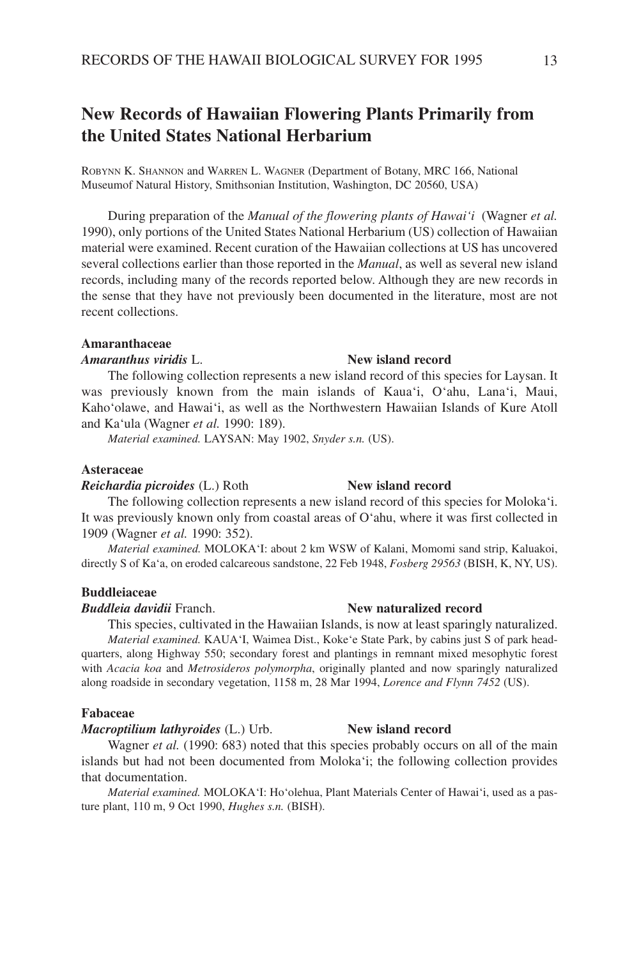# **New Records of Hawaiian Flowering Plants Primarily from the United States National Herbarium**

ROBYNN K. SHANNON and WARREN L. WAGNER (Department of Botany, MRC 166, National Museumof Natural History, Smithsonian Institution, Washington, DC 20560, USA)

During preparation of the *Manual of the flowering plants of Hawai'i* (Wagner *et al.* 1990), only portions of the United States National Herbarium (US) collection of Hawaiian material were examined. Recent curation of the Hawaiian collections at US has uncovered several collections earlier than those reported in the *Manual*, as well as several new island records, including many of the records reported below. Although they are new records in the sense that they have not previously been documented in the literature, most are not recent collections.

#### **Amaranthaceae**

### *Amaranthus viridis* L. **New island record**

The following collection represents a new island record of this species for Laysan. It was previously known from the main islands of Kaua'i, O'ahu, Lana'i, Maui, Kaho'olawe, and Hawai'i, as well as the Northwestern Hawaiian Islands of Kure Atoll and Ka'ula (Wagner *et al.* 1990: 189).

*Material examined.* LAYSAN: May 1902, *Snyder s.n.* (US).

#### **Asteraceae**

#### *Reichardia picroides* (L.) Roth **New island record**

The following collection represents a new island record of this species for Moloka'i. It was previously known only from coastal areas of O'ahu, where it was first collected in 1909 (Wagner *et al.* 1990: 352).

*Material examined.* MOLOKA'I: about 2 km WSW of Kalani, Momomi sand strip, Kaluakoi, directly S of Ka'a, on eroded calcareous sandstone, 22 Feb 1948, *Fosberg 29563* (BISH, K, NY, US).

#### **Buddleiaceae**

#### *Buddleia davidii* Franch. **New naturalized record**

This species, cultivated in the Hawaiian Islands, is now at least sparingly naturalized. *Material examined.* KAUA'I, Waimea Dist., Koke'e State Park, by cabins just S of park headquarters, along Highway 550; secondary forest and plantings in remnant mixed mesophytic forest with *Acacia koa* and *Metrosideros polymorpha*, originally planted and now sparingly naturalized along roadside in secondary vegetation, 1158 m, 28 Mar 1994, *Lorence and Flynn 7452* (US).

#### **Fabaceae**

#### *Macroptilium lathyroides* (L.) Urb. **New island record**

Wagner *et al.* (1990: 683) noted that this species probably occurs on all of the main islands but had not been documented from Moloka'i; the following collection provides that documentation.

*Material examined.* MOLOKA'I: Ho'olehua, Plant Materials Center of Hawai'i, used as a pasture plant, 110 m, 9 Oct 1990, *Hughes s.n.* (BISH).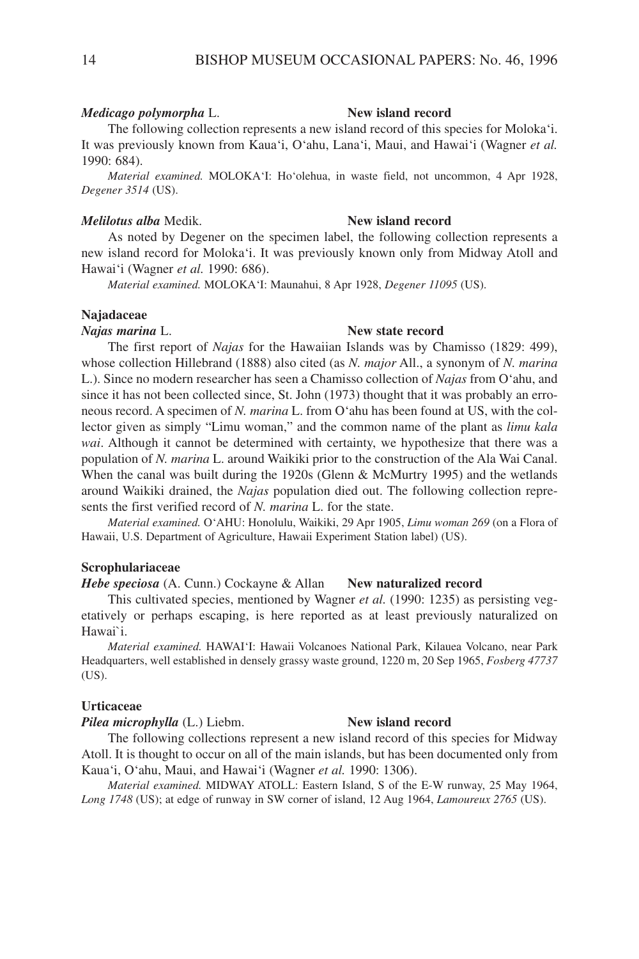#### *Medicago polymorpha* L. **New island record**

The following collection represents a new island record of this species for Moloka'i. It was previously known from Kaua'i, O'ahu, Lana'i, Maui, and Hawai'i (Wagner *et al.* 1990: 684).

*Material examined.* MOLOKA'I: Ho'olehua, in waste field, not uncommon, 4 Apr 1928, *Degener 3514* (US).

#### *Melilotus alba* Medik. **New island record**

As noted by Degener on the specimen label, the following collection represents a new island record for Moloka'i. It was previously known only from Midway Atoll and Hawai'i (Wagner *et al.* 1990: 686).

*Material examined.* MOLOKA'I: Maunahui, 8 Apr 1928, *Degener 11095* (US).

### **Najadaceae**

#### *Najas marina* L. **New state record**

The first report of *Najas* for the Hawaiian Islands was by Chamisso (1829: 499), whose collection Hillebrand (1888) also cited (as *N. major* All., a synonym of *N. marina* L.). Since no modern researcher has seen a Chamisso collection of *Najas* from O'ahu, and since it has not been collected since, St. John (1973) thought that it was probably an erroneous record. A specimen of *N. marina* L. from O'ahu has been found at US, with the collector given as simply "Limu woman," and the common name of the plant as *limu kala wai*. Although it cannot be determined with certainty, we hypothesize that there was a population of *N. marina* L. around Waikiki prior to the construction of the Ala Wai Canal. When the canal was built during the 1920s (Glenn & McMurtry 1995) and the wetlands around Waikiki drained, the *Najas* population died out. The following collection represents the first verified record of *N. marina* L. for the state.

*Material examined.* O'AHU: Honolulu, Waikiki, 29 Apr 1905, *Limu woman 269* (on a Flora of Hawaii, U.S. Department of Agriculture, Hawaii Experiment Station label) (US).

### **Scrophulariaceae**

*Hebe speciosa* (A. Cunn.) Cockayne & Allan **New naturalized record**

This cultivated species, mentioned by Wagner *et al.* (1990: 1235) as persisting vegetatively or perhaps escaping, is here reported as at least previously naturalized on Hawai`i.

*Material examined.* HAWAI'I: Hawaii Volcanoes National Park, Kilauea Volcano, near Park Headquarters, well established in densely grassy waste ground, 1220 m, 20 Sep 1965, *Fosberg 47737* (US).

#### **Urticaceae**

#### *Pilea microphylla* (L.) Liebm. **New island record**

The following collections represent a new island record of this species for Midway Atoll. It is thought to occur on all of the main islands, but has been documented only from Kaua'i, O'ahu, Maui, and Hawai'i (Wagner *et al.* 1990: 1306).

*Material examined.* MIDWAY ATOLL: Eastern Island, S of the E-W runway, 25 May 1964, *Long 1748* (US); at edge of runway in SW corner of island, 12 Aug 1964, *Lamoureux 2765* (US).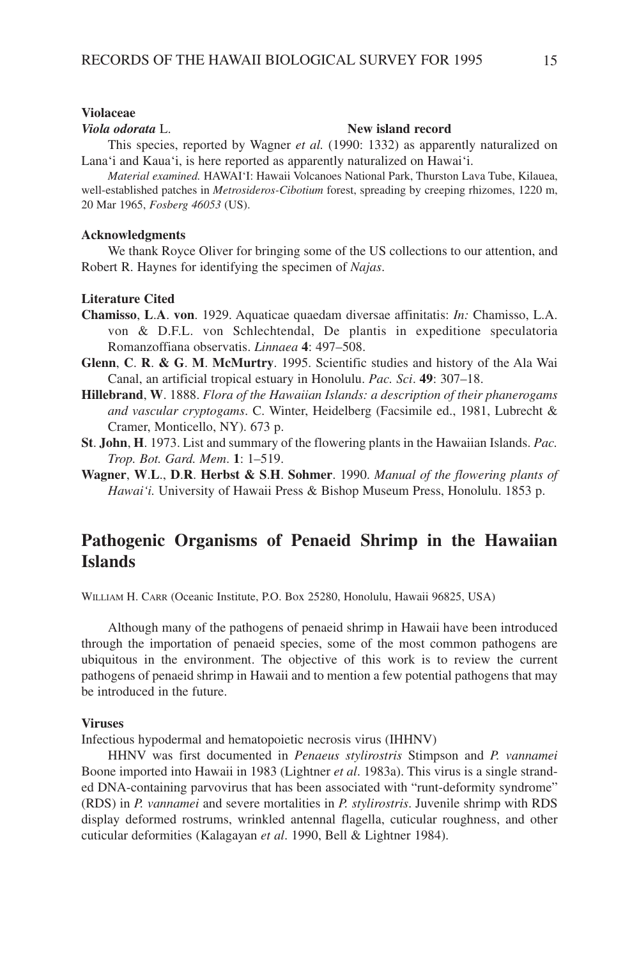#### **Violaceae**

#### *Viola odorata* L. **New island record**

This species, reported by Wagner *et al.* (1990: 1332) as apparently naturalized on Lana'i and Kaua'i, is here reported as apparently naturalized on Hawai'i.

*Material examined.* HAWAI'I: Hawaii Volcanoes National Park, Thurston Lava Tube, Kilauea, well-established patches in *Metrosideros-Cibotium* forest, spreading by creeping rhizomes, 1220 m, 20 Mar 1965, *Fosberg 46053* (US).

#### **Acknowledgments**

We thank Royce Oliver for bringing some of the US collections to our attention, and Robert R. Haynes for identifying the specimen of *Najas*.

### **Literature Cited**

- **Chamisso**, **L**.**A**. **von**. 1929. Aquaticae quaedam diversae affinitatis: *In:* Chamisso, L.A. von & D.F.L. von Schlechtendal, De plantis in expeditione speculatoria Romanzoffiana observatis. *Linnaea* **4**: 497–508.
- **Glenn**, **C**. **R**. **& G**. **M**. **McMurtry**. 1995. Scientific studies and history of the Ala Wai Canal, an artificial tropical estuary in Honolulu. *Pac. Sci*. **49**: 307–18.
- **Hillebrand**, **W**. 1888. *Flora of the Hawaiian Islands: a description of their phanerogams and vascular cryptogams*. C. Winter, Heidelberg (Facsimile ed., 1981, Lubrecht & Cramer, Monticello, NY). 673 p.
- **St**. **John**, **H**. 1973. List and summary of the flowering plants in the Hawaiian Islands. *Pac. Trop. Bot. Gard. Mem*. **1**: 1–519.
- **Wagner**, **W**.**L**., **D**.**R**. **Herbst & S**.**H**. **Sohmer**. 1990. *Manual of the flowering plants of Hawai'i.* University of Hawaii Press & Bishop Museum Press, Honolulu. 1853 p.

# **Pathogenic Organisms of Penaeid Shrimp in the Hawaiian Islands**

WILLIAM H. CARR (Oceanic Institute, P.O. Box 25280, Honolulu, Hawaii 96825, USA)

Although many of the pathogens of penaeid shrimp in Hawaii have been introduced through the importation of penaeid species, some of the most common pathogens are ubiquitous in the environment. The objective of this work is to review the current pathogens of penaeid shrimp in Hawaii and to mention a few potential pathogens that may be introduced in the future.

### **Viruses**

Infectious hypodermal and hematopoietic necrosis virus (IHHNV)

HHNV was first documented in *Penaeus stylirostris* Stimpson and *P. vannamei* Boone imported into Hawaii in 1983 (Lightner *et al*. 1983a). This virus is a single stranded DNA-containing parvovirus that has been associated with "runt-deformity syndrome" (RDS) in *P. vannamei* and severe mortalities in *P. stylirostris*. Juvenile shrimp with RDS display deformed rostrums, wrinkled antennal flagella, cuticular roughness, and other cuticular deformities (Kalagayan *et al*. 1990, Bell & Lightner 1984).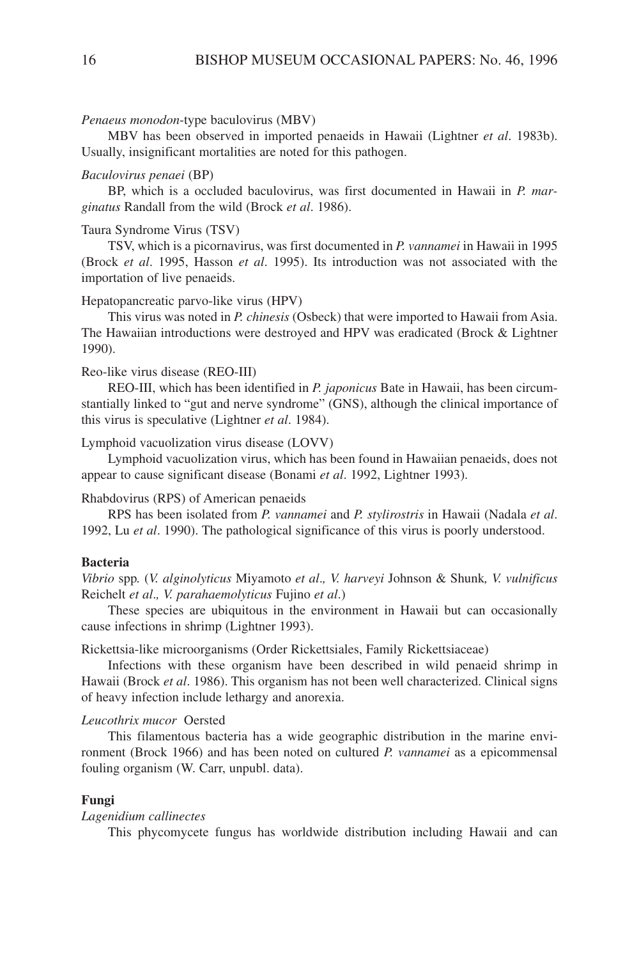#### *Penaeus monodon*-type baculovirus (MBV)

MBV has been observed in imported penaeids in Hawaii (Lightner *et al*. 1983b). Usually, insignificant mortalities are noted for this pathogen.

#### *Baculovirus penaei* (BP)

BP, which is a occluded baculovirus, was first documented in Hawaii in *P. marginatus* Randall from the wild (Brock *et al*. 1986).

#### Taura Syndrome Virus (TSV)

TSV, which is a picornavirus, was first documented in *P. vannamei* in Hawaii in 1995 (Brock *et al*. 1995, Hasson *et al*. 1995). Its introduction was not associated with the importation of live penaeids.

### Hepatopancreatic parvo-like virus (HPV)

This virus was noted in *P. chinesis* (Osbeck) that were imported to Hawaii from Asia. The Hawaiian introductions were destroyed and HPV was eradicated (Brock & Lightner 1990).

#### Reo-like virus disease (REO-III)

REO-III, which has been identified in *P. japonicus* Bate in Hawaii, has been circumstantially linked to "gut and nerve syndrome" (GNS), although the clinical importance of this virus is speculative (Lightner *et al*. 1984).

Lymphoid vacuolization virus disease (LOVV)

Lymphoid vacuolization virus, which has been found in Hawaiian penaeids, does not appear to cause significant disease (Bonami *et al*. 1992, Lightner 1993).

#### Rhabdovirus (RPS) of American penaeids

RPS has been isolated from *P. vannamei* and *P. stylirostris* in Hawaii (Nadala *et al*. 1992, Lu *et al*. 1990). The pathological significance of this virus is poorly understood.

### **Bacteria**

*Vibrio* spp*.* (*V. alginolyticus* Miyamoto *et al*.*, V. harveyi* Johnson & Shunk*, V. vulnificus* Reichelt *et al*.*, V. parahaemolyticus* Fujino *et al*.)

These species are ubiquitous in the environment in Hawaii but can occasionally cause infections in shrimp (Lightner 1993).

Rickettsia-like microorganisms (Order Rickettsiales, Family Rickettsiaceae)

Infections with these organism have been described in wild penaeid shrimp in Hawaii (Brock *et al*. 1986). This organism has not been well characterized. Clinical signs of heavy infection include lethargy and anorexia.

#### *Leucothrix mucor* Oersted

This filamentous bacteria has a wide geographic distribution in the marine environment (Brock 1966) and has been noted on cultured *P. vannamei* as a epicommensal fouling organism (W. Carr, unpubl. data).

#### **Fungi**

### *Lagenidium callinectes*

This phycomycete fungus has worldwide distribution including Hawaii and can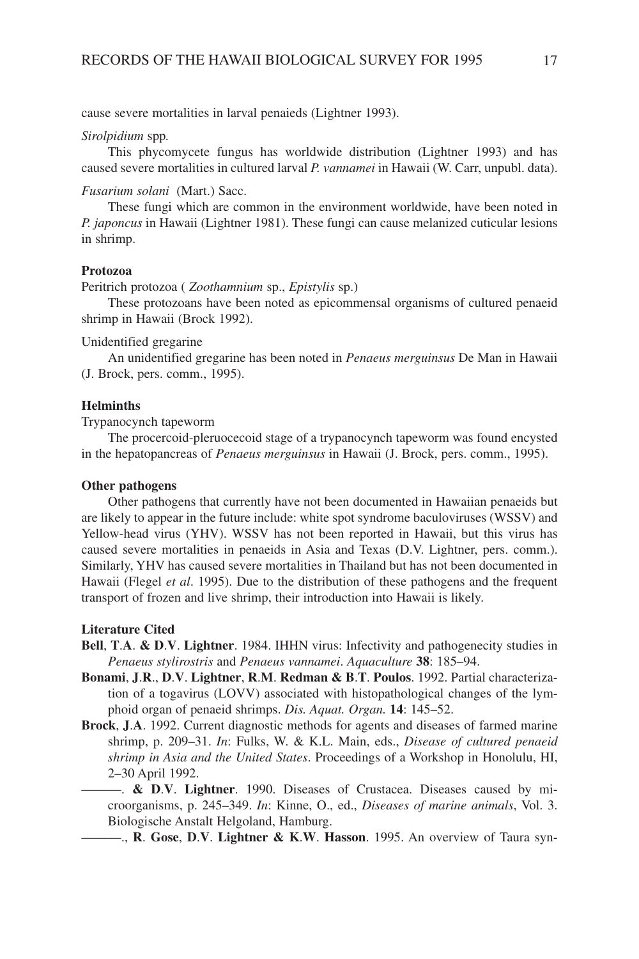cause severe mortalities in larval penaieds (Lightner 1993).

#### *Sirolpidium* spp*.*

This phycomycete fungus has worldwide distribution (Lightner 1993) and has caused severe mortalities in cultured larval *P. vannamei* in Hawaii (W. Carr, unpubl. data).

### *Fusarium solani* (Mart.) Sacc.

These fungi which are common in the environment worldwide, have been noted in *P. japoncus* in Hawaii (Lightner 1981). These fungi can cause melanized cuticular lesions in shrimp.

#### **Protozoa**

Peritrich protozoa ( *Zoothamnium* sp., *Epistylis* sp.)

These protozoans have been noted as epicommensal organisms of cultured penaeid shrimp in Hawaii (Brock 1992).

#### Unidentified gregarine

An unidentified gregarine has been noted in *Penaeus merguinsus* De Man in Hawaii (J. Brock, pers. comm., 1995).

#### **Helminths**

Trypanocynch tapeworm

The procercoid-pleruocecoid stage of a trypanocynch tapeworm was found encysted in the hepatopancreas of *Penaeus merguinsus* in Hawaii (J. Brock, pers. comm., 1995).

### **Other pathogens**

Other pathogens that currently have not been documented in Hawaiian penaeids but are likely to appear in the future include: white spot syndrome baculoviruses (WSSV) and Yellow-head virus (YHV). WSSV has not been reported in Hawaii, but this virus has caused severe mortalities in penaeids in Asia and Texas (D.V. Lightner, pers. comm.). Similarly, YHV has caused severe mortalities in Thailand but has not been documented in Hawaii (Flegel *et al*. 1995). Due to the distribution of these pathogens and the frequent transport of frozen and live shrimp, their introduction into Hawaii is likely.

#### **Literature Cited**

- **Bell**, **T**.**A**. **& D**.**V**. **Lightner**. 1984. IHHN virus: Infectivity and pathogenecity studies in *Penaeus stylirostris* and *Penaeus vannamei*. *Aquaculture* **38**: 185–94.
- **Bonami**, **J**.**R**., **D**.**V**. **Lightner**, **R**.**M**. **Redman & B**.**T**. **Poulos**. 1992. Partial characterization of a togavirus (LOVV) associated with histopathological changes of the lymphoid organ of penaeid shrimps. *Dis. Aquat. Organ.* **14**: 145–52.
- **Brock**, **J**.**A**. 1992. Current diagnostic methods for agents and diseases of farmed marine shrimp, p. 209–31. *In*: Fulks, W. & K.L. Main, eds., *Disease of cultured penaeid shrimp in Asia and the United States*. Proceedings of a Workshop in Honolulu, HI, 2–30 April 1992.
	- ———. **& D**.**V**. **Lightner**. 1990. Diseases of Crustacea. Diseases caused by microorganisms, p. 245–349. *In*: Kinne, O., ed., *Diseases of marine animals*, Vol. 3. Biologische Anstalt Helgoland, Hamburg.

———., **R**. **Gose**, **D**.**V**. **Lightner & K**.**W**. **Hasson**. 1995. An overview of Taura syn-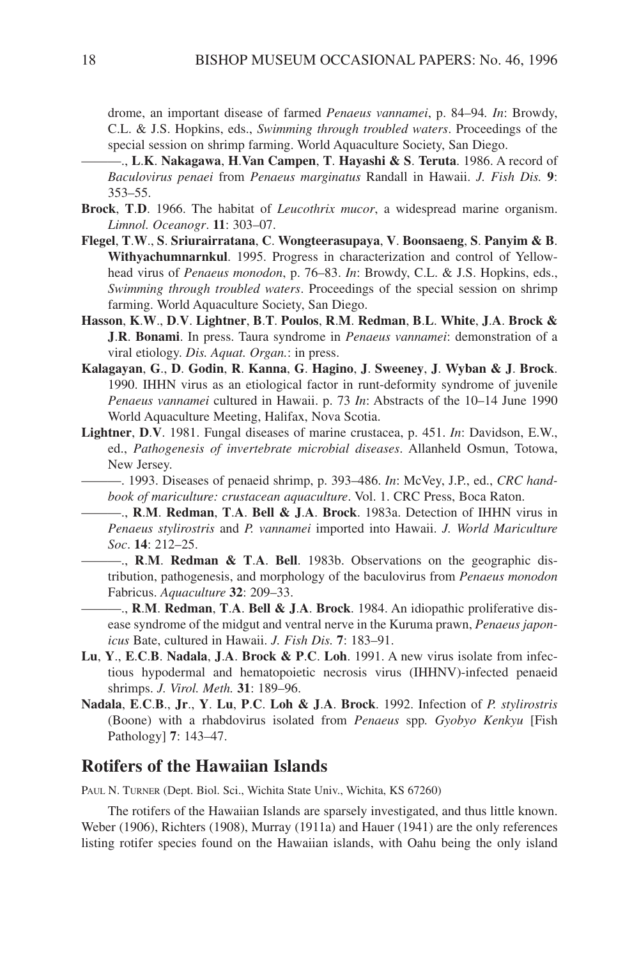drome, an important disease of farmed *Penaeus vannamei*, p. 84–94*. In*: Browdy, C.L. & J.S. Hopkins, eds., *Swimming through troubled waters*. Proceedings of the special session on shrimp farming. World Aquaculture Society, San Diego.

———., **L**.**K**. **Nakagawa**, **H**.**Van Campen**, **T**. **Hayashi & S**. **Teruta**. 1986. A record of *Baculovirus penaei* from *Penaeus marginatus* Randall in Hawaii. *J. Fish Dis.* **9**: 353–55.

- **Brock**, **T**.**D**. 1966. The habitat of *Leucothrix mucor*, a widespread marine organism. *Limnol. Oceanogr*. **11**: 303–07.
- **Flegel**, **T**.**W**., **S**. **Sriurairratana**, **C**. **Wongteerasupaya**, **V**. **Boonsaeng**, **S**. **Panyim & B**. **Withyachumnarnkul**. 1995. Progress in characterization and control of Yellowhead virus of *Penaeus monodon*, p. 76–83. *In*: Browdy, C.L. & J.S. Hopkins, eds., *Swimming through troubled waters*. Proceedings of the special session on shrimp farming. World Aquaculture Society, San Diego.
- **Hasson**, **K**.**W**., **D**.**V**. **Lightner**, **B**.**T**. **Poulos**, **R**.**M**. **Redman**, **B**.**L**. **White**, **J**.**A**. **Brock & J**.**R**. **Bonami**. In press. Taura syndrome in *Penaeus vannamei*: demonstration of a viral etiology. *Dis. Aquat. Organ.*: in press.
- **Kalagayan**, **G**., **D**. **Godin**, **R**. **Kanna**, **G**. **Hagino**, **J**. **Sweeney**, **J**. **Wyban & J**. **Brock**. 1990. IHHN virus as an etiological factor in runt-deformity syndrome of juvenile *Penaeus vannamei* cultured in Hawaii. p. 73 *In*: Abstracts of the 10–14 June 1990 World Aquaculture Meeting, Halifax, Nova Scotia.
- **Lightner**, **D**.**V**. 1981. Fungal diseases of marine crustacea, p. 451. *In*: Davidson, E.W., ed., *Pathogenesis of invertebrate microbial diseases*. Allanheld Osmun, Totowa, New Jersey.
- ———. 1993. Diseases of penaeid shrimp, p. 393–486. *In*: McVey, J.P., ed., *CRC handbook of mariculture: crustacean aquaculture*. Vol. 1. CRC Press, Boca Raton.

———., **R**.**M**. **Redman**, **T**.**A**. **Bell & J**.**A**. **Brock**. 1983a. Detection of IHHN virus in *Penaeus stylirostris* and *P. vannamei* imported into Hawaii. *J. World Mariculture Soc*. **14**: 212–25.

———., **R**.**M**. **Redman & T**.**A**. **Bell**. 1983b. Observations on the geographic distribution, pathogenesis, and morphology of the baculovirus from *Penaeus monodon* Fabricus. *Aquaculture* **32**: 209–33.

———., **R**.**M**. **Redman**, **T**.**A**. **Bell & J**.**A**. **Brock**. 1984. An idiopathic proliferative disease syndrome of the midgut and ventral nerve in the Kuruma prawn, *Penaeus japonicus* Bate, cultured in Hawaii. *J. Fish Dis.* **7**: 183–91.

- **Lu**, **Y**., **E**.**C**.**B**. **Nadala**, **J**.**A**. **Brock & P**.**C**. **Loh**. 1991. A new virus isolate from infectious hypodermal and hematopoietic necrosis virus (IHHNV)-infected penaeid shrimps. *J. Virol. Meth.* **31**: 189–96.
- **Nadala**, **E**.**C**.**B**., **Jr**., **Y**. **Lu**, **P**.**C**. **Loh & J**.**A**. **Brock**. 1992. Infection of *P. stylirostris* (Boone) with a rhabdovirus isolated from *Penaeus* spp*. Gyobyo Kenkyu* [Fish Pathology] **7**: 143–47.

## **Rotifers of the Hawaiian Islands**

PAUL N. TURNER (Dept. Biol. Sci., Wichita State Univ., Wichita, KS 67260)

The rotifers of the Hawaiian Islands are sparsely investigated, and thus little known. Weber (1906), Richters (1908), Murray (1911a) and Hauer (1941) are the only references listing rotifer species found on the Hawaiian islands, with Oahu being the only island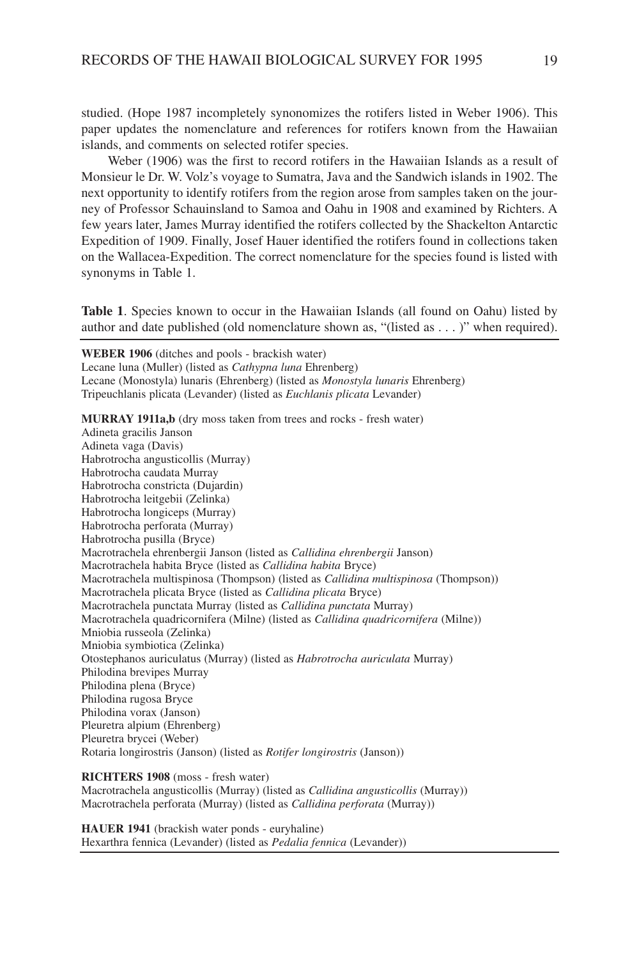studied. (Hope 1987 incompletely synonomizes the rotifers listed in Weber 1906). This paper updates the nomenclature and references for rotifers known from the Hawaiian islands, and comments on selected rotifer species.

Weber (1906) was the first to record rotifers in the Hawaiian Islands as a result of Monsieur le Dr. W. Volz's voyage to Sumatra, Java and the Sandwich islands in 1902. The next opportunity to identify rotifers from the region arose from samples taken on the journey of Professor Schauinsland to Samoa and Oahu in 1908 and examined by Richters. A few years later, James Murray identified the rotifers collected by the Shackelton Antarctic Expedition of 1909. Finally, Josef Hauer identified the rotifers found in collections taken on the Wallacea-Expedition. The correct nomenclature for the species found is listed with synonyms in Table 1.

**Table 1**. Species known to occur in the Hawaiian Islands (all found on Oahu) listed by author and date published (old nomenclature shown as, "(listed as . . . )" when required).

**WEBER 1906** (ditches and pools - brackish water) Lecane luna (Muller) (listed as *Cathypna luna* Ehrenberg) Lecane (Monostyla) lunaris (Ehrenberg) (listed as *Monostyla lunaris* Ehrenberg) Tripeuchlanis plicata (Levander) (listed as *Euchlanis plicata* Levander)

**MURRAY 1911a,b** (dry moss taken from trees and rocks - fresh water) Adineta gracilis Janson Adineta vaga (Davis) Habrotrocha angusticollis (Murray) Habrotrocha caudata Murray Habrotrocha constricta (Dujardin) Habrotrocha leitgebii (Zelinka) Habrotrocha longiceps (Murray) Habrotrocha perforata (Murray) Habrotrocha pusilla (Bryce) Macrotrachela ehrenbergii Janson (listed as *Callidina ehrenbergii* Janson) Macrotrachela habita Bryce (listed as *Callidina habita* Bryce) Macrotrachela multispinosa (Thompson) (listed as *Callidina multispinosa* (Thompson)) Macrotrachela plicata Bryce (listed as *Callidina plicata* Bryce) Macrotrachela punctata Murray (listed as *Callidina punctata* Murray) Macrotrachela quadricornifera (Milne) (listed as *Callidina quadricornifera* (Milne)) Mniobia russeola (Zelinka) Mniobia symbiotica (Zelinka) Otostephanos auriculatus (Murray) (listed as *Habrotrocha auriculata* Murray) Philodina brevipes Murray Philodina plena (Bryce) Philodina rugosa Bryce Philodina vorax (Janson) Pleuretra alpium (Ehrenberg) Pleuretra brycei (Weber) Rotaria longirostris (Janson) (listed as *Rotifer longirostris* (Janson))

#### **RICHTERS 1908** (moss - fresh water)

Macrotrachela angusticollis (Murray) (listed as *Callidina angusticollis* (Murray)) Macrotrachela perforata (Murray) (listed as *Callidina perforata* (Murray))

**HAUER 1941** (brackish water ponds - euryhaline) Hexarthra fennica (Levander) (listed as *Pedalia fennica* (Levander))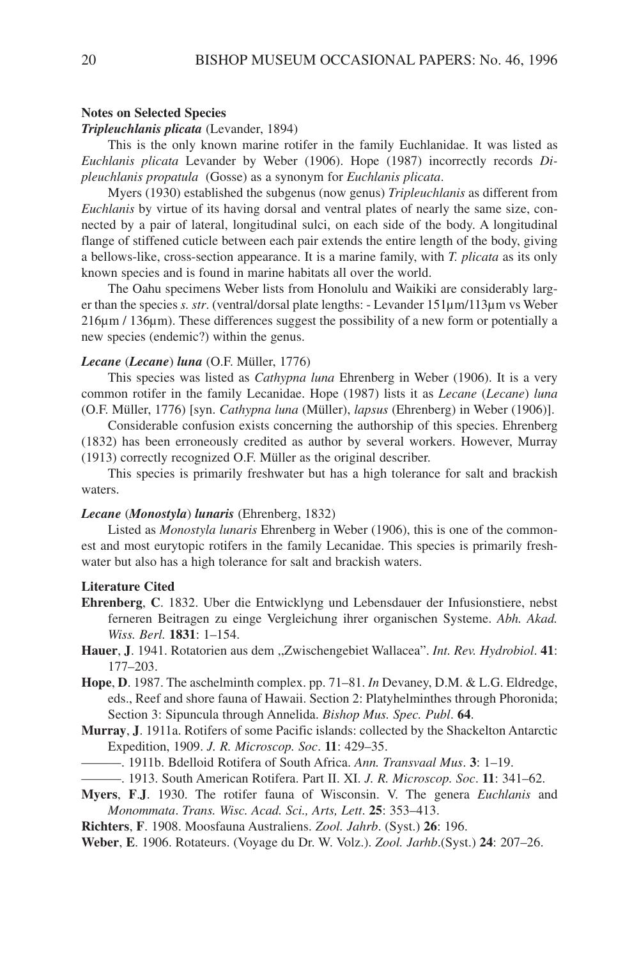## **Notes on Selected Species**

### *Tripleuchlanis plicata* (Levander, 1894)

This is the only known marine rotifer in the family Euchlanidae. It was listed as *Euchlanis plicata* Levander by Weber (1906). Hope (1987) incorrectly records *Dipleuchlanis propatula* (Gosse) as a synonym for *Euchlanis plicata*.

Myers (1930) established the subgenus (now genus) *Tripleuchlanis* as different from *Euchlanis* by virtue of its having dorsal and ventral plates of nearly the same size, connected by a pair of lateral, longitudinal sulci, on each side of the body. A longitudinal flange of stiffened cuticle between each pair extends the entire length of the body, giving a bellows-like, cross-section appearance. It is a marine family, with *T. plicata* as its only known species and is found in marine habitats all over the world.

The Oahu specimens Weber lists from Honolulu and Waikiki are considerably larger than the species *s. str*. (ventral/dorsal plate lengths: - Levander 151µm/113µm vs Weber 216µm / 136µm). These differences suggest the possibility of a new form or potentially a new species (endemic?) within the genus.

#### *Lecane* (*Lecane*) *luna* (O.F. Müller, 1776)

This species was listed as *Cathypna luna* Ehrenberg in Weber (1906). It is a very common rotifer in the family Lecanidae. Hope (1987) lists it as *Lecane* (*Lecane*) *luna* (O.F. Müller, 1776) [syn. *Cathypna luna* (Müller), *lapsus* (Ehrenberg) in Weber (1906)].

Considerable confusion exists concerning the authorship of this species. Ehrenberg (1832) has been erroneously credited as author by several workers. However, Murray (1913) correctly recognized O.F. Müller as the original describer.

This species is primarily freshwater but has a high tolerance for salt and brackish waters.

#### *Lecane* (*Monostyla*) *lunaris* (Ehrenberg, 1832)

Listed as *Monostyla lunaris* Ehrenberg in Weber (1906), this is one of the commonest and most eurytopic rotifers in the family Lecanidae. This species is primarily freshwater but also has a high tolerance for salt and brackish waters.

#### **Literature Cited**

- **Ehrenberg**, **C**. 1832. Uber die Entwicklyng und Lebensdauer der Infusionstiere, nebst ferneren Beitragen zu einge Vergleichung ihrer organischen Systeme. *Abh. Akad. Wiss. Berl.* **1831**: 1–154.
- **Hauer**, **J**. 1941. Rotatorien aus dem ,,Zwischengebiet Wallacea". *Int. Rev. Hydrobiol*. **41**: 177–203.
- **Hope**, **D**. 1987. The aschelminth complex. pp. 71–81. *In* Devaney, D.M. & L.G. Eldredge, eds., Reef and shore fauna of Hawaii. Section 2: Platyhelminthes through Phoronida; Section 3: Sipuncula through Annelida. *Bishop Mus. Spec. Publ*. **64**.
- **Murray**, **J**. 1911a. Rotifers of some Pacific islands: collected by the Shackelton Antarctic Expedition, 1909. *J. R. Microscop. Soc*. **11**: 429–35.
- ———. 1911b. Bdelloid Rotifera of South Africa. *Ann. Transvaal Mus*. **3**: 1–19.
- ———. 1913. South American Rotifera. Part II. XI. *J. R. Microscop. Soc*. **11**: 341–62.
- **Myers**, **F**.**J**. 1930. The rotifer fauna of Wisconsin. V. The genera *Euchlanis* and *Monommata*. *Trans. Wisc. Acad. Sci., Arts, Lett*. **25**: 353–413.
- **Richters**, **F**. 1908. Moosfauna Australiens. *Zool. Jahrb*. (Syst.) **26**: 196.
- **Weber**, **E**. 1906. Rotateurs. (Voyage du Dr. W. Volz.). *Zool. Jarhb*.(Syst.) **24**: 207–26.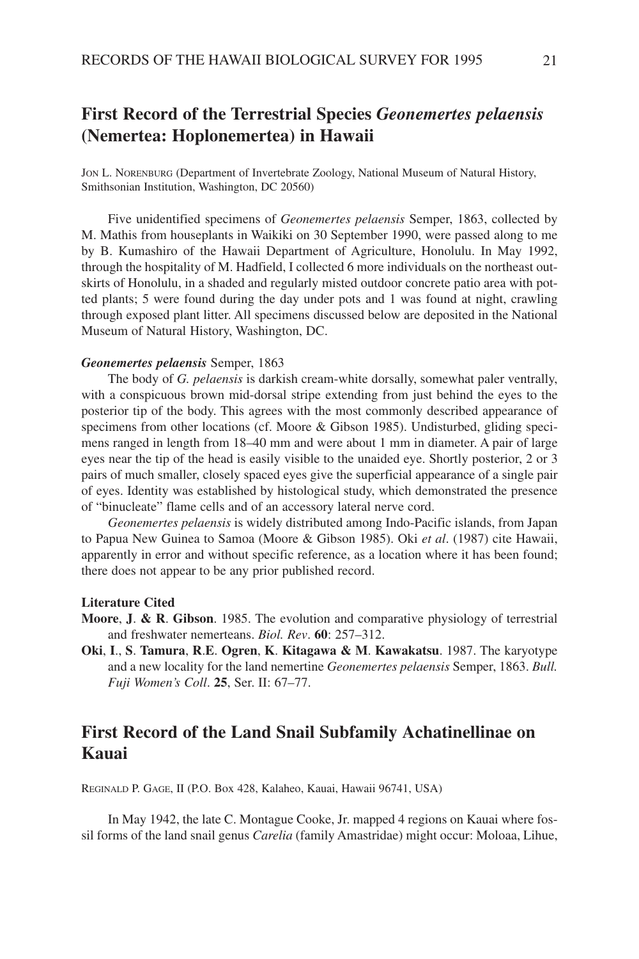# **First Record of the Terrestrial Species** *Geonemertes pelaensis* **(Nemertea: Hoplonemertea) in Hawaii**

JON L. NORENBURG (Department of Invertebrate Zoology, National Museum of Natural History, Smithsonian Institution, Washington, DC 20560)

Five unidentified specimens of *Geonemertes pelaensis* Semper, 1863, collected by M. Mathis from houseplants in Waikiki on 30 September 1990, were passed along to me by B. Kumashiro of the Hawaii Department of Agriculture, Honolulu. In May 1992, through the hospitality of M. Hadfield, I collected 6 more individuals on the northeast outskirts of Honolulu, in a shaded and regularly misted outdoor concrete patio area with potted plants; 5 were found during the day under pots and 1 was found at night, crawling through exposed plant litter. All specimens discussed below are deposited in the National Museum of Natural History, Washington, DC.

#### *Geonemertes pelaensis* Semper, 1863

The body of *G. pelaensis* is darkish cream-white dorsally, somewhat paler ventrally, with a conspicuous brown mid-dorsal stripe extending from just behind the eyes to the posterior tip of the body. This agrees with the most commonly described appearance of specimens from other locations (cf. Moore & Gibson 1985). Undisturbed, gliding specimens ranged in length from 18–40 mm and were about 1 mm in diameter. A pair of large eyes near the tip of the head is easily visible to the unaided eye. Shortly posterior, 2 or 3 pairs of much smaller, closely spaced eyes give the superficial appearance of a single pair of eyes. Identity was established by histological study, which demonstrated the presence of "binucleate" flame cells and of an accessory lateral nerve cord.

*Geonemertes pelaensis* is widely distributed among Indo-Pacific islands, from Japan to Papua New Guinea to Samoa (Moore & Gibson 1985). Oki *et al*. (1987) cite Hawaii, apparently in error and without specific reference, as a location where it has been found; there does not appear to be any prior published record.

#### **Literature Cited**

- **Moore**, **J**. **& R**. **Gibson**. 1985. The evolution and comparative physiology of terrestrial and freshwater nemerteans. *Biol. Rev*. **60**: 257–312.
- **Oki**, **I**., **S**. **Tamura**, **R**.**E**. **Ogren**, **K**. **Kitagawa & M**. **Kawakatsu**. 1987. The karyotype and a new locality for the land nemertine *Geonemertes pelaensis* Semper, 1863. *Bull. Fuji Women's Coll*. **25**, Ser. II: 67–77.

# **First Record of the Land Snail Subfamily Achatinellinae on Kauai**

REGINALD P. GAGE, II (P.O. Box 428, Kalaheo, Kauai, Hawaii 96741, USA)

In May 1942, the late C. Montague Cooke, Jr. mapped 4 regions on Kauai where fossil forms of the land snail genus *Carelia* (family Amastridae) might occur: Moloaa, Lihue,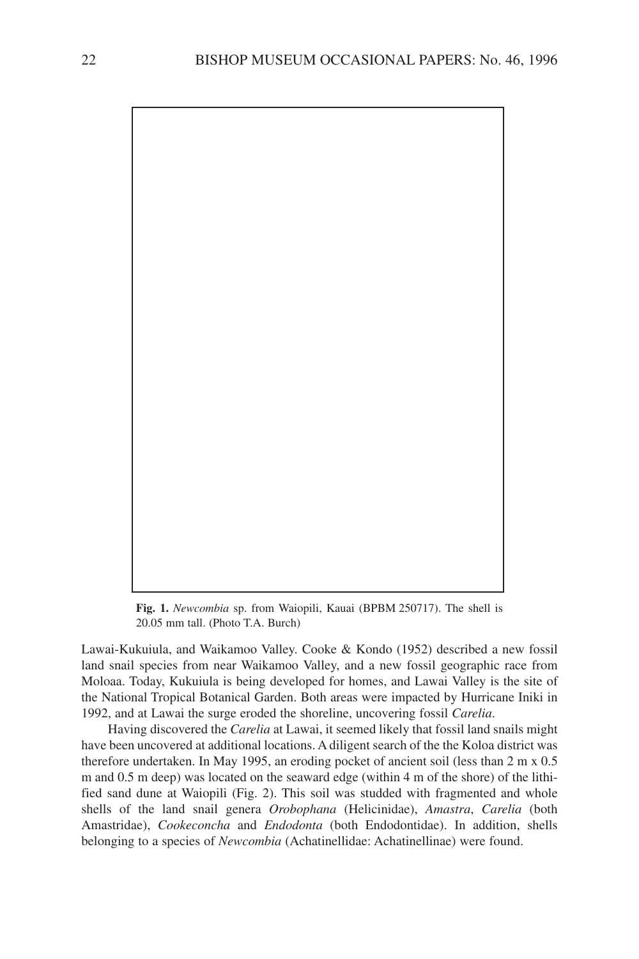

**Fig. 1.** *Newcombia* sp. from Waiopili, Kauai (BPBM 250717). The shell is 20.05 mm tall. (Photo T.A. Burch)

Lawai-Kukuiula, and Waikamoo Valley. Cooke & Kondo (1952) described a new fossil land snail species from near Waikamoo Valley, and a new fossil geographic race from Moloaa. Today, Kukuiula is being developed for homes, and Lawai Valley is the site of the National Tropical Botanical Garden. Both areas were impacted by Hurricane Iniki in 1992, and at Lawai the surge eroded the shoreline, uncovering fossil *Carelia*.

Having discovered the *Carelia* at Lawai, it seemed likely that fossil land snails might have been uncovered at additional locations. A diligent search of the the Koloa district was therefore undertaken. In May 1995, an eroding pocket of ancient soil (less than 2 m x 0.5 m and 0.5 m deep) was located on the seaward edge (within 4 m of the shore) of the lithified sand dune at Waiopili (Fig. 2). This soil was studded with fragmented and whole shells of the land snail genera *Orobophana* (Helicinidae), *Amastra*, *Carelia* (both Amastridae), *Cookeconcha* and *Endodonta* (both Endodontidae). In addition, shells belonging to a species of *Newcombia* (Achatinellidae: Achatinellinae) were found.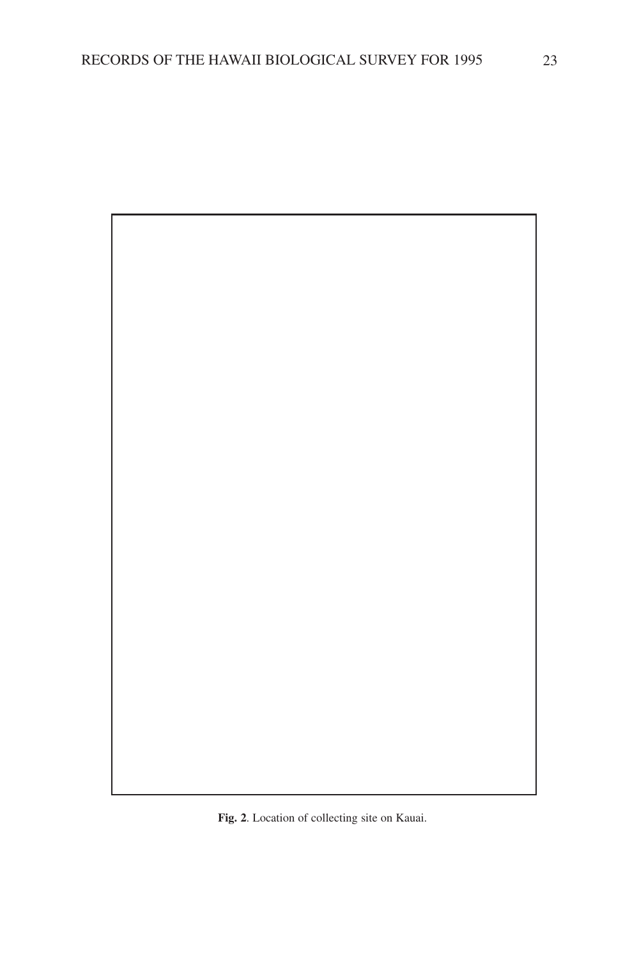

**Fig. 2**. Location of collecting site on Kauai.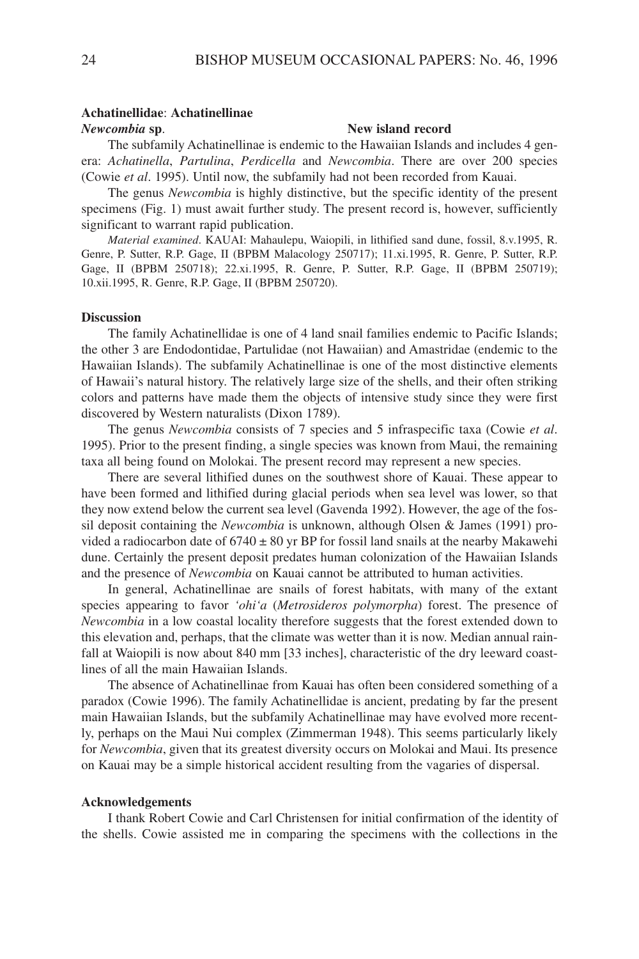#### **Achatinellidae**: **Achatinellinae**

#### *Newcombia* **sp**. **New island record**

The subfamily Achatinellinae is endemic to the Hawaiian Islands and includes 4 genera: *Achatinella*, *Partulina*, *Perdicella* and *Newcombia*. There are over 200 species (Cowie *et al*. 1995). Until now, the subfamily had not been recorded from Kauai.

The genus *Newcombia* is highly distinctive, but the specific identity of the present specimens (Fig. 1) must await further study. The present record is, however, sufficiently significant to warrant rapid publication.

*Material examined*. KAUAI: Mahaulepu, Waiopili, in lithified sand dune, fossil, 8.v.1995, R. Genre, P. Sutter, R.P. Gage, II (BPBM Malacology 250717); 11.xi.1995, R. Genre, P. Sutter, R.P. Gage, II (BPBM 250718); 22.xi.1995, R. Genre, P. Sutter, R.P. Gage, II (BPBM 250719); 10.xii.1995, R. Genre, R.P. Gage, II (BPBM 250720).

## **Discussion**

The family Achatinellidae is one of 4 land snail families endemic to Pacific Islands; the other 3 are Endodontidae, Partulidae (not Hawaiian) and Amastridae (endemic to the Hawaiian Islands). The subfamily Achatinellinae is one of the most distinctive elements of Hawaii's natural history. The relatively large size of the shells, and their often striking colors and patterns have made them the objects of intensive study since they were first discovered by Western naturalists (Dixon 1789).

The genus *Newcombia* consists of 7 species and 5 infraspecific taxa (Cowie *et al*. 1995). Prior to the present finding, a single species was known from Maui, the remaining taxa all being found on Molokai. The present record may represent a new species.

There are several lithified dunes on the southwest shore of Kauai. These appear to have been formed and lithified during glacial periods when sea level was lower, so that they now extend below the current sea level (Gavenda 1992). However, the age of the fossil deposit containing the *Newcombia* is unknown, although Olsen & James (1991) provided a radiocarbon date of  $6740 \pm 80$  yr BP for fossil land snails at the nearby Makawehi dune. Certainly the present deposit predates human colonization of the Hawaiian Islands and the presence of *Newcombia* on Kauai cannot be attributed to human activities.

In general, Achatinellinae are snails of forest habitats, with many of the extant species appearing to favor *'ohi'a* (*Metrosideros polymorpha*) forest. The presence of *Newcombia* in a low coastal locality therefore suggests that the forest extended down to this elevation and, perhaps, that the climate was wetter than it is now. Median annual rainfall at Waiopili is now about 840 mm [33 inches], characteristic of the dry leeward coastlines of all the main Hawaiian Islands.

The absence of Achatinellinae from Kauai has often been considered something of a paradox (Cowie 1996). The family Achatinellidae is ancient, predating by far the present main Hawaiian Islands, but the subfamily Achatinellinae may have evolved more recently, perhaps on the Maui Nui complex (Zimmerman 1948). This seems particularly likely for *Newcombia*, given that its greatest diversity occurs on Molokai and Maui. Its presence on Kauai may be a simple historical accident resulting from the vagaries of dispersal.

#### **Acknowledgements**

I thank Robert Cowie and Carl Christensen for initial confirmation of the identity of the shells. Cowie assisted me in comparing the specimens with the collections in the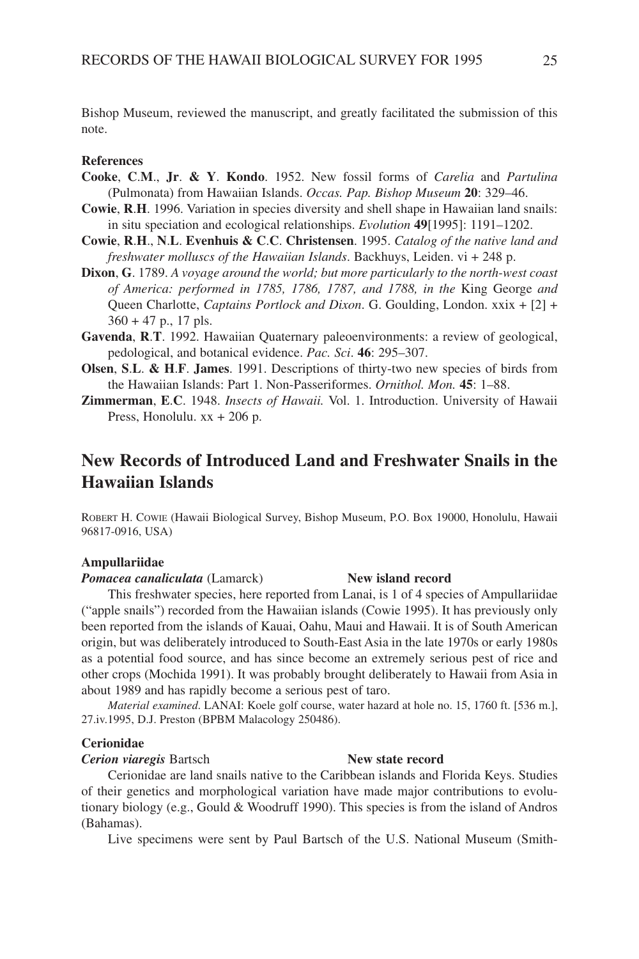Bishop Museum, reviewed the manuscript, and greatly facilitated the submission of this note.

#### **References**

- **Cooke**, **C**.**M**., **Jr**. **& Y**. **Kondo**. 1952. New fossil forms of *Carelia* and *Partulina* (Pulmonata) from Hawaiian Islands. *Occas. Pap. Bishop Museum* **20**: 329–46.
- **Cowie**, **R**.**H**. 1996. Variation in species diversity and shell shape in Hawaiian land snails: in situ speciation and ecological relationships. *Evolution* **49**[1995]: 1191–1202.
- **Cowie**, **R**.**H**., **N**.**L**. **Evenhuis & C**.**C**. **Christensen**. 1995. *Catalog of the native land and freshwater molluscs of the Hawaiian Islands*. Backhuys, Leiden. vi + 248 p.
- **Dixon**, **G**. 1789. *A voyage around the world; but more particularly to the north-west coast of America: performed in 1785, 1786, 1787, and 1788, in the* King George *and* Queen Charlotte, *Captains Portlock and Dixon*. G. Goulding, London. xxix + [2] +  $360 + 47$  p., 17 pls.
- **Gavenda**, **R**.**T**. 1992. Hawaiian Quaternary paleoenvironments: a review of geological, pedological, and botanical evidence. *Pac. Sci*. **46**: 295–307.
- **Olsen**, **S**.**L**. **& H**.**F**. **James**. 1991. Descriptions of thirty-two new species of birds from the Hawaiian Islands: Part 1. Non-Passeriformes. *Ornithol. Mon.* **45**: 1–88.
- **Zimmerman**, **E**.**C**. 1948. *Insects of Hawaii.* Vol. 1. Introduction. University of Hawaii Press, Honolulu. xx + 206 p.

# **New Records of Introduced Land and Freshwater Snails in the Hawaiian Islands**

ROBERT H. COWIE (Hawaii Biological Survey, Bishop Museum, P.O. Box 19000, Honolulu, Hawaii 96817-0916, USA)

#### **Ampullariidae**

#### *Pomacea canaliculata* (Lamarck) **New island record**

## This freshwater species, here reported from Lanai, is 1 of 4 species of Ampullariidae ("apple snails") recorded from the Hawaiian islands (Cowie 1995). It has previously only been reported from the islands of Kauai, Oahu, Maui and Hawaii. It is of South American origin, but was deliberately introduced to South-East Asia in the late 1970s or early 1980s as a potential food source, and has since become an extremely serious pest of rice and other crops (Mochida 1991). It was probably brought deliberately to Hawaii from Asia in about 1989 and has rapidly become a serious pest of taro.

*Material examined*. LANAI: Koele golf course, water hazard at hole no. 15, 1760 ft. [536 m.], 27.iv.1995, D.J. Preston (BPBM Malacology 250486).

#### **Cerionidae**

*Cerion viaregis* Bartsch **New state record**

Cerionidae are land snails native to the Caribbean islands and Florida Keys. Studies of their genetics and morphological variation have made major contributions to evolutionary biology (e.g., Gould & Woodruff 1990). This species is from the island of Andros (Bahamas).

Live specimens were sent by Paul Bartsch of the U.S. National Museum (Smith-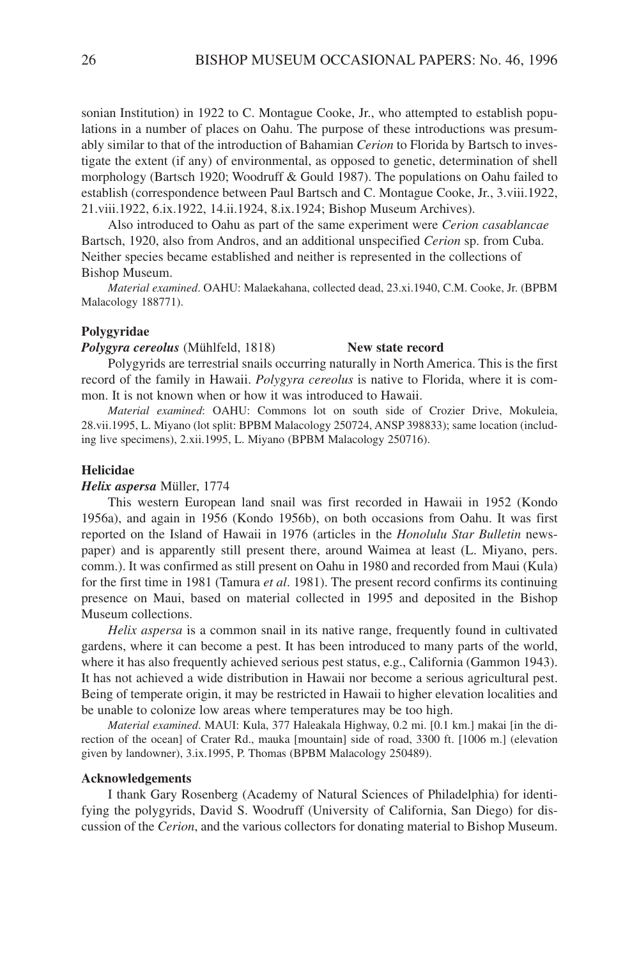sonian Institution) in 1922 to C. Montague Cooke, Jr., who attempted to establish populations in a number of places on Oahu. The purpose of these introductions was presumably similar to that of the introduction of Bahamian *Cerion* to Florida by Bartsch to investigate the extent (if any) of environmental, as opposed to genetic, determination of shell morphology (Bartsch 1920; Woodruff & Gould 1987). The populations on Oahu failed to establish (correspondence between Paul Bartsch and C. Montague Cooke, Jr., 3.viii.1922, 21.viii.1922, 6.ix.1922, 14.ii.1924, 8.ix.1924; Bishop Museum Archives).

Also introduced to Oahu as part of the same experiment were *Cerion casablancae* Bartsch, 1920, also from Andros, and an additional unspecified *Cerion* sp. from Cuba. Neither species became established and neither is represented in the collections of Bishop Museum.

*Material examined*. OAHU: Malaekahana, collected dead, 23.xi.1940, C.M. Cooke, Jr. (BPBM Malacology 188771).

#### **Polygyridae**

*Polygyra cereolus* (Mühlfeld, 1818) **New state record**

Polygyrids are terrestrial snails occurring naturally in North America. This is the first record of the family in Hawaii. *Polygyra cereolus* is native to Florida, where it is common. It is not known when or how it was introduced to Hawaii.

*Material examined*: OAHU: Commons lot on south side of Crozier Drive, Mokuleia, 28.vii.1995, L. Miyano (lot split: BPBM Malacology 250724, ANSP 398833); same location (including live specimens), 2.xii.1995, L. Miyano (BPBM Malacology 250716).

#### **Helicidae**

#### *Helix aspersa* Müller, 1774

This western European land snail was first recorded in Hawaii in 1952 (Kondo 1956a), and again in 1956 (Kondo 1956b), on both occasions from Oahu. It was first reported on the Island of Hawaii in 1976 (articles in the *Honolulu Star Bulletin* newspaper) and is apparently still present there, around Waimea at least (L. Miyano, pers. comm.). It was confirmed as still present on Oahu in 1980 and recorded from Maui (Kula) for the first time in 1981 (Tamura *et al*. 1981). The present record confirms its continuing presence on Maui, based on material collected in 1995 and deposited in the Bishop Museum collections.

*Helix aspersa* is a common snail in its native range, frequently found in cultivated gardens, where it can become a pest. It has been introduced to many parts of the world, where it has also frequently achieved serious pest status, e.g., California (Gammon 1943). It has not achieved a wide distribution in Hawaii nor become a serious agricultural pest. Being of temperate origin, it may be restricted in Hawaii to higher elevation localities and be unable to colonize low areas where temperatures may be too high.

*Material examined*. MAUI: Kula, 377 Haleakala Highway, 0.2 mi. [0.1 km.] makai [in the direction of the ocean] of Crater Rd., mauka [mountain] side of road, 3300 ft. [1006 m.] (elevation given by landowner), 3.ix.1995, P. Thomas (BPBM Malacology 250489).

### **Acknowledgements**

I thank Gary Rosenberg (Academy of Natural Sciences of Philadelphia) for identifying the polygyrids, David S. Woodruff (University of California, San Diego) for discussion of the *Cerion*, and the various collectors for donating material to Bishop Museum.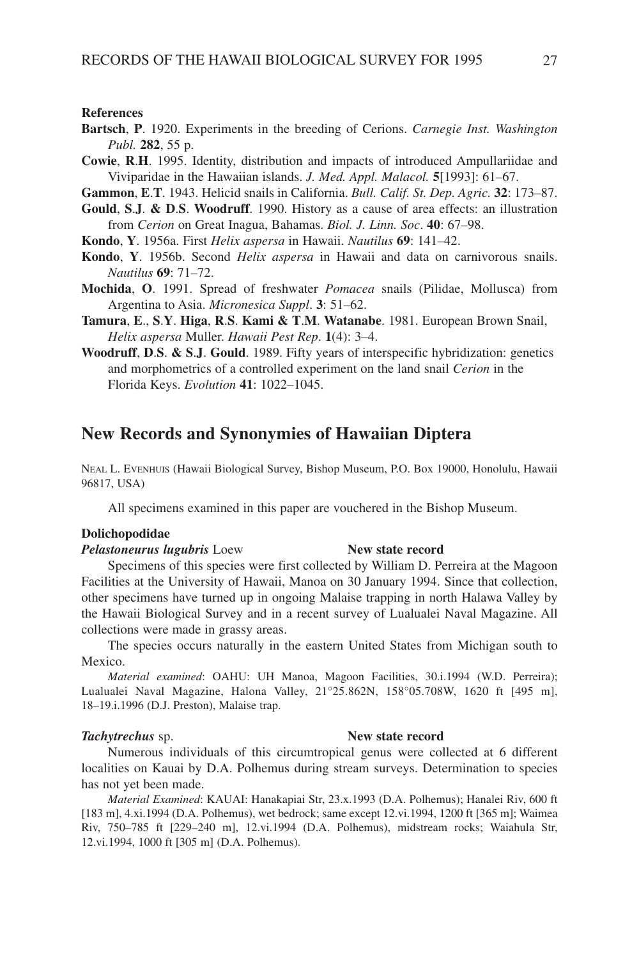#### **References**

- **Bartsch**, **P**. 1920. Experiments in the breeding of Cerions. *Carnegie Inst. Washington Publ.* **282**, 55 p.
- **Cowie**, **R**.**H**. 1995. Identity, distribution and impacts of introduced Ampullariidae and Viviparidae in the Hawaiian islands. *J. Med. Appl. Malacol.* **5**[1993]: 61–67.

**Gammon**, **E**.**T**. 1943. Helicid snails in California. *Bull. Calif. St. Dep. Agric.* **32**: 173–87.

- **Gould**, **S**.**J**. **& D**.**S**. **Woodruff**. 1990. History as a cause of area effects: an illustration from *Cerion* on Great Inagua, Bahamas. *Biol. J. Linn. Soc*. **40**: 67–98.
- **Kondo**, **Y**. 1956a. First *Helix aspersa* in Hawaii. *Nautilus* **69**: 141–42.
- **Kondo**, **Y**. 1956b. Second *Helix aspersa* in Hawaii and data on carnivorous snails. *Nautilus* **69**: 71–72.
- **Mochida**, **O**. 1991. Spread of freshwater *Pomacea* snails (Pilidae, Mollusca) from Argentina to Asia. *Micronesica Suppl*. **3**: 51–62.
- **Tamura**, **E**., **S**.**Y**. **Higa**, **R**.**S**. **Kami & T**.**M**. **Watanabe**. 1981. European Brown Snail, *Helix aspersa* Muller. *Hawaii Pest Rep*. **1**(4): 3–4.
- **Woodruff**, **D**.**S**. **& S**.**J**. **Gould**. 1989. Fifty years of interspecific hybridization: genetics and morphometrics of a controlled experiment on the land snail *Cerion* in the Florida Keys. *Evolution* **41**: 1022–1045.

## **New Records and Synonymies of Hawaiian Diptera**

NEAL L. EVENHUIS (Hawaii Biological Survey, Bishop Museum, P.O. Box 19000, Honolulu, Hawaii 96817, USA)

All specimens examined in this paper are vouchered in the Bishop Museum.

#### **Dolichopodidae**

#### *Pelastoneurus lugubris* Loew **New state record**

## Specimens of this species were first collected by William D. Perreira at the Magoon Facilities at the University of Hawaii, Manoa on 30 January 1994. Since that collection, other specimens have turned up in ongoing Malaise trapping in north Halawa Valley by the Hawaii Biological Survey and in a recent survey of Lualualei Naval Magazine. All collections were made in grassy areas.

The species occurs naturally in the eastern United States from Michigan south to Mexico.

*Material examined*: OAHU: UH Manoa, Magoon Facilities, 30.i.1994 (W.D. Perreira); Lualualei Naval Magazine, Halona Valley, 21°25.862N, 158°05.708W, 1620 ft [495 m], 18–19.i.1996 (D.J. Preston), Malaise trap.

#### *Tachytrechus* sp. **New state record**

Numerous individuals of this circumtropical genus were collected at 6 different localities on Kauai by D.A. Polhemus during stream surveys. Determination to species has not yet been made.

*Material Examined*: KAUAI: Hanakapiai Str, 23.x.1993 (D.A. Polhemus); Hanalei Riv, 600 ft [183 m], 4.xi.1994 (D.A. Polhemus), wet bedrock; same except 12.vi.1994, 1200 ft [365 m]; Waimea Riv, 750–785 ft [229–240 m], 12.vi.1994 (D.A. Polhemus), midstream rocks; Waiahula Str, 12.vi.1994, 1000 ft [305 m] (D.A. Polhemus).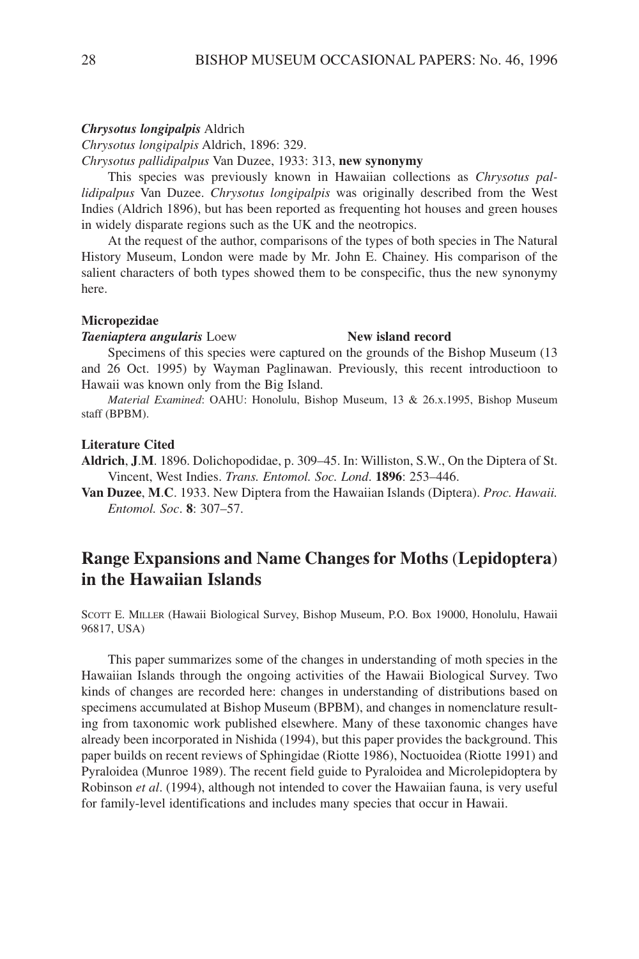#### *Chrysotus longipalpis* Aldrich

*Chrysotus longipalpis* Aldrich, 1896: 329.

*Chrysotus pallidipalpus* Van Duzee, 1933: 313, **new synonymy**

This species was previously known in Hawaiian collections as *Chrysotus pallidipalpus* Van Duzee. *Chrysotus longipalpis* was originally described from the West Indies (Aldrich 1896), but has been reported as frequenting hot houses and green houses in widely disparate regions such as the UK and the neotropics.

At the request of the author, comparisons of the types of both species in The Natural History Museum, London were made by Mr. John E. Chainey. His comparison of the salient characters of both types showed them to be conspecific, thus the new synonymy here.

#### **Micropezidae**

#### **Taeniaptera angularis** Loew **New island record**

Specimens of this species were captured on the grounds of the Bishop Museum (13 and 26 Oct. 1995) by Wayman Paglinawan. Previously, this recent introductioon to Hawaii was known only from the Big Island.

*Material Examined*: OAHU: Honolulu, Bishop Museum, 13 & 26.x.1995, Bishop Museum staff (BPBM).

#### **Literature Cited**

**Aldrich**, **J**.**M**. 1896. Dolichopodidae, p. 309–45. In: Williston, S.W., On the Diptera of St. Vincent, West Indies. *Trans. Entomol. Soc. Lond*. **1896**: 253–446.

**Van Duzee**, **M**.**C**. 1933. New Diptera from the Hawaiian Islands (Diptera). *Proc. Hawaii. Entomol. Soc*. **8**: 307–57.

# **Range Expansions and Name Changes for Moths** (**Lepidoptera**) **in the Hawaiian Islands**

SCOTT E. MILLER (Hawaii Biological Survey, Bishop Museum, P.O. Box 19000, Honolulu, Hawaii 96817, USA)

This paper summarizes some of the changes in understanding of moth species in the Hawaiian Islands through the ongoing activities of the Hawaii Biological Survey. Two kinds of changes are recorded here: changes in understanding of distributions based on specimens accumulated at Bishop Museum (BPBM), and changes in nomenclature resulting from taxonomic work published elsewhere. Many of these taxonomic changes have already been incorporated in Nishida (1994), but this paper provides the background. This paper builds on recent reviews of Sphingidae (Riotte 1986), Noctuoidea (Riotte 1991) and Pyraloidea (Munroe 1989). The recent field guide to Pyraloidea and Microlepidoptera by Robinson *et al*. (1994), although not intended to cover the Hawaiian fauna, is very useful for family-level identifications and includes many species that occur in Hawaii.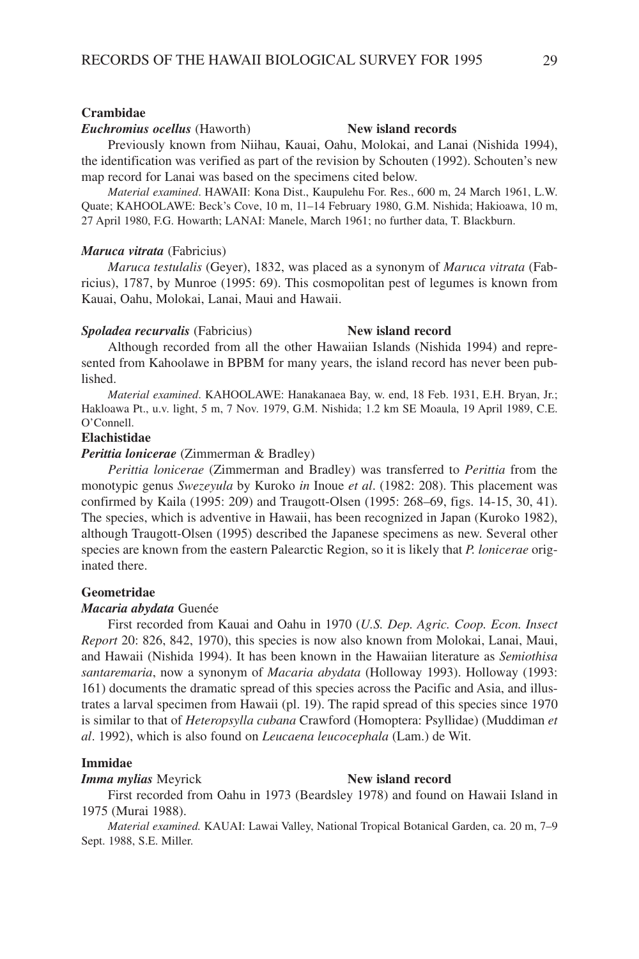#### **Crambidae**

#### *Euchromius ocellus* (Haworth) **New island records**

Previously known from Niihau, Kauai, Oahu, Molokai, and Lanai (Nishida 1994), the identification was verified as part of the revision by Schouten (1992). Schouten's new map record for Lanai was based on the specimens cited below.

*Material examined*. HAWAII: Kona Dist., Kaupulehu For. Res., 600 m, 24 March 1961, L.W. Quate; KAHOOLAWE: Beck's Cove, 10 m, 11–14 February 1980, G.M. Nishida; Hakioawa, 10 m, 27 April 1980, F.G. Howarth; LANAI: Manele, March 1961; no further data, T. Blackburn.

#### *Maruca vitrata* (Fabricius)

*Maruca testulalis* (Geyer), 1832, was placed as a synonym of *Maruca vitrata* (Fabricius), 1787, by Munroe (1995: 69). This cosmopolitan pest of legumes is known from Kauai, Oahu, Molokai, Lanai, Maui and Hawaii.

#### *Spoladea recurvalis* (Fabricius) **New island record**

Although recorded from all the other Hawaiian Islands (Nishida 1994) and represented from Kahoolawe in BPBM for many years, the island record has never been published.

*Material examined*. KAHOOLAWE: Hanakanaea Bay, w. end, 18 Feb. 1931, E.H. Bryan, Jr.; Hakloawa Pt., u.v. light, 5 m, 7 Nov. 1979, G.M. Nishida; 1.2 km SE Moaula, 19 April 1989, C.E. O'Connell.

### **Elachistidae**

### *Perittia lonicerae* (Zimmerman & Bradley)

*Perittia lonicerae* (Zimmerman and Bradley) was transferred to *Perittia* from the monotypic genus *Swezeyula* by Kuroko *in* Inoue *et al*. (1982: 208). This placement was confirmed by Kaila (1995: 209) and Traugott-Olsen (1995: 268–69, figs. 14-15, 30, 41). The species, which is adventive in Hawaii, has been recognized in Japan (Kuroko 1982), although Traugott-Olsen (1995) described the Japanese specimens as new. Several other species are known from the eastern Palearctic Region, so it is likely that *P. lonicerae* originated there.

#### **Geometridae**

#### *Macaria abydata* Guenée

First recorded from Kauai and Oahu in 1970 (*U.S. Dep. Agric. Coop. Econ. Insect Report* 20: 826, 842, 1970), this species is now also known from Molokai, Lanai, Maui, and Hawaii (Nishida 1994). It has been known in the Hawaiian literature as *Semiothisa santaremaria*, now a synonym of *Macaria abydata* (Holloway 1993). Holloway (1993: 161) documents the dramatic spread of this species across the Pacific and Asia, and illustrates a larval specimen from Hawaii (pl. 19). The rapid spread of this species since 1970 is similar to that of *Heteropsylla cubana* Crawford (Homoptera: Psyllidae) (Muddiman *et al*. 1992), which is also found on *Leucaena leucocephala* (Lam.) de Wit.

#### **Immidae**

### *Imma mylias* Meyrick **New island record**

First recorded from Oahu in 1973 (Beardsley 1978) and found on Hawaii Island in 1975 (Murai 1988).

*Material examined.* KAUAI: Lawai Valley, National Tropical Botanical Garden, ca. 20 m, 7–9 Sept. 1988, S.E. Miller.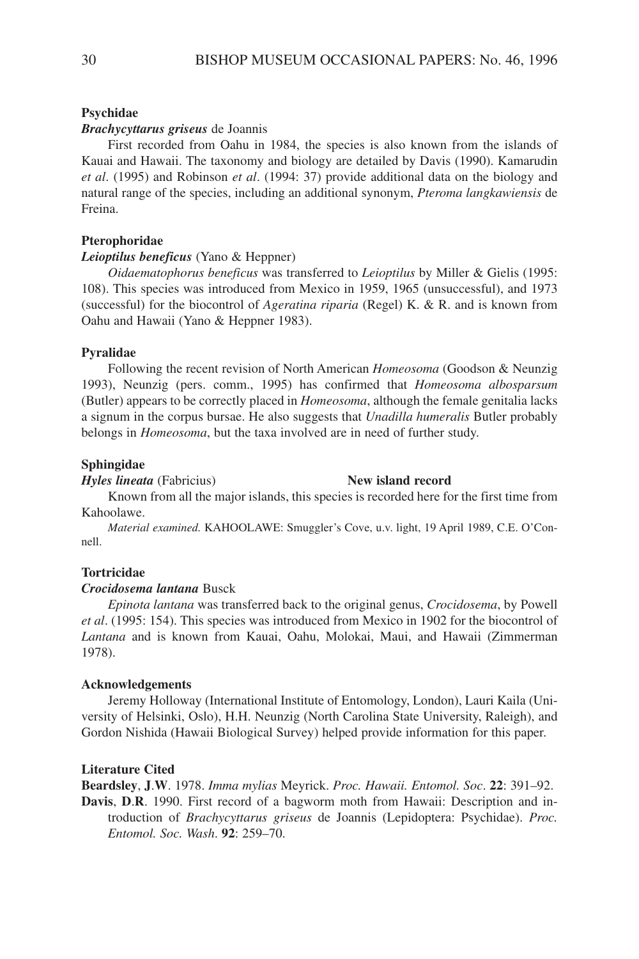### **Psychidae**

### *Brachycyttarus griseus* de Joannis

First recorded from Oahu in 1984, the species is also known from the islands of Kauai and Hawaii. The taxonomy and biology are detailed by Davis (1990). Kamarudin *et al*. (1995) and Robinson *et al*. (1994: 37) provide additional data on the biology and natural range of the species, including an additional synonym, *Pteroma langkawiensis* de Freina.

### **Pterophoridae**

### *Leioptilus beneficus* (Yano & Heppner)

*Oidaematophorus beneficus* was transferred to *Leioptilus* by Miller & Gielis (1995: 108). This species was introduced from Mexico in 1959, 1965 (unsuccessful), and 1973 (successful) for the biocontrol of *Ageratina riparia* (Regel) K. & R. and is known from Oahu and Hawaii (Yano & Heppner 1983).

#### **Pyralidae**

Following the recent revision of North American *Homeosoma* (Goodson & Neunzig 1993), Neunzig (pers. comm., 1995) has confirmed that *Homeosoma albosparsum* (Butler) appears to be correctly placed in *Homeosoma*, although the female genitalia lacks a signum in the corpus bursae. He also suggests that *Unadilla humeralis* Butler probably belongs in *Homeosoma*, but the taxa involved are in need of further study.

#### **Sphingidae**

*Hyles lineata* (Fabricius) **New island record**

Known from all the major islands, this species is recorded here for the first time from Kahoolawe.

*Material examined.* KAHOOLAWE: Smuggler's Cove, u.v. light, 19 April 1989, C.E. O'Connell.

#### **Tortricidae**

### *Crocidosema lantana* Busck

*Epinota lantana* was transferred back to the original genus, *Crocidosema*, by Powell *et al*. (1995: 154). This species was introduced from Mexico in 1902 for the biocontrol of *Lantana* and is known from Kauai, Oahu, Molokai, Maui, and Hawaii (Zimmerman 1978).

### **Acknowledgements**

Jeremy Holloway (International Institute of Entomology, London), Lauri Kaila (University of Helsinki, Oslo), H.H. Neunzig (North Carolina State University, Raleigh), and Gordon Nishida (Hawaii Biological Survey) helped provide information for this paper.

#### **Literature Cited**

**Beardsley**, **J**.**W**. 1978. *Imma mylias* Meyrick. *Proc. Hawaii. Entomol. Soc*. **22**: 391–92.

**Davis**, **D**.**R**. 1990. First record of a bagworm moth from Hawaii: Description and introduction of *Brachycyttarus griseus* de Joannis (Lepidoptera: Psychidae). *Proc. Entomol. Soc. Wash*. **92**: 259–70.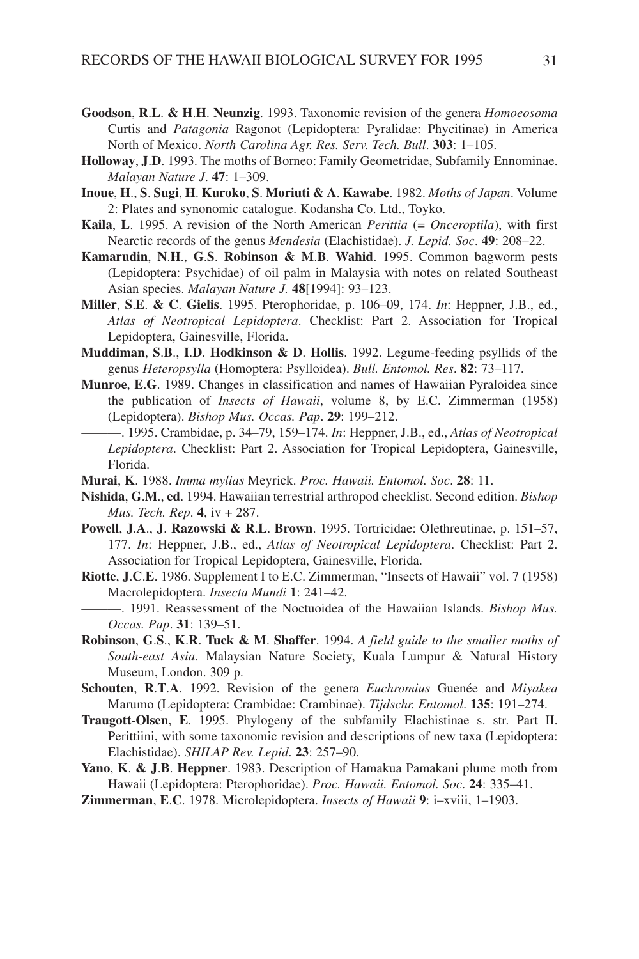- **Goodson**, **R**.**L**. **& H**.**H**. **Neunzig**. 1993. Taxonomic revision of the genera *Homoeosoma* Curtis and *Patagonia* Ragonot (Lepidoptera: Pyralidae: Phycitinae) in America North of Mexico. *North Carolina Agr. Res. Serv. Tech. Bull*. **303**: 1–105.
- **Holloway**, **J**.**D**. 1993. The moths of Borneo: Family Geometridae, Subfamily Ennominae. *Malayan Nature J*. **47**: 1–309.
- **Inoue**, **H**., **S**. **Sugi**, **H**. **Kuroko**, **S**. **Moriuti & A**. **Kawabe**. 1982. *Moths of Japan*. Volume 2: Plates and synonomic catalogue. Kodansha Co. Ltd., Toyko.
- **Kaila**, **L**. 1995. A revision of the North American *Perittia* (= *Onceroptila*), with first Nearctic records of the genus *Mendesia* (Elachistidae). *J. Lepid. Soc*. **49**: 208–22.
- **Kamarudin**, **N**.**H**., **G**.**S**. **Robinson & M**.**B**. **Wahid**. 1995. Common bagworm pests (Lepidoptera: Psychidae) of oil palm in Malaysia with notes on related Southeast Asian species. *Malayan Nature J.* **48**[1994]: 93–123.
- **Miller**, **S**.**E**. **& C**. **Gielis**. 1995. Pterophoridae, p. 106–09, 174. *In*: Heppner, J.B., ed., *Atlas of Neotropical Lepidoptera*. Checklist: Part 2. Association for Tropical Lepidoptera, Gainesville, Florida.
- **Muddiman**, **S**.**B**., **I**.**D**. **Hodkinson & D**. **Hollis**. 1992. Legume-feeding psyllids of the genus *Heteropsylla* (Homoptera: Psylloidea). *Bull. Entomol. Res*. **82**: 73–117.
- **Munroe**, **E**.**G**. 1989. Changes in classification and names of Hawaiian Pyraloidea since the publication of *Insects of Hawaii*, volume 8, by E.C. Zimmerman (1958) (Lepidoptera). *Bishop Mus. Occas. Pap*. **29**: 199–212.
	- ———. 1995. Crambidae, p. 34–79, 159–174. *In*: Heppner, J.B., ed., *Atlas of Neotropical Lepidoptera*. Checklist: Part 2. Association for Tropical Lepidoptera, Gainesville, Florida.
- **Murai**, **K**. 1988. *Imma mylias* Meyrick. *Proc. Hawaii. Entomol. Soc*. **28**: 11.
- **Nishida**, **G**.**M**., **ed**. 1994. Hawaiian terrestrial arthropod checklist. Second edition. *Bishop Mus. Tech. Rep*. **4**, iv + 287.
- **Powell**, **J**.**A**., **J**. **Razowski & R**.**L**. **Brown**. 1995. Tortricidae: Olethreutinae, p. 151–57, 177. *In*: Heppner, J.B., ed., *Atlas of Neotropical Lepidoptera*. Checklist: Part 2. Association for Tropical Lepidoptera, Gainesville, Florida.
- **Riotte**, **J**.**C**.**E**. 1986. Supplement I to E.C. Zimmerman, "Insects of Hawaii" vol. 7 (1958) Macrolepidoptera. *Insecta Mundi* **1**: 241–42.
- ———. 1991. Reassessment of the Noctuoidea of the Hawaiian Islands. *Bishop Mus. Occas. Pap*. **31**: 139–51.
- **Robinson**, **G**.**S**., **K**.**R**. **Tuck & M**. **Shaffer**. 1994. *A field guide to the smaller moths of South-east Asia*. Malaysian Nature Society, Kuala Lumpur & Natural History Museum, London. 309 p.
- **Schouten**, **R**.**T**.**A**. 1992. Revision of the genera *Euchromius* Guenée and *Miyakea* Marumo (Lepidoptera: Crambidae: Crambinae). *Tijdschr. Entomol*. **135**: 191–274.
- **Traugott**-**Olsen**, **E**. 1995. Phylogeny of the subfamily Elachistinae s. str. Part II. Perittiini, with some taxonomic revision and descriptions of new taxa (Lepidoptera: Elachistidae). *SHILAP Rev. Lepid*. **23**: 257–90.
- **Yano**, **K**. **& J**.**B**. **Heppner**. 1983. Description of Hamakua Pamakani plume moth from Hawaii (Lepidoptera: Pterophoridae). *Proc. Hawaii. Entomol. Soc*. **24**: 335–41.
- **Zimmerman**, **E**.**C**. 1978. Microlepidoptera. *Insects of Hawaii* **9**: i–xviii, 1–1903.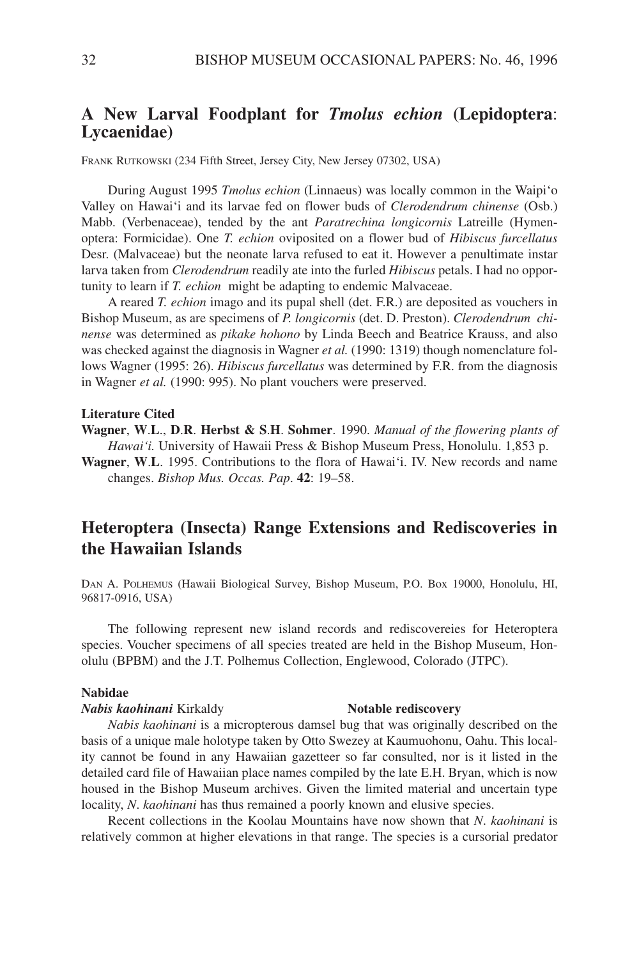# **A New Larval Foodplant for** *Tmolus echion* **(Lepidoptera**: **Lycaenidae)**

FRANK RUTKOWSKI (234 Fifth Street, Jersey City, New Jersey 07302, USA)

During August 1995 *Tmolus echion* (Linnaeus) was locally common in the Waipi'o Valley on Hawai'i and its larvae fed on flower buds of *Clerodendrum chinense* (Osb.) Mabb. (Verbenaceae), tended by the ant *Paratrechina longicornis* Latreille (Hymenoptera: Formicidae). One *T. echion* oviposited on a flower bud of *Hibiscus furcellatus* Desr. (Malvaceae) but the neonate larva refused to eat it. However a penultimate instar larva taken from *Clerodendrum* readily ate into the furled *Hibiscus* petals. I had no opportunity to learn if *T. echion* might be adapting to endemic Malvaceae.

A reared *T. echion* imago and its pupal shell (det. F.R.) are deposited as vouchers in Bishop Museum, as are specimens of *P. longicornis* (det. D. Preston). *Clerodendrum chinense* was determined as *pikake hohono* by Linda Beech and Beatrice Krauss, and also was checked against the diagnosis in Wagner *et al.* (1990: 1319) though nomenclature follows Wagner (1995: 26). *Hibiscus furcellatus* was determined by F.R. from the diagnosis in Wagner *et al.* (1990: 995). No plant vouchers were preserved.

#### **Literature Cited**

**Wagner**, **W**.**L**., **D**.**R**. **Herbst & S**.**H**. **Sohmer**. 1990. *Manual of the flowering plants of Hawai'i.* University of Hawaii Press & Bishop Museum Press, Honolulu. 1,853 p.

**Wagner**, **W**.**L**. 1995. Contributions to the flora of Hawai'i. IV. New records and name changes. *Bishop Mus. Occas. Pap*. **42**: 19–58.

# **Heteroptera (Insecta) Range Extensions and Rediscoveries in the Hawaiian Islands**

DAN A. POLHEMUS (Hawaii Biological Survey, Bishop Museum, P.O. Box 19000, Honolulu, HI, 96817-0916, USA)

The following represent new island records and rediscovereies for Heteroptera species. Voucher specimens of all species treated are held in the Bishop Museum, Honolulu (BPBM) and the J.T. Polhemus Collection, Englewood, Colorado (JTPC).

#### **Nabidae**

#### *Nabis kaohinani* Kirkaldy **Notable rediscovery**

*Nabis kaohinani* is a micropterous damsel bug that was originally described on the basis of a unique male holotype taken by Otto Swezey at Kaumuohonu, Oahu. This locality cannot be found in any Hawaiian gazetteer so far consulted, nor is it listed in the detailed card file of Hawaiian place names compiled by the late E.H. Bryan, which is now housed in the Bishop Museum archives. Given the limited material and uncertain type locality, *N*. *kaohinani* has thus remained a poorly known and elusive species.

Recent collections in the Koolau Mountains have now shown that *N*. *kaohinani* is relatively common at higher elevations in that range. The species is a cursorial predator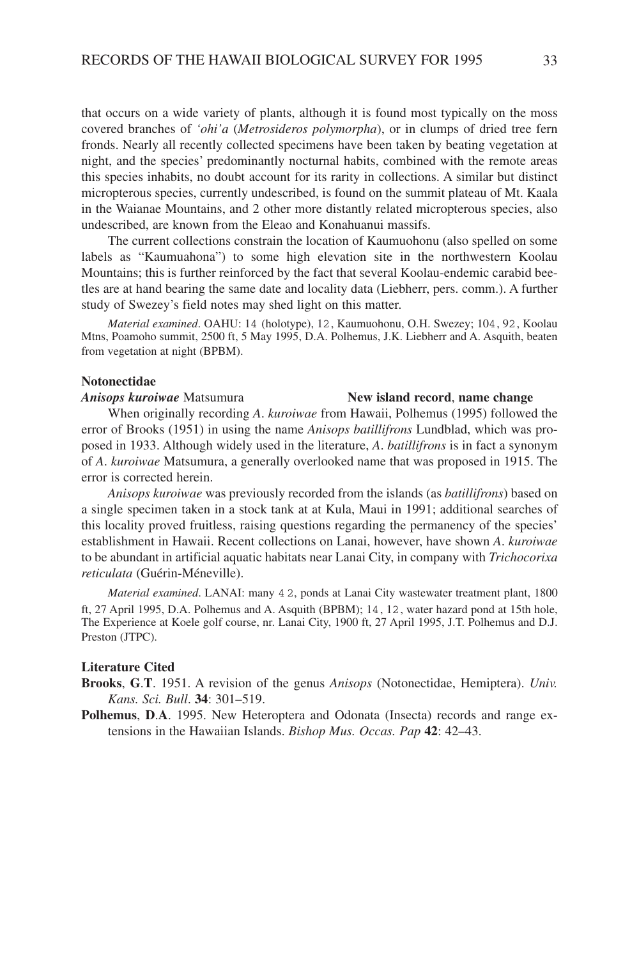that occurs on a wide variety of plants, although it is found most typically on the moss covered branches of *'ohi'a* (*Metrosideros polymorpha*), or in clumps of dried tree fern fronds. Nearly all recently collected specimens have been taken by beating vegetation at night, and the species' predominantly nocturnal habits, combined with the remote areas this species inhabits, no doubt account for its rarity in collections. A similar but distinct micropterous species, currently undescribed, is found on the summit plateau of Mt. Kaala in the Waianae Mountains, and 2 other more distantly related micropterous species, also undescribed, are known from the Eleao and Konahuanui massifs.

The current collections constrain the location of Kaumuohonu (also spelled on some labels as "Kaumuahona") to some high elevation site in the northwestern Koolau Mountains; this is further reinforced by the fact that several Koolau-endemic carabid beetles are at hand bearing the same date and locality data (Liebherr, pers. comm.). A further study of Swezey's field notes may shed light on this matter.

*Material examined*. OAHU: 14 (holotype), 12, Kaumuohonu, O.H. Swezey; 104, 92, Koolau Mtns, Poamoho summit, 2500 ft, 5 May 1995, D.A. Polhemus, J.K. Liebherr and A. Asquith, beaten from vegetation at night (BPBM).

#### **Notonectidae**

### *Anisops kuroiwae* Matsumura **New island record**, **name change**

When originally recording *A*. *kuroiwae* from Hawaii, Polhemus (1995) followed the error of Brooks (1951) in using the name *Anisops batillifrons* Lundblad, which was proposed in 1933. Although widely used in the literature, *A*. *batillifrons* is in fact a synonym of *A*. *kuroiwae* Matsumura, a generally overlooked name that was proposed in 1915. The error is corrected herein.

*Anisops kuroiwae* was previously recorded from the islands (as *batillifrons*) based on a single specimen taken in a stock tank at at Kula, Maui in 1991; additional searches of this locality proved fruitless, raising questions regarding the permanency of the species' establishment in Hawaii. Recent collections on Lanai, however, have shown *A*. *kuroiwae* to be abundant in artificial aquatic habitats near Lanai City, in company with *Trichocorixa reticulata* (Guérin-Méneville).

*Material examined*. LANAI: many 4 2, ponds at Lanai City wastewater treatment plant, 1800 ft, 27 April 1995, D.A. Polhemus and A. Asquith (BPBM); 14, 12, water hazard pond at 15th hole, The Experience at Koele golf course, nr. Lanai City, 1900 ft, 27 April 1995, J.T. Polhemus and D.J. Preston (JTPC).

#### **Literature Cited**

- **Brooks**, **G**.**T**. 1951. A revision of the genus *Anisops* (Notonectidae, Hemiptera). *Univ. Kans. Sci. Bull*. **34**: 301–519.
- **Polhemus**, **D**.**A**. 1995. New Heteroptera and Odonata (Insecta) records and range extensions in the Hawaiian Islands. *Bishop Mus. Occas. Pap* **42**: 42–43.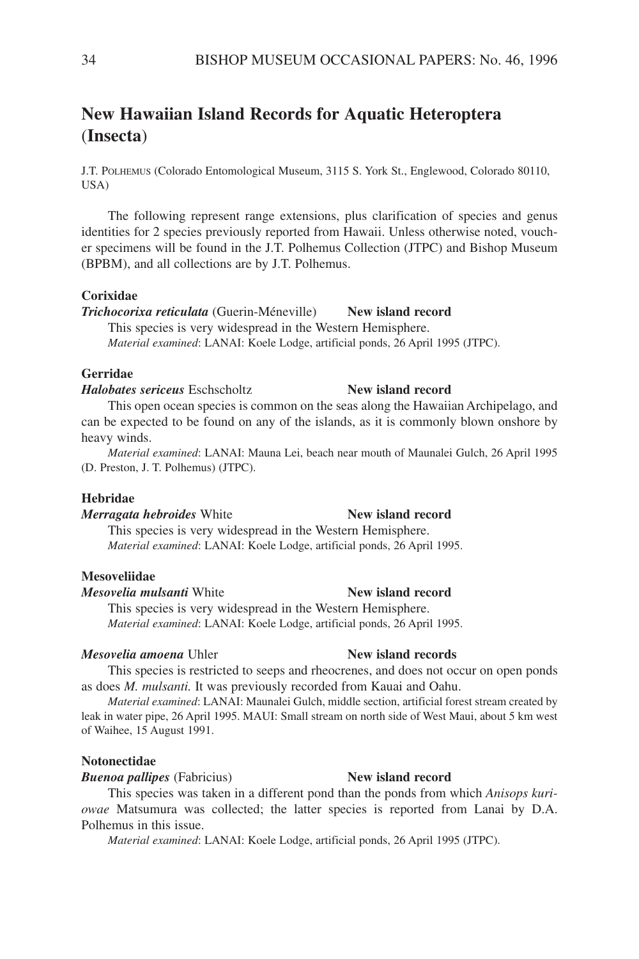# **New Hawaiian Island Records for Aquatic Heteroptera** (**Insecta**)

J.T. POLHEMUS (Colorado Entomological Museum, 3115 S. York St., Englewood, Colorado 80110, USA)

The following represent range extensions, plus clarification of species and genus identities for 2 species previously reported from Hawaii. Unless otherwise noted, voucher specimens will be found in the J.T. Polhemus Collection (JTPC) and Bishop Museum (BPBM), and all collections are by J.T. Polhemus.

### **Corixidae**

*Trichocorixa reticulata* (Guerin-Méneville) **New island record** This species is very widespread in the Western Hemisphere.

*Material examined*: LANAI: Koele Lodge, artificial ponds, 26 April 1995 (JTPC).

### **Gerridae**

*Halobates sericeus* Eschscholtz **New island record**

This open ocean species is common on the seas along the Hawaiian Archipelago, and can be expected to be found on any of the islands, as it is commonly blown onshore by heavy winds.

*Material examined*: LANAI: Mauna Lei, beach near mouth of Maunalei Gulch, 26 April 1995 (D. Preston, J. T. Polhemus) (JTPC).

#### **Hebridae**

#### *Merragata hebroides* White **New island record**

This species is very widespread in the Western Hemisphere. *Material examined*: LANAI: Koele Lodge, artificial ponds, 26 April 1995.

### **Mesoveliidae**

### *Mesovelia mulsanti* White **New island record**

This species is very widespread in the Western Hemisphere. *Material examined*: LANAI: Koele Lodge, artificial ponds, 26 April 1995.

#### *Mesovelia amoena* Uhler **New island records**

This species is restricted to seeps and rheocrenes, and does not occur on open ponds as does *M. mulsanti.* It was previously recorded from Kauai and Oahu.

*Material examined*: LANAI: Maunalei Gulch, middle section, artificial forest stream created by leak in water pipe, 26 April 1995. MAUI: Small stream on north side of West Maui, about 5 km west of Waihee, 15 August 1991.

### **Notonectidae**

*Buenoa pallipes* (Fabricius) **New island record**

This species was taken in a different pond than the ponds from which *Anisops kuriowae* Matsumura was collected; the latter species is reported from Lanai by D.A. Polhemus in this issue.

*Material examined*: LANAI: Koele Lodge, artificial ponds, 26 April 1995 (JTPC).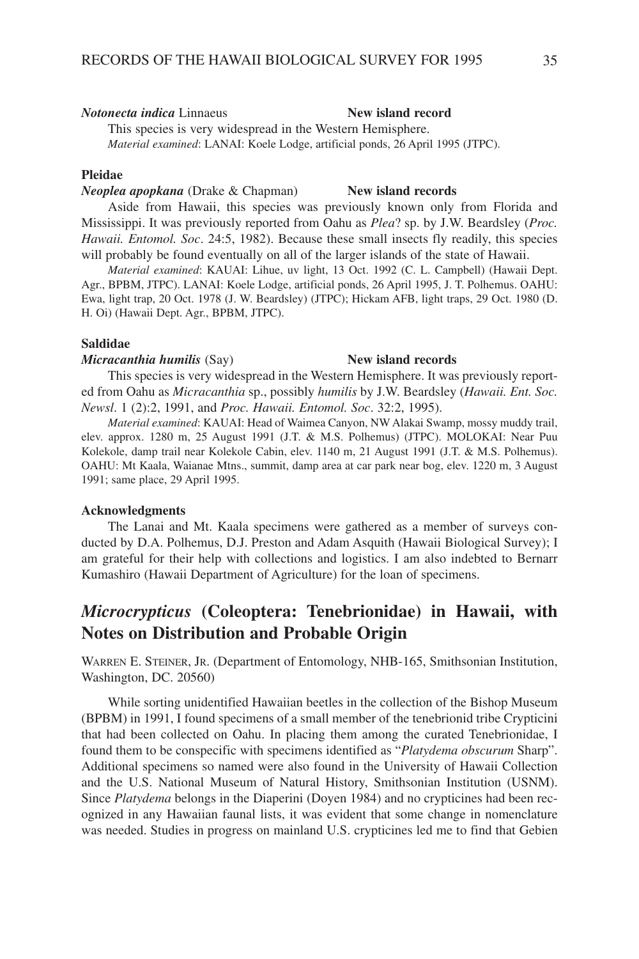#### *Notonecta indica* Linnaeus **New island record**

This species is very widespread in the Western Hemisphere. *Material examined*: LANAI: Koele Lodge, artificial ponds, 26 April 1995 (JTPC).

#### **Pleidae**

#### *Neoplea apopkana* (Drake & Chapman) **New island records**

Aside from Hawaii, this species was previously known only from Florida and Mississippi. It was previously reported from Oahu as *Plea*? sp. by J.W. Beardsley (*Proc. Hawaii. Entomol. Soc*. 24:5, 1982). Because these small insects fly readily, this species will probably be found eventually on all of the larger islands of the state of Hawaii.

*Material examined*: KAUAI: Lihue, uv light, 13 Oct. 1992 (C. L. Campbell) (Hawaii Dept. Agr., BPBM, JTPC). LANAI: Koele Lodge, artificial ponds, 26 April 1995, J. T. Polhemus. OAHU: Ewa, light trap, 20 Oct. 1978 (J. W. Beardsley) (JTPC); Hickam AFB, light traps, 29 Oct. 1980 (D. H. Oi) (Hawaii Dept. Agr., BPBM, JTPC).

#### **Saldidae**

#### *Micracanthia humilis* (Say) **New island records**

This species is very widespread in the Western Hemisphere. It was previously reported from Oahu as *Micracanthia* sp., possibly *humilis* by J.W. Beardsley (*Hawaii. Ent. Soc. Newsl*. 1 (2):2, 1991, and *Proc. Hawaii. Entomol. Soc*. 32:2, 1995).

*Material examined*: KAUAI: Head of Waimea Canyon, NW Alakai Swamp, mossy muddy trail, elev. approx. 1280 m, 25 August 1991 (J.T. & M.S. Polhemus) (JTPC). MOLOKAI: Near Puu Kolekole, damp trail near Kolekole Cabin, elev. 1140 m, 21 August 1991 (J.T. & M.S. Polhemus). OAHU: Mt Kaala, Waianae Mtns., summit, damp area at car park near bog, elev. 1220 m, 3 August 1991; same place, 29 April 1995.

### **Acknowledgments**

The Lanai and Mt. Kaala specimens were gathered as a member of surveys conducted by D.A. Polhemus, D.J. Preston and Adam Asquith (Hawaii Biological Survey); I am grateful for their help with collections and logistics. I am also indebted to Bernarr Kumashiro (Hawaii Department of Agriculture) for the loan of specimens.

# *Microcrypticus* **(Coleoptera: Tenebrionidae) in Hawaii, with Notes on Distribution and Probable Origin**

WARREN E. STEINER, JR. (Department of Entomology, NHB-165, Smithsonian Institution, Washington, DC. 20560)

While sorting unidentified Hawaiian beetles in the collection of the Bishop Museum (BPBM) in 1991, I found specimens of a small member of the tenebrionid tribe Crypticini that had been collected on Oahu. In placing them among the curated Tenebrionidae, I found them to be conspecific with specimens identified as "*Platydema obscurum* Sharp". Additional specimens so named were also found in the University of Hawaii Collection and the U.S. National Museum of Natural History, Smithsonian Institution (USNM). Since *Platydema* belongs in the Diaperini (Doyen 1984) and no crypticines had been recognized in any Hawaiian faunal lists, it was evident that some change in nomenclature was needed. Studies in progress on mainland U.S. crypticines led me to find that Gebien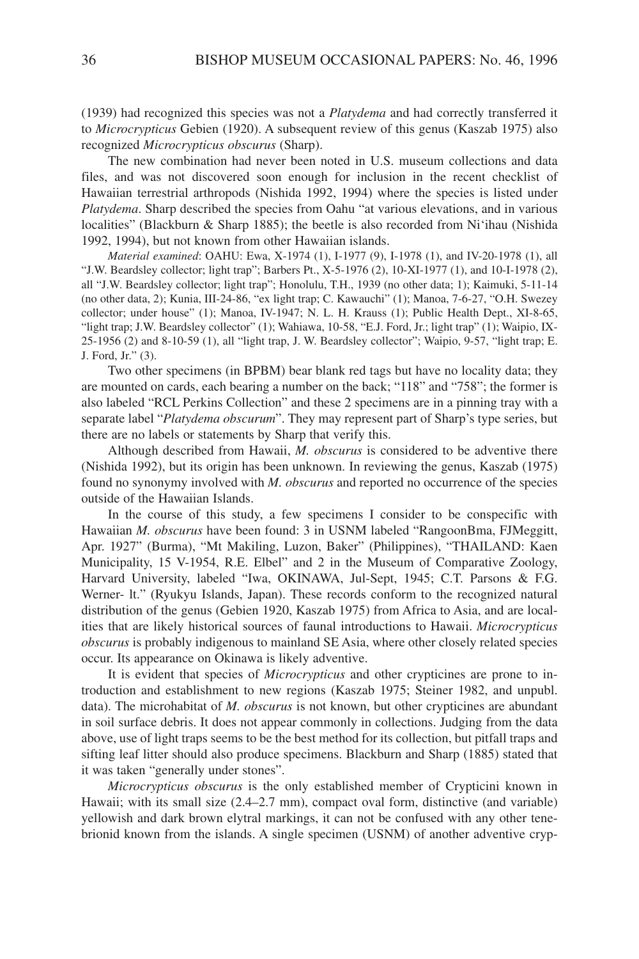(1939) had recognized this species was not a *Platydema* and had correctly transferred it to *Microcrypticus* Gebien (1920). A subsequent review of this genus (Kaszab 1975) also recognized *Microcrypticus obscurus* (Sharp).

The new combination had never been noted in U.S. museum collections and data files, and was not discovered soon enough for inclusion in the recent checklist of Hawaiian terrestrial arthropods (Nishida 1992, 1994) where the species is listed under *Platydema*. Sharp described the species from Oahu "at various elevations, and in various localities" (Blackburn & Sharp 1885); the beetle is also recorded from Ni'ihau (Nishida 1992, 1994), but not known from other Hawaiian islands.

*Material examined*: OAHU: Ewa, X-1974 (1), I-1977 (9), I-1978 (1), and IV-20-1978 (1), all "J.W. Beardsley collector; light trap"; Barbers Pt., X-5-1976 (2), 10-XI-1977 (1), and 10-I-1978 (2), all "J.W. Beardsley collector; light trap"; Honolulu, T.H., 1939 (no other data; 1); Kaimuki, 5-11-14 (no other data, 2); Kunia, III-24-86, "ex light trap; C. Kawauchi" (1); Manoa, 7-6-27, "O.H. Swezey collector; under house" (1); Manoa, IV-1947; N. L. H. Krauss (1); Public Health Dept., XI-8-65, "light trap; J.W. Beardsley collector" (1); Wahiawa, 10-58, "E.J. Ford, Jr.; light trap" (1); Waipio, IX-25-1956 (2) and 8-10-59 (1), all "light trap, J. W. Beardsley collector"; Waipio, 9-57, "light trap; E. J. Ford, Jr." (3).

Two other specimens (in BPBM) bear blank red tags but have no locality data; they are mounted on cards, each bearing a number on the back; "118" and "758"; the former is also labeled "RCL Perkins Collection" and these 2 specimens are in a pinning tray with a separate label "*Platydema obscurum*". They may represent part of Sharp's type series, but there are no labels or statements by Sharp that verify this.

Although described from Hawaii, *M. obscurus* is considered to be adventive there (Nishida 1992), but its origin has been unknown. In reviewing the genus, Kaszab (1975) found no synonymy involved with *M. obscurus* and reported no occurrence of the species outside of the Hawaiian Islands.

In the course of this study, a few specimens I consider to be conspecific with Hawaiian *M. obscurus* have been found: 3 in USNM labeled "RangoonBma, FJMeggitt, Apr. 1927" (Burma), "Mt Makiling, Luzon, Baker" (Philippines), "THAILAND: Kaen Municipality, 15 V-1954, R.E. Elbel" and 2 in the Museum of Comparative Zoology, Harvard University, labeled "Iwa, OKINAWA, Jul-Sept, 1945; C.T. Parsons & F.G. Werner- lt." (Ryukyu Islands, Japan). These records conform to the recognized natural distribution of the genus (Gebien 1920, Kaszab 1975) from Africa to Asia, and are localities that are likely historical sources of faunal introductions to Hawaii. *Microcrypticus obscurus* is probably indigenous to mainland SE Asia, where other closely related species occur. Its appearance on Okinawa is likely adventive.

It is evident that species of *Microcrypticus* and other crypticines are prone to introduction and establishment to new regions (Kaszab 1975; Steiner 1982, and unpubl. data). The microhabitat of *M. obscurus* is not known, but other crypticines are abundant in soil surface debris. It does not appear commonly in collections. Judging from the data above, use of light traps seems to be the best method for its collection, but pitfall traps and sifting leaf litter should also produce specimens. Blackburn and Sharp (1885) stated that it was taken "generally under stones".

*Microcrypticus obscurus* is the only established member of Crypticini known in Hawaii; with its small size (2.4–2.7 mm), compact oval form, distinctive (and variable) yellowish and dark brown elytral markings, it can not be confused with any other tenebrionid known from the islands. A single specimen (USNM) of another adventive cryp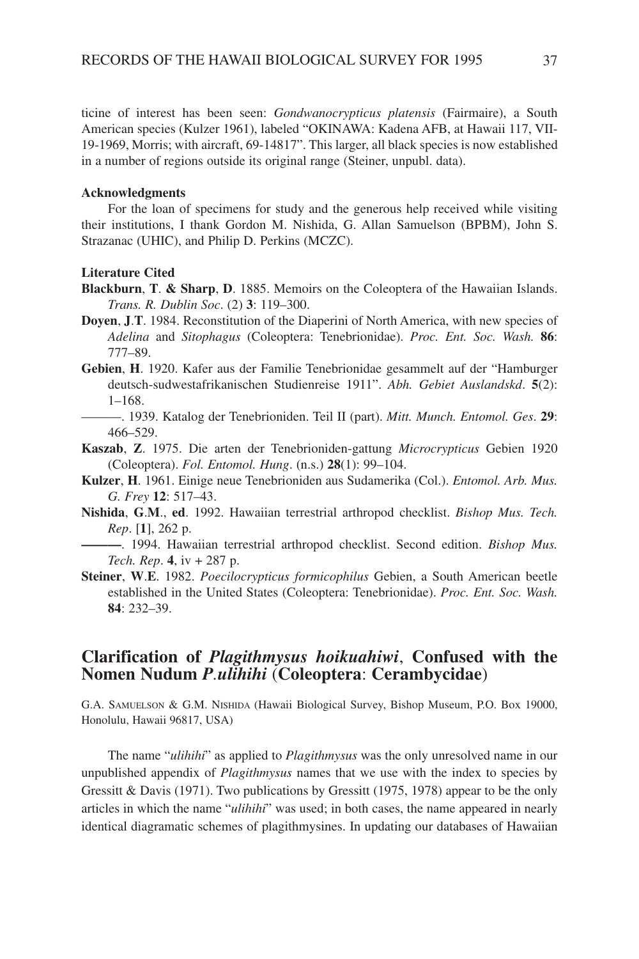ticine of interest has been seen: *Gondwanocrypticus platensis* (Fairmaire), a South American species (Kulzer 1961), labeled "OKINAWA: Kadena AFB, at Hawaii 117, VII-19-1969, Morris; with aircraft, 69-14817". This larger, all black species is now established in a number of regions outside its original range (Steiner, unpubl. data).

#### **Acknowledgments**

For the loan of specimens for study and the generous help received while visiting their institutions, I thank Gordon M. Nishida, G. Allan Samuelson (BPBM), John S. Strazanac (UHIC), and Philip D. Perkins (MCZC).

#### **Literature Cited**

- **Blackburn**, **T**. **& Sharp**, **D**. 1885. Memoirs on the Coleoptera of the Hawaiian Islands. *Trans. R. Dublin Soc*. (2) **3**: 119–300.
- **Doyen**, **J**.**T**. 1984. Reconstitution of the Diaperini of North America, with new species of *Adelina* and *Sitophagus* (Coleoptera: Tenebrionidae). *Proc. Ent. Soc. Wash.* **86**: 777–89.
- **Gebien**, **H**. 1920. Kafer aus der Familie Tenebrionidae gesammelt auf der "Hamburger deutsch-sudwestafrikanischen Studienreise 1911". *Abh. Gebiet Auslandskd*. **5**(2): 1–168.
	- ———. 1939. Katalog der Tenebrioniden. Teil II (part). *Mitt. Munch. Entomol. Ges*. **29**: 466–529.
- **Kaszab**, **Z**. 1975. Die arten der Tenebrioniden-gattung *Microcrypticus* Gebien 1920 (Coleoptera). *Fol. Entomol. Hung*. (n.s.) **28**(1): 99–104.
- **Kulzer**, **H**. 1961. Einige neue Tenebrioniden aus Sudamerika (Col.). *Entomol. Arb. Mus. G. Frey* **12**: 517–43.
- **Nishida**, **G**.**M**., **ed**. 1992. Hawaiian terrestrial arthropod checklist. *Bishop Mus. Tech. Rep*. [**1**], 262 p.
- **———**. 1994. Hawaiian terrestrial arthropod checklist. Second edition. *Bishop Mus. Tech. Rep*. **4**, iv + 287 p.
- **Steiner**, **W**.**E**. 1982. *Poecilocrypticus formicophilus* Gebien, a South American beetle established in the United States (Coleoptera: Tenebrionidae). *Proc. Ent. Soc. Wash.* **84**: 232–39.

# **Clarification of** *Plagithmysus hoikuahiwi*, **Confused with the Nomen Nudum** *P.ulihihi* (**Coleoptera**: **Cerambycidae**)

G.A. SAMUELSON & G.M. NISHIDA (Hawaii Biological Survey, Bishop Museum, P.O. Box 19000, Honolulu, Hawaii 96817, USA)

The name "*ulihihi*" as applied to *Plagithmysus* was the only unresolved name in our unpublished appendix of *Plagithmysus* names that we use with the index to species by Gressitt & Davis (1971). Two publications by Gressitt (1975, 1978) appear to be the only articles in which the name "*ulihihi*" was used; in both cases, the name appeared in nearly identical diagramatic schemes of plagithmysines. In updating our databases of Hawaiian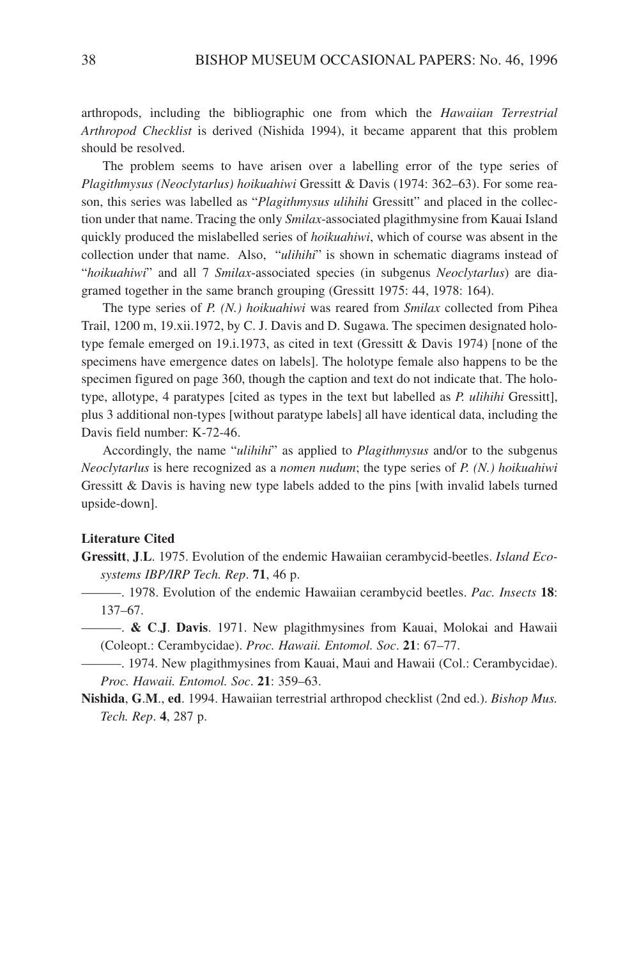arthropods, including the bibliographic one from which the *Hawaiian Terrestrial Arthropod Checklist* is derived (Nishida 1994), it became apparent that this problem should be resolved.

The problem seems to have arisen over a labelling error of the type series of *Plagithmysus (Neoclytarlus) hoikuahiwi* Gressitt & Davis (1974: 362–63). For some reason, this series was labelled as "*Plagithmysus ulihihi* Gressitt" and placed in the collection under that name. Tracing the only *Smilax*-associated plagithmysine from Kauai Island quickly produced the mislabelled series of *hoikuahiwi*, which of course was absent in the collection under that name. Also, "*ulihihi*" is shown in schematic diagrams instead of "*hoikuahiwi*" and all 7 *Smilax*-associated species (in subgenus *Neoclytarlus*) are diagramed together in the same branch grouping (Gressitt 1975: 44, 1978: 164).

The type series of *P. (N.) hoikuahiwi* was reared from *Smilax* collected from Pihea Trail, 1200 m, 19.xii.1972, by C. J. Davis and D. Sugawa. The specimen designated holotype female emerged on 19.i.1973, as cited in text (Gressitt & Davis 1974) [none of the specimens have emergence dates on labels]. The holotype female also happens to be the specimen figured on page 360, though the caption and text do not indicate that. The holotype, allotype, 4 paratypes [cited as types in the text but labelled as *P. ulihihi* Gressitt], plus 3 additional non-types [without paratype labels] all have identical data, including the Davis field number: K-72-46.

Accordingly, the name "*ulihihi*" as applied to *Plagithmysus* and/or to the subgenus *Neoclytarlus* is here recognized as a *nomen nudum*; the type series of *P. (N.) hoikuahiwi* Gressitt & Davis is having new type labels added to the pins [with invalid labels turned upside-down].

### **Literature Cited**

- **Gressitt**, **J**.**L**. 1975. Evolution of the endemic Hawaiian cerambycid-beetles. *Island Ecosystems IBP/IRP Tech. Rep*. **71**, 46 p.
	- ———. 1978. Evolution of the endemic Hawaiian cerambycid beetles. *Pac. Insects* **18**: 137–67.
	- ———. **& C**.**J**. **Davis**. 1971. New plagithmysines from Kauai, Molokai and Hawaii (Coleopt.: Cerambycidae). *Proc. Hawaii. Entomol. Soc*. **21**: 67–77.
- ———. 1974. New plagithmysines from Kauai, Maui and Hawaii (Col.: Cerambycidae). *Proc. Hawaii. Entomol. Soc*. **21**: 359–63.
- **Nishida**, **G**.**M**., **ed**. 1994. Hawaiian terrestrial arthropod checklist (2nd ed.). *Bishop Mus. Tech. Rep*. **4**, 287 p.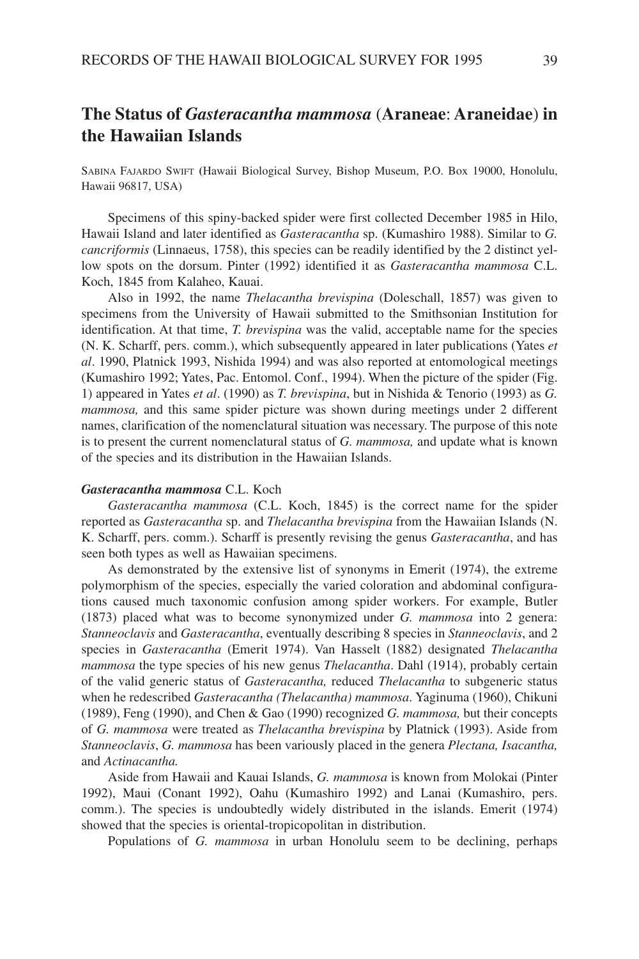# **The Status of** *Gasteracantha mammosa* (**Araneae**: **Araneidae**) **in the Hawaiian Islands**

SABINA FAJARDO SWIFT **(**Hawaii Biological Survey, Bishop Museum, P.O. Box 19000, Honolulu, Hawaii 96817, USA)

Specimens of this spiny-backed spider were first collected December 1985 in Hilo, Hawaii Island and later identified as *Gasteracantha* sp. (Kumashiro 1988). Similar to *G. cancriformis* (Linnaeus, 1758), this species can be readily identified by the 2 distinct yellow spots on the dorsum. Pinter (1992) identified it as *Gasteracantha mammosa* C.L. Koch, 1845 from Kalaheo, Kauai.

Also in 1992, the name *Thelacantha brevispina* (Doleschall, 1857) was given to specimens from the University of Hawaii submitted to the Smithsonian Institution for identification. At that time, *T. brevispina* was the valid, acceptable name for the species (N. K. Scharff, pers. comm.), which subsequently appeared in later publications (Yates *et al*. 1990, Platnick 1993, Nishida 1994) and was also reported at entomological meetings (Kumashiro 1992; Yates, Pac. Entomol. Conf., 1994). When the picture of the spider (Fig. 1) appeared in Yates *et al*. (1990) as *T. brevispina*, but in Nishida & Tenorio (1993) as *G. mammosa,* and this same spider picture was shown during meetings under 2 different names, clarification of the nomenclatural situation was necessary. The purpose of this note is to present the current nomenclatural status of *G. mammosa,* and update what is known of the species and its distribution in the Hawaiian Islands.

### *Gasteracantha mammosa* C.L. Koch

*Gasteracantha mammosa* (C.L. Koch, 1845) is the correct name for the spider reported as *Gasteracantha* sp. and *Thelacantha brevispina* from the Hawaiian Islands (N. K. Scharff, pers. comm.). Scharff is presently revising the genus *Gasteracantha*, and has seen both types as well as Hawaiian specimens.

As demonstrated by the extensive list of synonyms in Emerit (1974), the extreme polymorphism of the species, especially the varied coloration and abdominal configurations caused much taxonomic confusion among spider workers. For example, Butler (1873) placed what was to become synonymized under *G. mammosa* into 2 genera: *Stanneoclavis* and *Gasteracantha*, eventually describing 8 species in *Stanneoclavis*, and 2 species in *Gasteracantha* (Emerit 1974). Van Hasselt (1882) designated *Thelacantha mammosa* the type species of his new genus *Thelacantha*. Dahl (1914), probably certain of the valid generic status of *Gasteracantha,* reduced *Thelacantha* to subgeneric status when he redescribed *Gasteracantha (Thelacantha) mammosa*. Yaginuma (1960), Chikuni (1989), Feng (1990), and Chen & Gao (1990) recognized *G. mammosa,* but their concepts of *G. mammosa* were treated as *Thelacantha brevispina* by Platnick (1993). Aside from *Stanneoclavis*, *G. mammosa* has been variously placed in the genera *Plectana, Isacantha,* and *Actinacantha.* 

Aside from Hawaii and Kauai Islands, *G. mammosa* is known from Molokai (Pinter 1992), Maui (Conant 1992), Oahu (Kumashiro 1992) and Lanai (Kumashiro, pers. comm.). The species is undoubtedly widely distributed in the islands. Emerit (1974) showed that the species is oriental-tropicopolitan in distribution.

Populations of *G. mammosa* in urban Honolulu seem to be declining, perhaps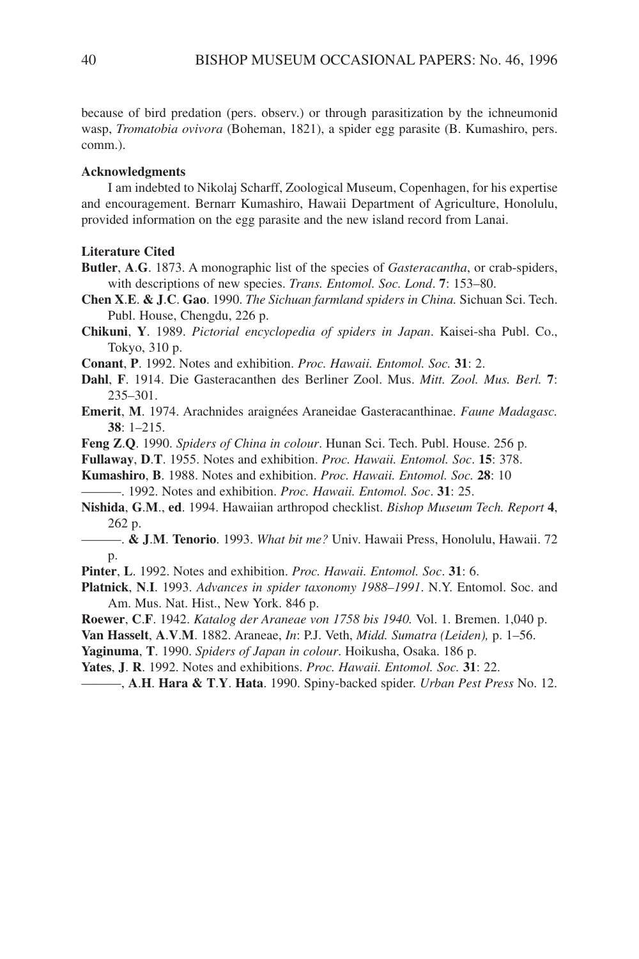because of bird predation (pers. observ.) or through parasitization by the ichneumonid wasp, *Tromatobia ovivora* (Boheman, 1821), a spider egg parasite (B. Kumashiro, pers. comm.).

### **Acknowledgments**

I am indebted to Nikolaj Scharff, Zoological Museum, Copenhagen, for his expertise and encouragement. Bernarr Kumashiro, Hawaii Department of Agriculture, Honolulu, provided information on the egg parasite and the new island record from Lanai.

### **Literature Cited**

- **Butler**, **A**.**G**. 1873. A monographic list of the species of *Gasteracantha*, or crab-spiders, with descriptions of new species. *Trans. Entomol. Soc. Lond*. **7**: 153–80.
- **Chen X**.**E**. **& J**.**C**. **Gao**. 1990. *The Sichuan farmland spiders in China.* Sichuan Sci. Tech. Publ. House, Chengdu, 226 p.
- **Chikuni**, **Y**. 1989. *Pictorial encyclopedia of spiders in Japan*. Kaisei-sha Publ. Co., Tokyo, 310 p.
- **Conant**, **P**. 1992. Notes and exhibition. *Proc. Hawaii. Entomol. Soc.* **31**: 2.
- **Dahl**, **F**. 1914. Die Gasteracanthen des Berliner Zool. Mus. *Mitt. Zool. Mus. Berl.* **7**: 235–301.
- **Emerit**, **M**. 1974. Arachnides araignées Araneidae Gasteracanthinae. *Faune Madagasc.* **38**: 1–215.
- **Feng Z**.**Q**. 1990. *Spiders of China in colour*. Hunan Sci. Tech. Publ. House. 256 p.
- **Fullaway**, **D**.**T**. 1955. Notes and exhibition. *Proc. Hawaii. Entomol. Soc*. **15**: 378.

**Kumashiro**, **B**. 1988. Notes and exhibition. *Proc. Hawaii. Entomol. Soc.* **28**: 10 ———. 1992. Notes and exhibition. *Proc. Hawaii. Entomol. Soc*. **31**: 25.

- **Nishida**, **G**.**M**., **ed**. 1994. Hawaiian arthropod checklist. *Bishop Museum Tech. Report* **4**, 262 p.
- ———. **& J**.**M**. **Tenorio**. 1993. *What bit me?* Univ. Hawaii Press, Honolulu, Hawaii. 72 p.
- **Pinter**, **L**. 1992. Notes and exhibition. *Proc. Hawaii. Entomol. Soc*. **31**: 6.
- **Platnick**, **N**.**I**. 1993. *Advances in spider taxonomy 1988–1991*. N.Y. Entomol. Soc. and Am. Mus. Nat. Hist., New York. 846 p.
- **Roewer**, **C**.**F**. 1942. *Katalog der Araneae von 1758 bis 1940.* Vol. 1. Bremen. 1,040 p.
- **Van Hasselt**, **A**.**V**.**M**. 1882. Araneae, *In*: P.J. Veth, *Midd. Sumatra (Leiden),* p. 1–56.
- **Yaginuma**, **T**. 1990. *Spiders of Japan in colour*. Hoikusha, Osaka. 186 p.
- **Yates**, **J**. **R**. 1992. Notes and exhibitions. *Proc. Hawaii. Entomol. Soc.* **31**: 22.

———, **A**.**H**. **Hara & T**.**Y**. **Hata**. 1990. Spiny-backed spider. *Urban Pest Press* No. 12.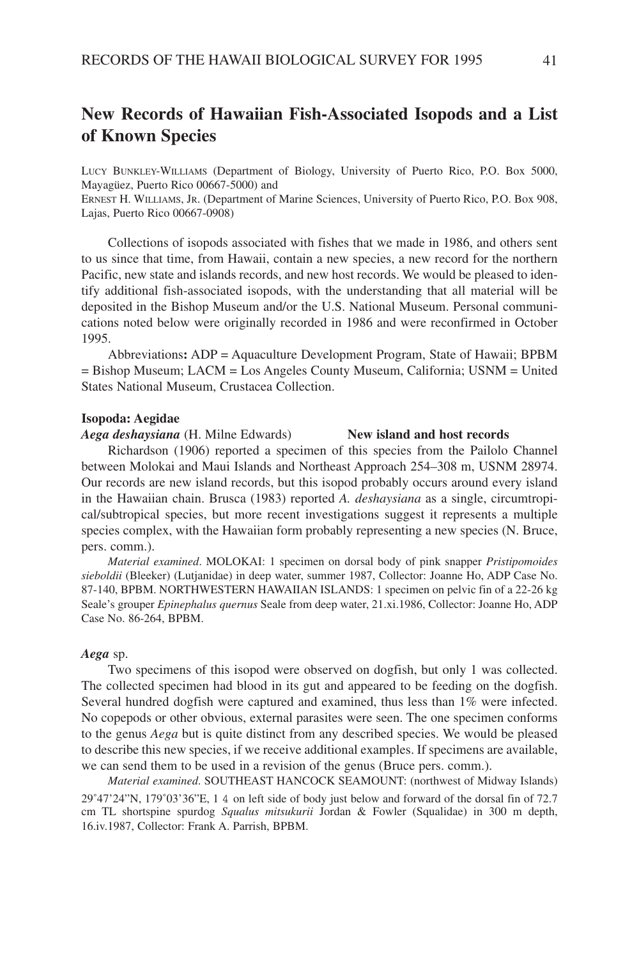# **New Records of Hawaiian Fish-Associated Isopods and a List of Known Species**

LUCY BUNKLEY-WILLIAMS (Department of Biology, University of Puerto Rico, P.O. Box 5000, Mayagüez, Puerto Rico 00667-5000) and

ERNEST H. WILLIAMS, JR. (Department of Marine Sciences, University of Puerto Rico, P.O. Box 908, Lajas, Puerto Rico 00667-0908)

Collections of isopods associated with fishes that we made in 1986, and others sent to us since that time, from Hawaii, contain a new species, a new record for the northern Pacific, new state and islands records, and new host records. We would be pleased to identify additional fish-associated isopods, with the understanding that all material will be deposited in the Bishop Museum and/or the U.S. National Museum. Personal communications noted below were originally recorded in 1986 and were reconfirmed in October 1995.

Abbreviations**:** ADP = Aquaculture Development Program, State of Hawaii; BPBM = Bishop Museum; LACM = Los Angeles County Museum, California; USNM = United States National Museum, Crustacea Collection.

### **Isopoda: Aegidae**

*Aega deshaysiana* (H. Milne Edwards) **New island and host records**

Richardson (1906) reported a specimen of this species from the Pailolo Channel between Molokai and Maui Islands and Northeast Approach 254–308 m, USNM 28974. Our records are new island records, but this isopod probably occurs around every island in the Hawaiian chain. Brusca (1983) reported *A. deshaysiana* as a single, circumtropical/subtropical species, but more recent investigations suggest it represents a multiple species complex, with the Hawaiian form probably representing a new species (N. Bruce, pers. comm.).

*Material examined*. MOLOKAI: 1 specimen on dorsal body of pink snapper *Pristipomoides sieboldii* (Bleeker) (Lutjanidae) in deep water, summer 1987, Collector: Joanne Ho, ADP Case No. 87-140, BPBM. NORTHWESTERN HAWAIIAN ISLANDS: 1 specimen on pelvic fin of a 22-26 kg Seale's grouper *Epinephalus quernus* Seale from deep water, 21.xi.1986, Collector: Joanne Ho, ADP Case No. 86-264, BPBM.

#### *Aega* sp.

Two specimens of this isopod were observed on dogfish, but only 1 was collected. The collected specimen had blood in its gut and appeared to be feeding on the dogfish. Several hundred dogfish were captured and examined, thus less than 1% were infected. No copepods or other obvious, external parasites were seen. The one specimen conforms to the genus *Aega* but is quite distinct from any described species. We would be pleased to describe this new species, if we receive additional examples. If specimens are available, we can send them to be used in a revision of the genus (Bruce pers. comm.).

*Material examined*. SOUTHEAST HANCOCK SEAMOUNT: (northwest of Midway Islands) 29˚47'24"N, 179˚03'36"E, 1 4 on left side of body just below and forward of the dorsal fin of 72.7 cm TL shortspine spurdog *Squalus mitsukurii* Jordan & Fowler (Squalidae) in 300 m depth, 16.iv.1987, Collector: Frank A. Parrish, BPBM.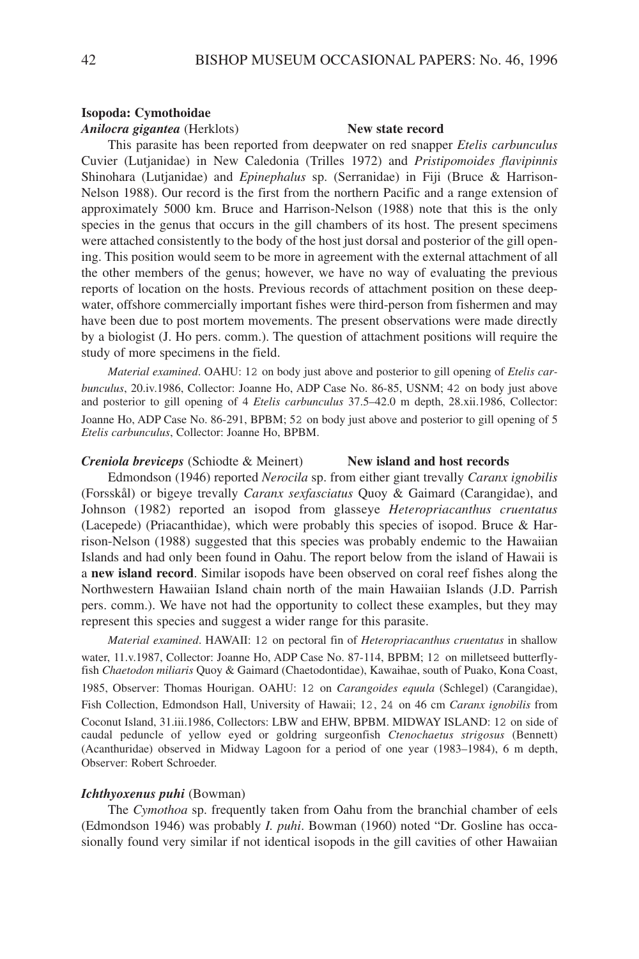#### **Isopoda: Cymothoidae**

#### *Anilocra gigantea* (Herklots) **New state record**

This parasite has been reported from deepwater on red snapper *Etelis carbunculus* Cuvier (Lutjanidae) in New Caledonia (Trilles 1972) and *Pristipomoides flavipinnis* Shinohara (Lutjanidae) and *Epinephalus* sp. (Serranidae) in Fiji (Bruce & Harrison-Nelson 1988). Our record is the first from the northern Pacific and a range extension of approximately 5000 km. Bruce and Harrison-Nelson (1988) note that this is the only species in the genus that occurs in the gill chambers of its host. The present specimens were attached consistently to the body of the host just dorsal and posterior of the gill opening. This position would seem to be more in agreement with the external attachment of all the other members of the genus; however, we have no way of evaluating the previous reports of location on the hosts. Previous records of attachment position on these deepwater, offshore commercially important fishes were third-person from fishermen and may have been due to post mortem movements. The present observations were made directly by a biologist (J. Ho pers. comm.). The question of attachment positions will require the study of more specimens in the field.

*Material examined*. OAHU: 12 on body just above and posterior to gill opening of *Etelis carbunculus*, 20.iv.1986, Collector: Joanne Ho, ADP Case No. 86-85, USNM; 42 on body just above and posterior to gill opening of 4 *Etelis carbunculus* 37.5–42.0 m depth, 28.xii.1986, Collector: Joanne Ho, ADP Case No. 86-291, BPBM; 52 on body just above and posterior to gill opening of 5 *Etelis carbunculus*, Collector: Joanne Ho, BPBM.

### *Creniola breviceps* (Schiodte & Meinert) **New island and host records**

Edmondson (1946) reported *Nerocila* sp. from either giant trevally *Caranx ignobilis* (Forsskål) or bigeye trevally *Caranx sexfasciatus* Quoy & Gaimard (Carangidae), and Johnson (1982) reported an isopod from glasseye *Heteropriacanthus cruentatus* (Lacepede) (Priacanthidae), which were probably this species of isopod. Bruce & Harrison-Nelson (1988) suggested that this species was probably endemic to the Hawaiian Islands and had only been found in Oahu. The report below from the island of Hawaii is a **new island record**. Similar isopods have been observed on coral reef fishes along the Northwestern Hawaiian Island chain north of the main Hawaiian Islands (J.D. Parrish pers. comm.). We have not had the opportunity to collect these examples, but they may represent this species and suggest a wider range for this parasite.

*Material examined*. HAWAII: 12 on pectoral fin of *Heteropriacanthus cruentatus* in shallow water, 11.v.1987, Collector: Joanne Ho, ADP Case No. 87-114, BPBM; 12 on milletseed butterflyfish *Chaetodon miliaris* Quoy & Gaimard (Chaetodontidae), Kawaihae, south of Puako, Kona Coast,

1985, Observer: Thomas Hourigan. OAHU: 12 on *Carangoides equula* (Schlegel) (Carangidae), Fish Collection, Edmondson Hall, University of Hawaii; 12, 24 on 46 cm *Caranx ignobilis* from Coconut Island, 31.iii.1986, Collectors: LBW and EHW, BPBM. MIDWAY ISLAND: 12 on side of caudal peduncle of yellow eyed or goldring surgeonfish *Ctenochaetus strigosus* (Bennett) (Acanthuridae) observed in Midway Lagoon for a period of one year (1983–1984), 6 m depth, Observer: Robert Schroeder.

#### *Ichthyoxenus puhi* (Bowman)

The *Cymothoa* sp. frequently taken from Oahu from the branchial chamber of eels (Edmondson 1946) was probably *I. puhi*. Bowman (1960) noted "Dr. Gosline has occasionally found very similar if not identical isopods in the gill cavities of other Hawaiian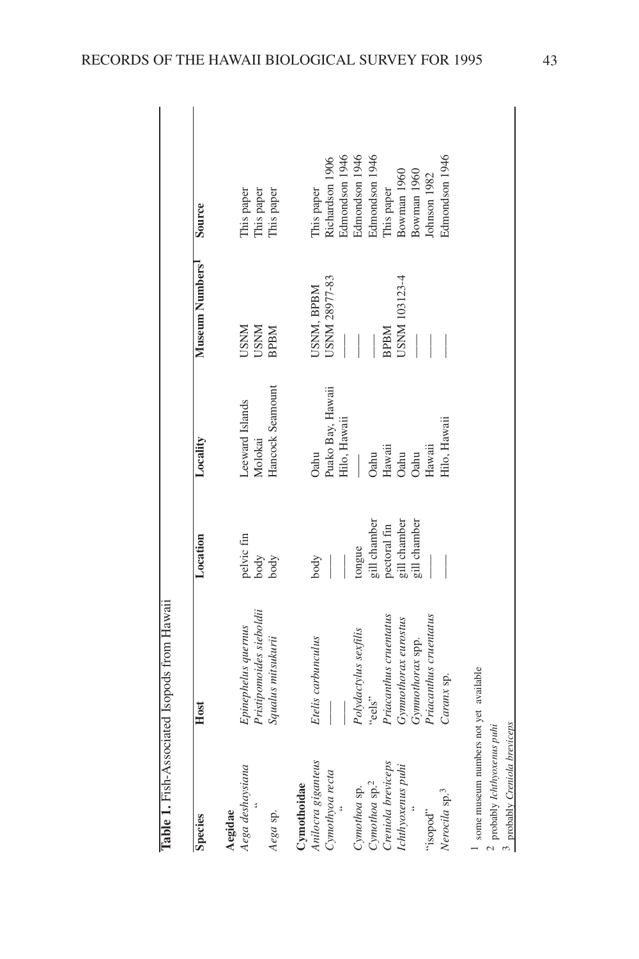| $\ddot{\phantom{a}}$<br><br>֖֖֖֖֖֖֖֖֧ׅ֖֖֧֖֖֧֪֪֪ׅ֖֧֪ׅ֖֧֪֪֪֪֪֪֪֪֪֪֪֪֪֪֪֪֪֪֪֪֪֪֪֪֪֪֪֪֪֪֪֚֚֚֚֚֚֚֚֚֚֚֚֚֚֚֚֚֚֚֚֚֚֚֚֚֚֚֚֚֚֬֕֝֝֓֞֝֓֞֝<br>do trong L'<br>${1 \over 2}$<br>$\sim$ $\sim$ $\sim$ $\sim$ $\sim$ $\sim$<br>ï<br>֧֦֦֧֧֧֧֧֦֧֧֧֧֧֧֧֧֚֚֚֚֚֚֝֝֝֬֝֓֝֬֝֓֕֓֝֬֝֬֝֓֬֝֬֝֓֝֬֝֬֝֓֝֬֝֓֝֬֝֓֝֬֝֬֝֬֝֬֝֬֝֬֝֬֝֬֝֬֝֬֝֬֝֬<br>l<br>くへへへ<br>しゅう ふくり<br>Ě<br>$\overline{\phantom{a}}$ |             |
|------------------------------------------------------------------------------------------------------------------------------------------------------------------------------------------------------------------------------------------------------------------------------------------------------------------------------------------------------------------|-------------|
|                                                                                                                                                                                                                                                                                                                                                                  | Lable 1.131 |

| <b>Species</b>                    | Host                                            | Location                   | Locality                       | Museum Numbers <sup>1</sup>  | Source                                 |
|-----------------------------------|-------------------------------------------------|----------------------------|--------------------------------|------------------------------|----------------------------------------|
| Aega deshaysiana<br>Aegidae       | Pristipomoides sieboldii<br>Epinephelus quernus | pelvic fin<br>body<br>body | Leeward Islands<br>Molokai     | <b>LISNM</b><br><b>NNISC</b> | This paper<br>This paper<br>This paper |
| Aega sp.                          | Squalus mitsukurii                              |                            | Hancock Seamount               | <b>BPBM</b>                  |                                        |
| Anilocra giganteus<br>Cymothoidae | Etelis carbunculus                              | body                       | Oahu                           | USNM, BPBM                   | This paper                             |
| Cymothyoa recta                   |                                                 |                            | Puako Bay, Hawaii              | <b>USNM 28977-83</b>         | Richardson 1906                        |
|                                   |                                                 |                            | Hilo, Hawaii                   |                              | Edmondson 1946                         |
| Cynothoa sp.                      | Polydactylus sexfilis                           | tongue                     |                                |                              | Edmondson 1946                         |
| Cynothoa sp. <sup>2</sup>         | "eels"                                          | gill chamber               |                                |                              | Edmondson 1946                         |
| Creniola breviceps                | Priacanthus cruentatus                          | pectoral fin               | Oahu<br>Hawaii<br>Oahu<br>Oahu | <b>BPBM</b>                  | This paper                             |
| Ichthyoxenus puhi                 | Gymnothorax eurostus                            | gill chamber               |                                | JSNM 103123-4                | Bowman 1960                            |
|                                   | Gymnothorax spp.                                | gill chamber               |                                |                              | Bowman 1960                            |
| "sopod"                           | Priacanthus cruentatus                          |                            | Hawaii                         |                              | Johnson 1982                           |
| Nerocila sp. <sup>3</sup>         | Caranx sp.                                      |                            | Hilo, Hawaii                   |                              | Edmondson 1946                         |
|                                   |                                                 |                            |                                |                              |                                        |

 $^{\rm 1}$  some museum numbers not yet available some museum numbers not yet available

പ സ probably *Ichthyoxenus puhi*

probably *Creniola breviceps*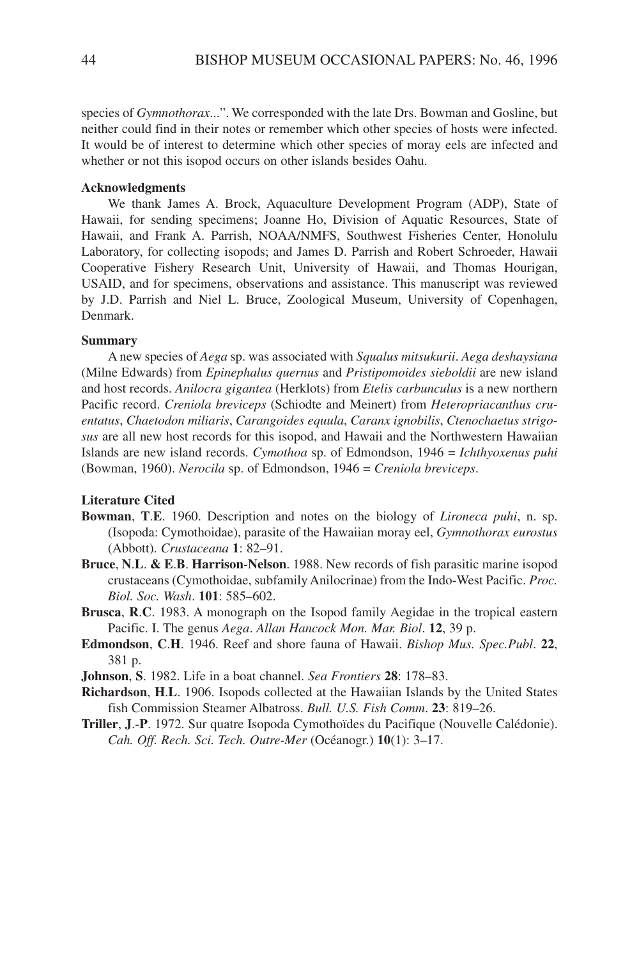species of *Gymnothorax*...". We corresponded with the late Drs. Bowman and Gosline, but neither could find in their notes or remember which other species of hosts were infected. It would be of interest to determine which other species of moray eels are infected and whether or not this isopod occurs on other islands besides Oahu.

### **Acknowledgments**

We thank James A. Brock, Aquaculture Development Program (ADP), State of Hawaii, for sending specimens; Joanne Ho, Division of Aquatic Resources, State of Hawaii, and Frank A. Parrish, NOAA/NMFS, Southwest Fisheries Center, Honolulu Laboratory, for collecting isopods; and James D. Parrish and Robert Schroeder, Hawaii Cooperative Fishery Research Unit, University of Hawaii, and Thomas Hourigan, USAID, and for specimens, observations and assistance. This manuscript was reviewed by J.D. Parrish and Niel L. Bruce, Zoological Museum, University of Copenhagen, Denmark.

#### **Summary**

A new species of *Aega* sp. was associated with *Squalus mitsukurii*. *Aega deshaysiana* (Milne Edwards) from *Epinephalus quernus* and *Pristipomoides sieboldii* are new island and host records. *Anilocra gigantea* (Herklots) from *Etelis carbunculus* is a new northern Pacific record. *Creniola breviceps* (Schiodte and Meinert) from *Heteropriacanthus cruentatus*, *Chaetodon miliaris*, *Carangoides equula*, *Caranx ignobilis*, *Ctenochaetus strigosus* are all new host records for this isopod, and Hawaii and the Northwestern Hawaiian Islands are new island records. *Cymothoa* sp. of Edmondson, 1946 = *Ichthyoxenus puhi* (Bowman, 1960). *Nerocila* sp. of Edmondson, 1946 = *Creniola breviceps*.

#### **Literature Cited**

- **Bowman**, **T**.**E**. 1960. Description and notes on the biology of *Lironeca puhi*, n. sp. (Isopoda: Cymothoidae), parasite of the Hawaiian moray eel, *Gymnothorax eurostus* (Abbott). *Crustaceana* **1**: 82–91.
- **Bruce**, **N**.**L**. **& E**.**B**. **Harrison**-**Nelson**. 1988. New records of fish parasitic marine isopod crustaceans (Cymothoidae, subfamily Anilocrinae) from the Indo-West Pacific. *Proc. Biol. Soc. Wash*. **101**: 585–602.
- **Brusca**, **R**.**C**. 1983. A monograph on the Isopod family Aegidae in the tropical eastern Pacific. I. The genus *Aega*. *Allan Hancock Mon. Mar. Biol*. **12**, 39 p.
- **Edmondson**, **C**.**H**. 1946. Reef and shore fauna of Hawaii. *Bishop Mus. Spec.Publ*. **22**, 381 p.
- **Johnson**, **S**. 1982. Life in a boat channel. *Sea Frontiers* **28**: 178–83.
- **Richardson**, **H**.**L**. 1906. Isopods collected at the Hawaiian Islands by the United States fish Commission Steamer Albatross. *Bull. U.S. Fish Comm*. **23**: 819–26.
- **Triller**, **J**.-**P**. 1972. Sur quatre Isopoda Cymothoïdes du Pacifique (Nouvelle Calédonie). *Cah. Off. Rech. Sci. Tech. Outre-Mer* (Océanogr.) **10**(1): 3–17.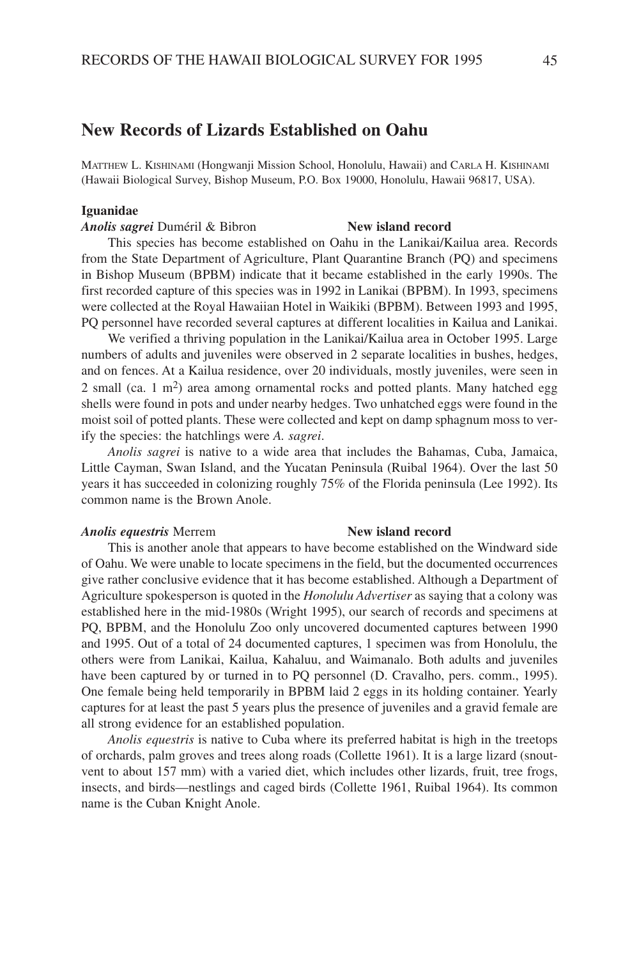## **New Records of Lizards Established on Oahu**

MATTHEW L. KISHINAMI (Hongwanji Mission School, Honolulu, Hawaii) and CARLA H. KISHINAMI (Hawaii Biological Survey, Bishop Museum, P.O. Box 19000, Honolulu, Hawaii 96817, USA).

#### **Iguanidae**

### *Anolis sagrei* Duméril & Bibron **New island record**

This species has become established on Oahu in the Lanikai/Kailua area. Records from the State Department of Agriculture, Plant Quarantine Branch (PQ) and specimens in Bishop Museum (BPBM) indicate that it became established in the early 1990s. The first recorded capture of this species was in 1992 in Lanikai (BPBM). In 1993, specimens were collected at the Royal Hawaiian Hotel in Waikiki (BPBM). Between 1993 and 1995, PQ personnel have recorded several captures at different localities in Kailua and Lanikai.

We verified a thriving population in the Lanikai/Kailua area in October 1995. Large numbers of adults and juveniles were observed in 2 separate localities in bushes, hedges, and on fences. At a Kailua residence, over 20 individuals, mostly juveniles, were seen in 2 small (ca. 1 m2) area among ornamental rocks and potted plants. Many hatched egg shells were found in pots and under nearby hedges. Two unhatched eggs were found in the moist soil of potted plants. These were collected and kept on damp sphagnum moss to verify the species: the hatchlings were *A. sagrei*.

*Anolis sagrei* is native to a wide area that includes the Bahamas, Cuba, Jamaica, Little Cayman, Swan Island, and the Yucatan Peninsula (Ruibal 1964). Over the last 50 years it has succeeded in colonizing roughly 75% of the Florida peninsula (Lee 1992). Its common name is the Brown Anole.

#### *Anolis equestris* Merrem **New island record**

This is another anole that appears to have become established on the Windward side of Oahu. We were unable to locate specimens in the field, but the documented occurrences give rather conclusive evidence that it has become established. Although a Department of Agriculture spokesperson is quoted in the *Honolulu Advertiser* as saying that a colony was established here in the mid-1980s (Wright 1995), our search of records and specimens at PQ, BPBM, and the Honolulu Zoo only uncovered documented captures between 1990 and 1995. Out of a total of 24 documented captures, 1 specimen was from Honolulu, the others were from Lanikai, Kailua, Kahaluu, and Waimanalo. Both adults and juveniles have been captured by or turned in to PQ personnel (D. Cravalho, pers. comm., 1995). One female being held temporarily in BPBM laid 2 eggs in its holding container. Yearly captures for at least the past 5 years plus the presence of juveniles and a gravid female are all strong evidence for an established population.

*Anolis equestris* is native to Cuba where its preferred habitat is high in the treetops of orchards, palm groves and trees along roads (Collette 1961). It is a large lizard (snoutvent to about 157 mm) with a varied diet, which includes other lizards, fruit, tree frogs, insects, and birds—nestlings and caged birds (Collette 1961, Ruibal 1964). Its common name is the Cuban Knight Anole.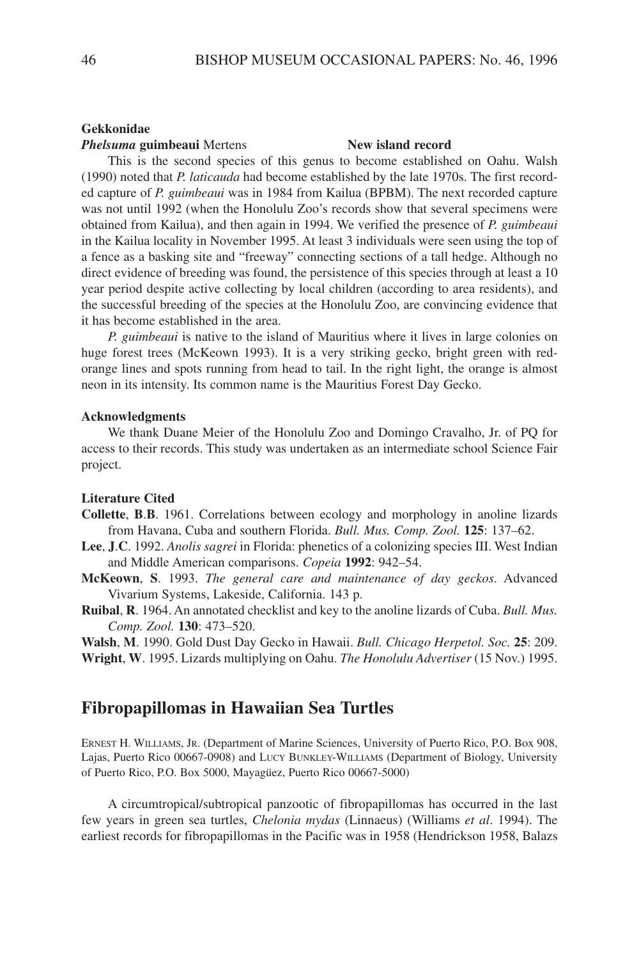#### **Gekkonidae**

### *Phelsuma* **guimbeaui** Mertens **New island record**

This is the second species of this genus to become established on Oahu. Walsh (1990) noted that *P. laticauda* had become established by the late 1970s. The first recorded capture of *P. guimbeaui* was in 1984 from Kailua (BPBM). The next recorded capture was not until 1992 (when the Honolulu Zoo's records show that several specimens were obtained from Kailua), and then again in 1994. We verified the presence of *P. guimbeaui* in the Kailua locality in November 1995. At least 3 individuals were seen using the top of a fence as a basking site and "freeway" connecting sections of a tall hedge. Although no direct evidence of breeding was found, the persistence of this species through at least a 10 year period despite active collecting by local children (according to area residents), and the successful breeding of the species at the Honolulu Zoo, are convincing evidence that it has become established in the area.

*P. guimbeaui* is native to the island of Mauritius where it lives in large colonies on huge forest trees (McKeown 1993). It is a very striking gecko, bright green with redorange lines and spots running from head to tail. In the right light, the orange is almost neon in its intensity. Its common name is the Mauritius Forest Day Gecko.

### **Acknowledgments**

We thank Duane Meier of the Honolulu Zoo and Domingo Cravalho, Jr. of PQ for access to their records. This study was undertaken as an intermediate school Science Fair project.

### **Literature Cited**

- **Collette**, **B**.**B**. 1961. Correlations between ecology and morphology in anoline lizards from Havana, Cuba and southern Florida. *Bull. Mus. Comp. Zool.* **125**: 137–62.
- **Lee**, **J**.**C**. 1992. *Anolis sagrei* in Florida: phenetics of a colonizing species III. West Indian and Middle American comparisons. *Copeia* **1992**: 942–54.
- **McKeown**, **S**. 1993. *The general care and maintenance of day geckos*. Advanced Vivarium Systems, Lakeside, California. 143 p.
- **Ruibal**, **R**. 1964. An annotated checklist and key to the anoline lizards of Cuba. *Bull. Mus. Comp. Zool.* **130**: 473–520.

**Walsh**, **M**. 1990. Gold Dust Day Gecko in Hawaii. *Bull. Chicago Herpetol. Soc.* **25**: 209. **Wright**, **W**. 1995. Lizards multiplying on Oahu. *The Honolulu Advertiser* (15 Nov.) 1995.

## **Fibropapillomas in Hawaiian Sea Turtles**

ERNEST H. WILLIAMS, JR. (Department of Marine Sciences, University of Puerto Rico, P.O. Box 908, Lajas, Puerto Rico 00667-0908) and LUCY BUNKLEY-WILLIAMS (Department of Biology, University of Puerto Rico, P.O. Box 5000, Mayagüez, Puerto Rico 00667-5000)

A circumtropical/subtropical panzootic of fibropapillomas has occurred in the last few years in green sea turtles, *Chelonia mydas* (Linnaeus) (Williams *et al*. 1994). The earliest records for fibropapillomas in the Pacific was in 1958 (Hendrickson 1958, Balazs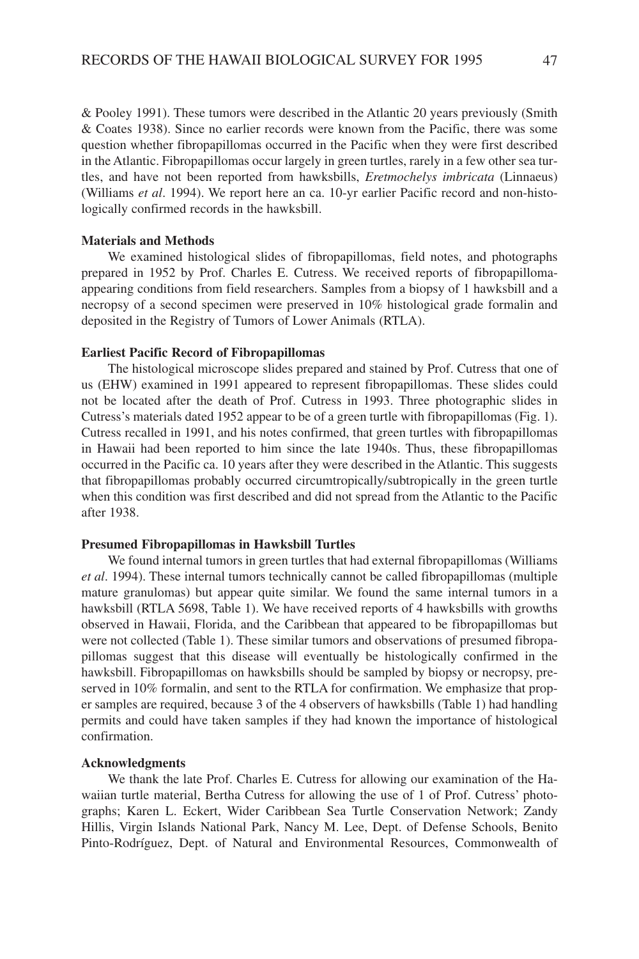& Pooley 1991). These tumors were described in the Atlantic 20 years previously (Smith & Coates 1938). Since no earlier records were known from the Pacific, there was some question whether fibropapillomas occurred in the Pacific when they were first described in the Atlantic. Fibropapillomas occur largely in green turtles, rarely in a few other sea turtles, and have not been reported from hawksbills, *Eretmochelys imbricata* (Linnaeus) (Williams *et al*. 1994). We report here an ca. 10-yr earlier Pacific record and non-histologically confirmed records in the hawksbill.

### **Materials and Methods**

We examined histological slides of fibropapillomas, field notes, and photographs prepared in 1952 by Prof. Charles E. Cutress. We received reports of fibropapillomaappearing conditions from field researchers. Samples from a biopsy of 1 hawksbill and a necropsy of a second specimen were preserved in 10% histological grade formalin and deposited in the Registry of Tumors of Lower Animals (RTLA).

#### **Earliest Pacific Record of Fibropapillomas**

The histological microscope slides prepared and stained by Prof. Cutress that one of us (EHW) examined in 1991 appeared to represent fibropapillomas. These slides could not be located after the death of Prof. Cutress in 1993. Three photographic slides in Cutress's materials dated 1952 appear to be of a green turtle with fibropapillomas (Fig. 1). Cutress recalled in 1991, and his notes confirmed, that green turtles with fibropapillomas in Hawaii had been reported to him since the late 1940s. Thus, these fibropapillomas occurred in the Pacific ca. 10 years after they were described in the Atlantic. This suggests that fibropapillomas probably occurred circumtropically/subtropically in the green turtle when this condition was first described and did not spread from the Atlantic to the Pacific after 1938.

#### **Presumed Fibropapillomas in Hawksbill Turtles**

We found internal tumors in green turtles that had external fibropapillomas (Williams *et al*. 1994). These internal tumors technically cannot be called fibropapillomas (multiple mature granulomas) but appear quite similar. We found the same internal tumors in a hawksbill (RTLA 5698, Table 1). We have received reports of 4 hawksbills with growths observed in Hawaii, Florida, and the Caribbean that appeared to be fibropapillomas but were not collected (Table 1). These similar tumors and observations of presumed fibropapillomas suggest that this disease will eventually be histologically confirmed in the hawksbill. Fibropapillomas on hawksbills should be sampled by biopsy or necropsy, preserved in 10% formalin, and sent to the RTLA for confirmation. We emphasize that proper samples are required, because 3 of the 4 observers of hawksbills (Table 1) had handling permits and could have taken samples if they had known the importance of histological confirmation.

#### **Acknowledgments**

We thank the late Prof. Charles E. Cutress for allowing our examination of the Hawaiian turtle material, Bertha Cutress for allowing the use of 1 of Prof. Cutress' photographs; Karen L. Eckert, Wider Caribbean Sea Turtle Conservation Network; Zandy Hillis, Virgin Islands National Park, Nancy M. Lee, Dept. of Defense Schools, Benito Pinto-Rodríguez, Dept. of Natural and Environmental Resources, Commonwealth of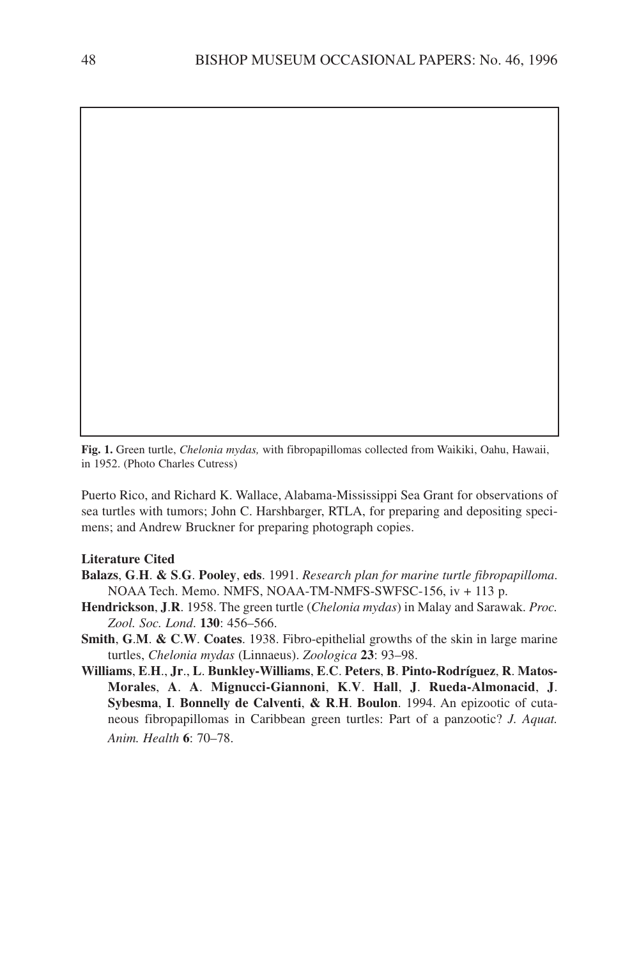**Fig. 1.** Green turtle, *Chelonia mydas,* with fibropapillomas collected from Waikiki, Oahu, Hawaii, in 1952. (Photo Charles Cutress)

Puerto Rico, and Richard K. Wallace, Alabama-Mississippi Sea Grant for observations of sea turtles with tumors; John C. Harshbarger, RTLA, for preparing and depositing specimens; and Andrew Bruckner for preparing photograph copies.

#### **Literature Cited**

- **Balazs**, **G**.**H**. **& S**.**G**. **Pooley**, **eds**. 1991. *Research plan for marine turtle fibropapilloma*. NOAA Tech. Memo. NMFS, NOAA-TM-NMFS-SWFSC-156, iv + 113 p.
- **Hendrickson**, **J**.**R**. 1958. The green turtle (*Chelonia mydas*) in Malay and Sarawak. *Proc. Zool. Soc. Lond*. **130**: 456–566.
- **Smith**, **G**.**M**. **& C**.**W**. **Coates**. 1938. Fibro-epithelial growths of the skin in large marine turtles, *Chelonia mydas* (Linnaeus). *Zoologica* **23**: 93–98.
- **Williams**, **E**.**H**., **Jr**., **L**. **Bunkley-Williams**, **E**.**C**. **Peters**, **B**. **Pinto-Rodríguez**, **R**. **Matos-Morales**, **A**. **A**. **Mignucci-Giannoni**, **K**.**V**. **Hall**, **J**. **Rueda-Almonacid**, **J**. **Sybesma**, **I**. **Bonnelly de Calventi**, **& R**.**H**. **Boulon**. 1994. An epizootic of cutaneous fibropapillomas in Caribbean green turtles: Part of a panzootic? *J. Aquat. Anim. Health* **6**: 70–78.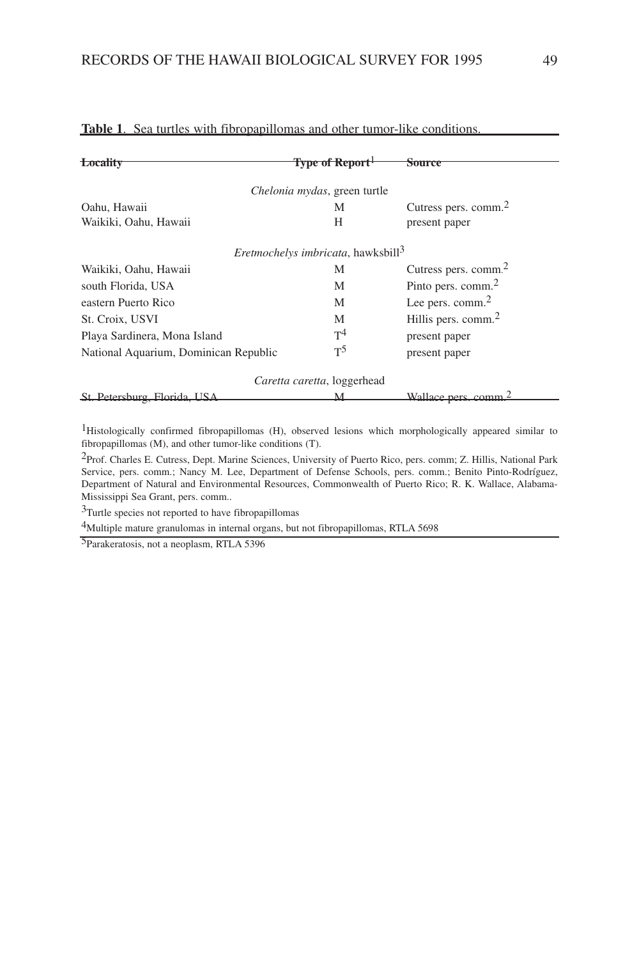| Locality                              | Type of Report <sup>1</sup>                    | Source                           |
|---------------------------------------|------------------------------------------------|----------------------------------|
|                                       | Chelonia mydas, green turtle                   |                                  |
| Oahu, Hawaii                          | М                                              | Cutress pers. comm. <sup>2</sup> |
| Waikiki, Oahu, Hawaii                 | Н                                              | present paper                    |
|                                       | Eretmochelys imbricata, hawksbill <sup>3</sup> |                                  |
| Waikiki, Oahu, Hawaii                 | М                                              | Cutress pers. comm. <sup>2</sup> |
| south Florida, USA                    | M                                              | Pinto pers. comm. <sup>2</sup>   |
| eastern Puerto Rico                   | M                                              | Lee pers. comm. $2$              |
| St. Croix, USVI                       | M                                              | Hillis pers. comm. <sup>2</sup>  |
| Playa Sardinera, Mona Island          | T <sup>4</sup>                                 | present paper                    |
| National Aquarium, Dominican Republic | $T^5$                                          | present paper                    |
|                                       | Caretta caretta, loggerhead                    |                                  |
| St. Petersburg, Florida, USA          |                                                | Wallace ners comm                |

## **Table 1**. Sea turtles with fibropapillomas and other tumor-like conditions.

1Histologically confirmed fibropapillomas (H), observed lesions which morphologically appeared similar to fibropapillomas (M), and other tumor-like conditions (T).

2Prof. Charles E. Cutress, Dept. Marine Sciences, University of Puerto Rico, pers. comm; Z. Hillis, National Park Service, pers. comm.; Nancy M. Lee, Department of Defense Schools, pers. comm.; Benito Pinto-Rodríguez, Department of Natural and Environmental Resources, Commonwealth of Puerto Rico; R. K. Wallace, Alabama-Mississippi Sea Grant, pers. comm..

3Turtle species not reported to have fibropapillomas

4Multiple mature granulomas in internal organs, but not fibropapillomas, RTLA 5698

5Parakeratosis, not a neoplasm, RTLA 5396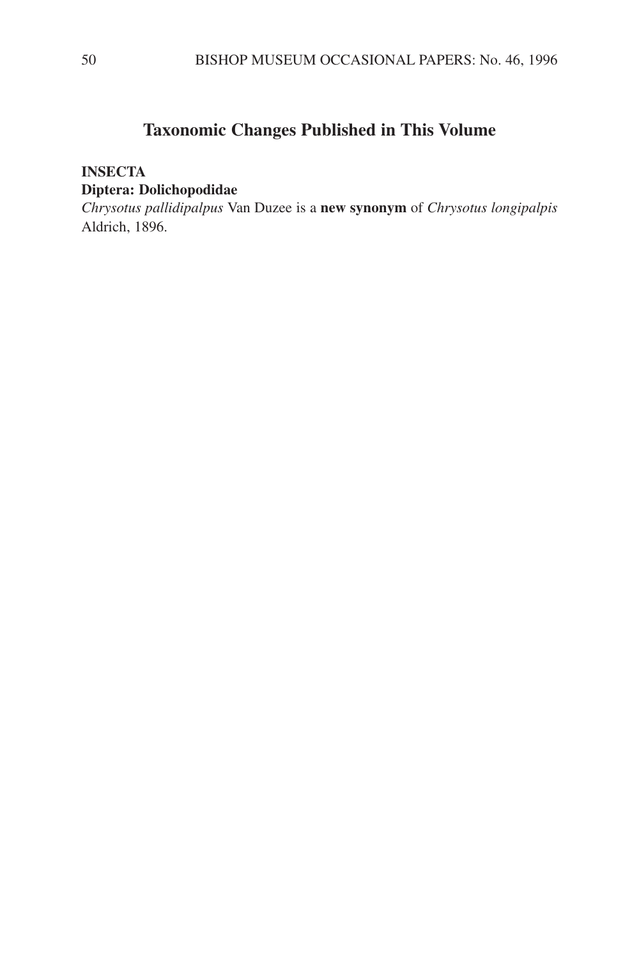# **Taxonomic Changes Published in This Volume**

## **INSECTA Diptera: Dolichopodidae**

*Chrysotus pallidipalpus* Van Duzee is a **new synonym** of *Chrysotus longipalpis* Aldrich, 1896.